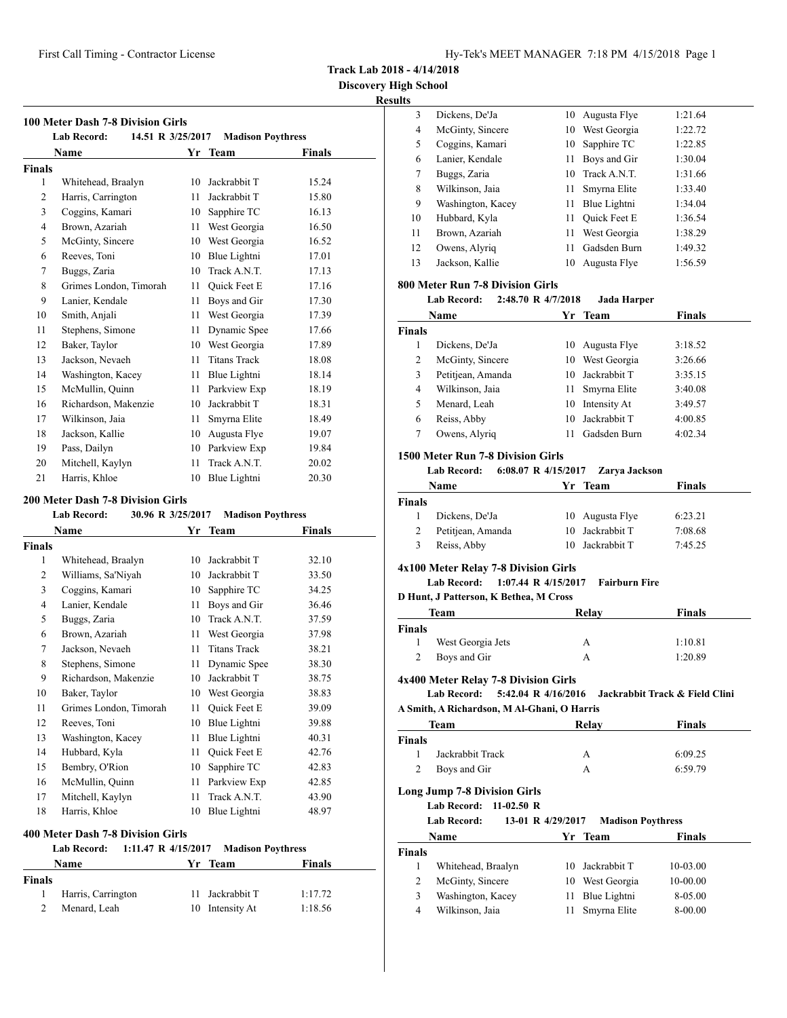**Discovery High School Results**

| <b>100 Meter Dash 7-8 Division Girls</b><br>14.51 R 3/25/2017<br><b>Lab Record:</b><br><b>Madison Poythress</b> |                              |    |                     |       |  |  |
|-----------------------------------------------------------------------------------------------------------------|------------------------------|----|---------------------|-------|--|--|
|                                                                                                                 | Name<br>Finals<br>Yr<br>Team |    |                     |       |  |  |
| <b>Finals</b>                                                                                                   |                              |    |                     |       |  |  |
| $\mathbf{1}$                                                                                                    | Whitehead, Braalyn           | 10 | Jackrabbit T        | 15.24 |  |  |
| $\overline{c}$                                                                                                  | Harris, Carrington           | 11 | Jackrabbit T        | 15.80 |  |  |
| 3                                                                                                               | Coggins, Kamari              | 10 | Sapphire TC         | 16.13 |  |  |
| $\overline{4}$                                                                                                  | Brown, Azariah               | 11 | West Georgia        | 16.50 |  |  |
| 5                                                                                                               | McGinty, Sincere             | 10 | West Georgia        | 16.52 |  |  |
| 6                                                                                                               | Reeves, Toni                 | 10 | Blue Lightni        | 17.01 |  |  |
| 7                                                                                                               | Buggs, Zaria                 | 10 | Track A.N.T.        | 17.13 |  |  |
| 8                                                                                                               | Grimes London, Timorah       | 11 | Quick Feet E        | 17.16 |  |  |
| 9                                                                                                               | Lanier, Kendale              | 11 | Boys and Gir        | 17.30 |  |  |
| 10                                                                                                              | Smith, Anjali                | 11 | West Georgia        | 17.39 |  |  |
| 11                                                                                                              | Stephens, Simone             | 11 | Dynamic Spee        | 17.66 |  |  |
| 12                                                                                                              | Baker, Taylor                | 10 | West Georgia        | 17.89 |  |  |
| 13                                                                                                              | Jackson, Nevaeh              | 11 | <b>Titans Track</b> | 18.08 |  |  |
| 14                                                                                                              | Washington, Kacey            | 11 | Blue Lightni        | 18.14 |  |  |
| 15                                                                                                              | McMullin, Quinn              | 11 | Parkview Exp        | 18.19 |  |  |
| 16                                                                                                              | Richardson, Makenzie         | 10 | Jackrabbit T        | 18.31 |  |  |
| 17                                                                                                              | Wilkinson, Jaia              | 11 | Smyrna Elite        | 18.49 |  |  |
| 18                                                                                                              | Jackson, Kallie              | 10 | Augusta Flye        | 19.07 |  |  |
| 19                                                                                                              | Pass, Dailyn                 | 10 | Parkview Exp        | 19.84 |  |  |
| 20                                                                                                              | Mitchell, Kaylyn             | 11 | Track A.N.T.        | 20.02 |  |  |
| 21                                                                                                              | Harris, Khloe                | 10 | Blue Lightni        | 20.30 |  |  |

### **200 Meter Dash 7-8 Division Girls**

|  | Lab Record: | 30.96 R 3/25/2017 | <b>Madison Poythress</b> |
|--|-------------|-------------------|--------------------------|
|--|-------------|-------------------|--------------------------|

| Name           |                        | Yr | <b>Team</b>         | Finals |  |
|----------------|------------------------|----|---------------------|--------|--|
| Finals         |                        |    |                     |        |  |
| 1              | Whitehead, Braalyn     | 10 | Jackrabbit T        | 32.10  |  |
| 2              | Williams, Sa'Niyah     | 10 | Jackrabbit T        | 33.50  |  |
| 3              | Coggins, Kamari        | 10 | Sapphire TC         | 34.25  |  |
| $\overline{4}$ | Lanier, Kendale        | 11 | Boys and Gir        | 36.46  |  |
| 5              | Buggs, Zaria           | 10 | Track A.N.T.        | 37.59  |  |
| 6              | Brown, Azariah         | 11 | West Georgia        | 37.98  |  |
| 7              | Jackson, Nevaeh        | 11 | <b>Titans Track</b> | 38.21  |  |
| 8              | Stephens, Simone       | 11 | Dynamic Spee        | 38.30  |  |
| 9              | Richardson, Makenzie   | 10 | Jackrabbit T        | 38.75  |  |
| 10             | Baker, Taylor          | 10 | West Georgia        | 38.83  |  |
| 11             | Grimes London, Timorah | 11 | Quick Feet E        | 39.09  |  |
| 12             | Reeves, Toni           | 10 | Blue Lightni        | 39.88  |  |
| 13             | Washington, Kacey      | 11 | Blue Lightni        | 40.31  |  |
| 14             | Hubbard, Kyla          | 11 | Quick Feet E        | 42.76  |  |
| 15             | Bembry, O'Rion         | 10 | Sapphire TC         | 42.83  |  |
| 16             | McMullin, Quinn        | 11 | Parkview Exp        | 42.85  |  |
| 17             | Mitchell, Kaylyn       | 11 | Track A.N.T.        | 43.90  |  |
| 18             | Harris, Khloe          | 10 | Blue Lightni        | 48.97  |  |

## **400 Meter Dash 7-8 Division Girls**

|               | Lab Record:        |  | 1:11.47 R 4/15/2017 Madison Poythress |         |  |
|---------------|--------------------|--|---------------------------------------|---------|--|
|               | Name               |  | Yr Team                               | Finals  |  |
| <b>Finals</b> |                    |  |                                       |         |  |
| 1.            | Harris, Carrington |  | 11 Jackrabbit T                       | 1:17.72 |  |
|               | Menard, Leah       |  | 10 Intensity At                       | 1:18.56 |  |

| 115 |                   |    |                     |         |  |
|-----|-------------------|----|---------------------|---------|--|
| 3   | Dickens, De'Ja    | 10 | Augusta Flye        | 1:21.64 |  |
| 4   | McGinty, Sincere  |    | 10 West Georgia     | 1:22.72 |  |
| 5   | Coggins, Kamari   |    | 10 Sapphire TC      | 1:22.85 |  |
| 6   | Lanier, Kendale   | 11 | Boys and Gir        | 1:30.04 |  |
| 7   | Buggs, Zaria      |    | 10 Track A.N.T.     | 1:31.66 |  |
| 8   | Wilkinson, Jaia   | 11 | Smyrna Elite        | 1:33.40 |  |
| 9   | Washington, Kacey | 11 | Blue Lightni        | 1:34.04 |  |
| 10  | Hubbard, Kyla     | 11 | <b>Ouick Feet E</b> | 1:36.54 |  |
| 11  | Brown, Azariah    | 11 | West Georgia        | 1:38.29 |  |
| 12  | Owens, Alyriq     | 11 | Gadsden Burn        | 1:49.32 |  |
| 13  | Jackson, Kallie   | 10 | Augusta Flye        | 1:56.59 |  |
|     |                   |    |                     |         |  |

## **800 Meter Run 7-8 Division Girls**

#### **Lab Record: 2:48.70 R 4/7/2018 Jada Harper**

| Name          |                   |     | Yr Team         | <b>Finals</b> |
|---------------|-------------------|-----|-----------------|---------------|
| <b>Finals</b> |                   |     |                 |               |
| 1             | Dickens, De'Ja    | 10  | Augusta Flye    | 3:18.52       |
| 2             | McGinty, Sincere  | 10  | West Georgia    | 3:26.66       |
| 3             | Petitjean, Amanda |     | 10 Jackrabbit T | 3:35.15       |
| 4             | Wilkinson, Jaia   | 11. | Smyrna Elite    | 3:40.08       |
| 5             | Menard, Leah      | 10  | Intensity At    | 3:49.57       |
| 6             | Reiss, Abby       | 10  | Jackrabbit T    | 4:00.85       |
| 7             | Owens, Alyriq     | 11  | Gadsden Burn    | 4:02.34       |

# **1500 Meter Run 7-8 Division Girls**

## **Lab Record: 6:08.07 R 4/15/2017 Zarya Jackson**

|        | Name              | Yr Team         | <b>Finals</b> |
|--------|-------------------|-----------------|---------------|
| Finals |                   |                 |               |
|        | Dickens, De'Ja    | 10 Augusta Flye | 6:23.21       |
| 2      | Petitjean, Amanda | 10 Jackrabbit T | 7:08.68       |
| 3      | Reiss, Abby       | 10 Jackrabbit T | 7:45.25       |
|        |                   |                 |               |

## **4x100 Meter Relay 7-8 Division Girls**

**Lab Record: 1:07.44 R 4/15/2017 Fairburn Fire**

### **D Hunt, J Patterson, K Bethea, M Cross**

| Team          |                   | Relay | <b>Finals</b> |
|---------------|-------------------|-------|---------------|
| <b>Finals</b> |                   |       |               |
|               | West Georgia Jets | А     | 1:10.81       |
| 2             | Boys and Gir      | А     | 1:20.89       |

### **4x400 Meter Relay 7-8 Division Girls**

**Lab Record: 5:42.04 R 4/16/2016 Jackrabbit Track & Field Clini A Smith, A Richardson, M Al-Ghani, O Harris**

| <u>11 Sunna 11 Richardson, helli Shami Senare</u> |       |               |  |
|---------------------------------------------------|-------|---------------|--|
| Team                                              | Relay | <b>Finals</b> |  |
| <b>Finals</b>                                     |       |               |  |
| Jackrabbit Track                                  | А     | 6:09.25       |  |
| Boys and Gir<br>2                                 | А     | 6:59.79       |  |
|                                                   |       |               |  |

## **Long Jump 7-8 Division Girls**

**Lab Record: 11-02.50 R**

| Lab Record: |  | 13-01 R $4/29/2017$ | <b>Madison Poythress</b> |
|-------------|--|---------------------|--------------------------|
|-------------|--|---------------------|--------------------------|

| <b>Name</b>        |  |    | <b>Finals</b>                                                                      |  |
|--------------------|--|----|------------------------------------------------------------------------------------|--|
|                    |  |    |                                                                                    |  |
| Whitehead, Braalyn |  |    | $10-03.00$                                                                         |  |
| McGinty, Sincere   |  |    | $10 - 00.00$                                                                       |  |
| Washington, Kacey  |  |    | 8-05.00                                                                            |  |
| Wilkinson, Jaia    |  |    | 8-00.00                                                                            |  |
|                    |  | Уr | - Team<br>10 Jackrabbit T<br>10 West Georgia<br>11 Blue Lightni<br>11 Smyrna Elite |  |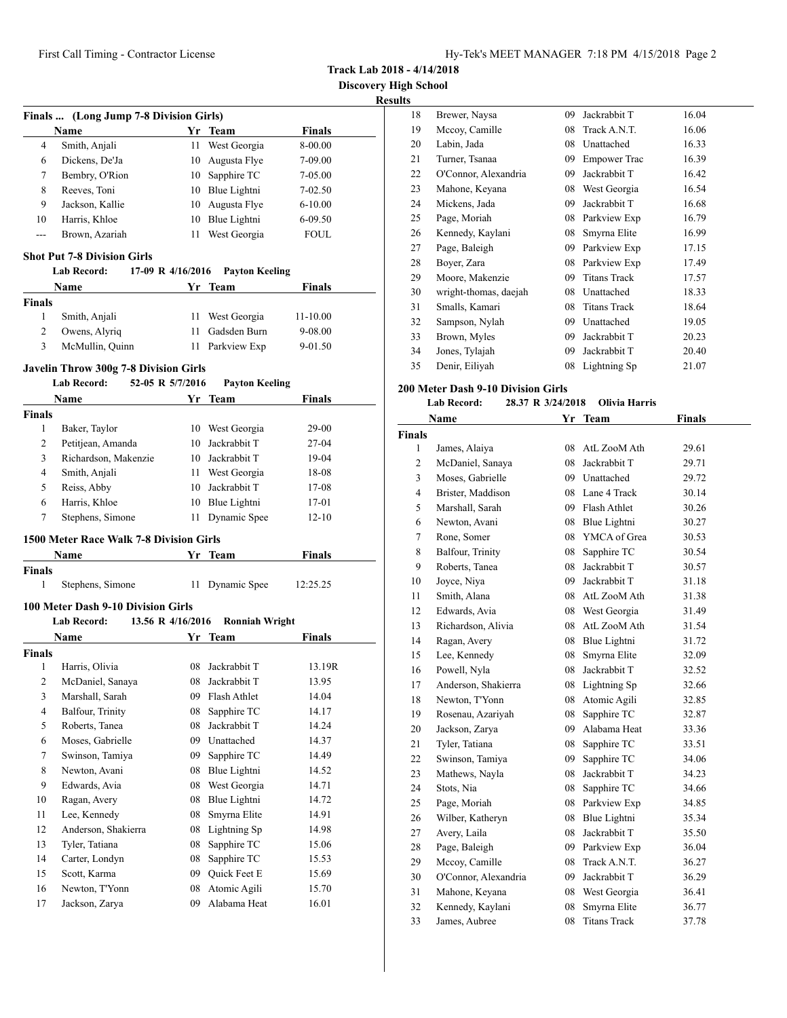**Track Lab 2018 - 4/14/2018**

### **Results**

| Finals  (Long Jump 7-8 Division Girls)                           |                 |     |                 |             |  |
|------------------------------------------------------------------|-----------------|-----|-----------------|-------------|--|
| <b>Finals</b><br>Yr Team<br>Name                                 |                 |     |                 |             |  |
| 4                                                                | Smith, Anjali   | 11  | West Georgia    | 8-00.00     |  |
| 6                                                                | Dickens, De'Ja  |     | 10 Augusta Flye | 7-09.00     |  |
| 7                                                                | Bembry, O'Rion  | 10  | Sapphire TC     | 7-05.00     |  |
| 8                                                                | Reeves, Toni    | 10  | Blue Lightni    | $7 - 02.50$ |  |
| 9                                                                | Jackson, Kallie | 10- | Augusta Flye    | $6 - 10.00$ |  |
| 10                                                               | Harris, Khloe   | 10  | Blue Lightni    | $6-09.50$   |  |
| ---                                                              | Brown, Azariah  | 11  | West Georgia    | FOUL.       |  |
| <b>Shot Put 7-8 Division Girls</b>                               |                 |     |                 |             |  |
| <b>Lab Record:</b><br>17-09 R 4/16/2016<br><b>Payton Keeling</b> |                 |     |                 |             |  |
| Finals<br><b>Name</b><br>Yr Team                                 |                 |     |                 |             |  |

| <b>Finals</b> |                 |                 |              |
|---------------|-----------------|-----------------|--------------|
|               | Smith, Anjali   | 11 West Georgia | $11 - 10.00$ |
| 2             | Owens, Alyriq   | 11 Gadsden Burn | 9-08.00      |
| 3             | McMullin, Quinn | 11 Parkview Exp | $9 - 01.50$  |

# **Javelin Throw 300g 7-8 Division Girls**

|                    | 52-05 R 5/7/2016<br>Lab Record:           |    | <b>Payton Keeling</b> |               |
|--------------------|-------------------------------------------|----|-----------------------|---------------|
|                    | Name                                      |    | Yr Team               | Finals        |
| Finals             |                                           |    |                       |               |
| 1                  | Baker, Taylor                             |    | 10 West Georgia       | 29-00         |
| $\overline{c}$     | Petitjean, Amanda                         |    | 10 Jackrabbit T       | 27-04         |
| 3                  | Richardson, Makenzie                      |    | 10 Jackrabbit T       | 19-04         |
| $\overline{4}$     | Smith, Anjali                             |    | 11 West Georgia       | 18-08         |
| 5                  | Reiss, Abby                               |    | 10 Jackrabbit T       | 17-08         |
| 6                  | Harris, Khloe                             |    | 10 Blue Lightni       | 17-01         |
| $\overline{7}$     | Stephens, Simone                          | 11 | Dynamic Spee          | $12 - 10$     |
|                    | 1500 Meter Race Walk 7-8 Division Girls   |    |                       |               |
|                    | Name                                      |    | Yr Team               | <b>Finals</b> |
| Finals             |                                           |    |                       |               |
| 1                  | Stephens, Simone                          | 11 | Dynamic Spee          | 12:25.25      |
|                    |                                           |    |                       |               |
|                    | <b>100 Meter Dash 9-10 Division Girls</b> |    |                       |               |
|                    | <b>Lab Record:</b><br>13.56 R 4/16/2016   |    | <b>Ronniah Wright</b> |               |
|                    | Name                                      | Yr | <b>Team</b>           | <b>Finals</b> |
|                    |                                           |    |                       |               |
| 1                  | Harris, Olivia                            |    | 08 Jackrabbit T       | 13.19R        |
| $\overline{c}$     | McDaniel, Sanaya                          |    | 08 Jackrabbit T       | 13.95         |
| <b>Finals</b><br>3 | Marshall, Sarah                           |    | 09 Flash Athlet       | 14.04         |
| $\overline{4}$     | Balfour, Trinity                          | 08 | Sapphire TC           | 14.17         |
| 5                  | Roberts, Tanea                            | 08 | Jackrabbit T          | 14.24         |
| 6                  | Moses, Gabrielle                          |    | 09 Unattached         | 14.37         |
| 7                  | Swinson, Tamiya                           | 09 | Sapphire TC           | 14.49         |
| 8                  | Newton, Avani                             | 08 | Blue Lightni          | 14.52         |
| 9                  | Edwards, Avia                             | 08 | West Georgia          | 14.71         |
| 10                 | Ragan, Avery                              | 08 | Blue Lightni          | 14.72         |
| 11                 | Lee, Kennedy                              | 08 | Smyrna Elite          | 14.91         |
| 12                 | Anderson, Shakierra                       |    | 08 Lightning Sp       | 14.98         |
| 13                 | Tyler, Tatiana                            | 08 | Sapphire TC           | 15.06         |
| 14                 | Carter, Londyn                            |    | 08 Sapphire TC        | 15.53         |
| 15                 | Scott, Karma                              |    | 09 Quick Feet E       | 15.69         |
| 16                 | Newton, T'Yonn                            | 08 | Atomic Agili          | 15.70         |

| 18 | Brewer, Naysa         | 09 | Jackrabbit T        | 16.04 |
|----|-----------------------|----|---------------------|-------|
| 19 | Mccoy, Camille        | 08 | Track A.N.T.        | 16.06 |
| 20 | Labin, Jada           | 08 | Unattached          | 16.33 |
| 21 | Turner, Tsanaa        | 09 | <b>Empower Trac</b> | 16.39 |
| 22 | O'Connor, Alexandria  | 09 | Jackrabbit T        | 16.42 |
| 23 | Mahone, Keyana        | 08 | West Georgia        | 16.54 |
| 24 | Mickens, Jada         | 09 | Jackrabbit T        | 16.68 |
| 25 | Page, Moriah          | 08 | Parkview Exp        | 16.79 |
| 26 | Kennedy, Kaylani      | 08 | Smyrna Elite        | 16.99 |
| 27 | Page, Baleigh         | 09 | Parkview Exp        | 17.15 |
| 28 | Boyer, Zara           | 08 | Parkview Exp        | 17.49 |
| 29 | Moore, Makenzie       | 09 | <b>Titans Track</b> | 17.57 |
| 30 | wright-thomas, daejah | 08 | Unattached          | 18.33 |
| 31 | Smalls, Kamari        | 08 | <b>Titans Track</b> | 18.64 |
| 32 | Sampson, Nylah        | 09 | Unattached          | 19.05 |
| 33 | Brown, Myles          | 09 | Jackrabbit T        | 20.23 |
| 34 | Jones, Tylajah        | 09 | Jackrabbit T        | 20.40 |
| 35 | Denir, Eiliyah        | 08 | Lightning Sp        | 21.07 |

# **200 Meter Dash 9-10 Division Girls**

|                | <b>Lab Record:</b>   | 28.37 R 3/24/2018 | <b>Olivia Harris</b> |               |
|----------------|----------------------|-------------------|----------------------|---------------|
|                | <b>Name</b>          |                   | Yr Team              | <b>Finals</b> |
| <b>Finals</b>  |                      |                   |                      |               |
| 1              | James, Alaiya        | 08                | AtL ZooM Ath         | 29.61         |
| $\overline{c}$ | McDaniel, Sanaya     | 08                | Jackrabbit T         | 29.71         |
| 3              | Moses, Gabrielle     |                   | 09 Unattached        | 29.72         |
| $\overline{4}$ | Brister, Maddison    |                   | 08 Lane 4 Track      | 30.14         |
| 5              | Marshall, Sarah      |                   | 09 Flash Athlet      | 30.26         |
| 6              | Newton, Avani        |                   | 08 Blue Lightni      | 30.27         |
| $\tau$         | Rone, Somer          |                   | 08 YMCA of Grea      | 30.53         |
| 8              | Balfour, Trinity     | 08                | Sapphire TC          | 30.54         |
| 9              | Roberts, Tanea       |                   | 08 Jackrabbit T      | 30.57         |
| 10             | Joyce, Niya          |                   | 09 Jackrabbit T      | 31.18         |
| 11             | Smith, Alana         |                   | 08 AtL ZooM Ath      | 31.38         |
| 12             | Edwards, Avia        | 08                | West Georgia         | 31.49         |
| 13             | Richardson, Alivia   | 08                | AtL ZooM Ath         | 31.54         |
| 14             | Ragan, Avery         | 08                | Blue Lightni         | 31.72         |
| 15             | Lee, Kennedy         | 08                | Smyrna Elite         | 32.09         |
| 16             | Powell, Nyla         | 08                | Jackrabbit T         | 32.52         |
| 17             | Anderson, Shakierra  |                   | 08 Lightning Sp      | 32.66         |
| 18             | Newton, T'Yonn       |                   | 08 Atomic Agili      | 32.85         |
| 19             | Rosenau, Azariyah    | 08                | Sapphire TC          | 32.87         |
| 20             | Jackson, Zarya       | 09                | Alabama Heat         | 33.36         |
| 21             | Tyler, Tatiana       | 08                | Sapphire TC          | 33.51         |
| 22             | Swinson, Tamiya      | 09                | Sapphire TC          | 34.06         |
| 23             | Mathews, Nayla       | 08                | Jackrabbit T         | 34.23         |
| 24             | Stots, Nia           | 08                | Sapphire TC          | 34.66         |
| 25             | Page, Moriah         | 08                | Parkview Exp         | 34.85         |
| 26             | Wilber, Katheryn     | 08                | Blue Lightni         | 35.34         |
| 27             | Avery, Laila         | 08                | Jackrabbit T         | 35.50         |
| 28             | Page, Baleigh        |                   | 09 Parkview Exp      | 36.04         |
| 29             | Mccoy, Camille       | 08                | Track A.N.T.         | 36.27         |
| 30             | O'Connor, Alexandria |                   | 09 Jackrabbit T      | 36.29         |
| 31             | Mahone, Keyana       |                   | 08 West Georgia      | 36.41         |
| 32             | Kennedy, Kaylani     | 08                | Smyrna Elite         | 36.77         |
| 33             | James, Aubree        | 08                | <b>Titans Track</b>  | 37.78         |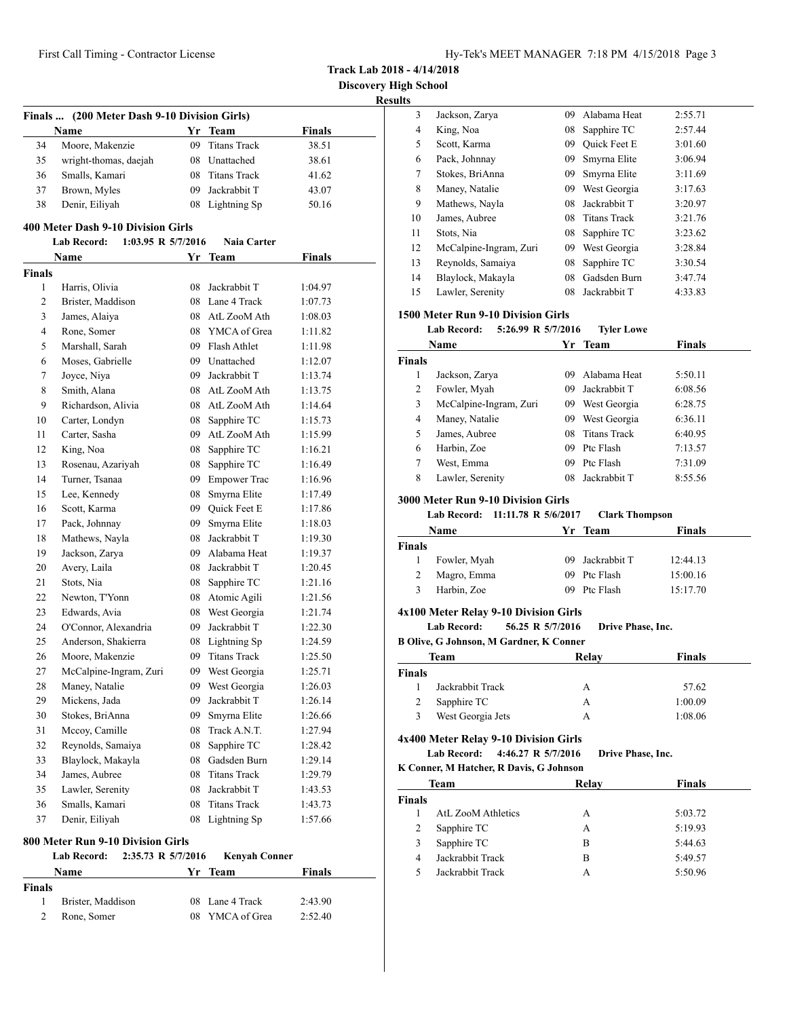| Hy-Tek's MEET MANAGER 7:18 PM 4/15/2018 Page 3 |  |  |  |
|------------------------------------------------|--|--|--|
|------------------------------------------------|--|--|--|

**Discovery High School**

| (200 Meter Dash 9-10 Division Girls)<br>Finals |                                          |    |                      |               |  |
|------------------------------------------------|------------------------------------------|----|----------------------|---------------|--|
|                                                | Name                                     |    | Yr Team              | <b>Finals</b> |  |
| 34                                             | Moore, Makenzie                          |    | 09 Titans Track      | 38.51         |  |
| 35                                             | wright-thomas, daejah                    |    | 08 Unattached        | 38.61         |  |
| 36                                             | Smalls, Kamari                           |    | 08 Titans Track      | 41.62         |  |
| 37                                             | Brown, Myles                             |    | 09 Jackrabbit T      | 43.07         |  |
| 38                                             | Denir, Eiliyah                           |    | 08 Lightning Sp      | 50.16         |  |
|                                                | 400 Meter Dash 9-10 Division Girls       |    |                      |               |  |
|                                                | <b>Lab Record:</b><br>1:03.95 R 5/7/2016 |    | <b>Naia Carter</b>   |               |  |
|                                                | Name                                     |    | Yr Team              | <b>Finals</b> |  |
| <b>Finals</b>                                  |                                          |    |                      |               |  |
| 1                                              | Harris, Olivia                           | 08 | Jackrabbit T         | 1:04.97       |  |
| 2                                              | Brister, Maddison                        |    | 08 Lane 4 Track      | 1:07.73       |  |
| 3                                              | James, Alaiya                            |    | 08 AtL ZooM Ath      | 1:08.03       |  |
| 4                                              | Rone, Somer                              |    | 08 YMCA of Grea      | 1:11.82       |  |
| 5                                              | Marshall, Sarah                          |    | 09 Flash Athlet      | 1:11.98       |  |
| 6                                              | Moses, Gabrielle                         |    | 09 Unattached        | 1:12.07       |  |
| 7                                              | Joyce, Niya                              |    | 09 Jackrabbit T      | 1:13.74       |  |
| 8                                              | Smith, Alana                             |    | 08 AtL ZooM Ath      | 1:13.75       |  |
| 9                                              | Richardson, Alivia                       |    | 08 AtL ZooM Ath      |               |  |
|                                                |                                          |    |                      | 1:14.64       |  |
| 10                                             | Carter, Londyn                           | 08 | Sapphire TC          | 1:15.73       |  |
| 11                                             | Carter, Sasha                            |    | 09 AtL ZooM Ath      | 1:15.99       |  |
| 12                                             | King, Noa                                | 08 | Sapphire TC          | 1:16.21       |  |
| 13                                             | Rosenau, Azariyah                        | 08 | Sapphire TC          | 1:16.49       |  |
| 14                                             | Turner, Tsanaa                           |    | 09 Empower Trac      | 1:16.96       |  |
| 15                                             | Lee, Kennedy                             | 08 | Smyrna Elite         | 1:17.49       |  |
| 16                                             | Scott, Karma                             |    | 09 Quick Feet E      | 1:17.86       |  |
| 17                                             | Pack, Johnnay                            | 09 | Smyrna Elite         | 1:18.03       |  |
| 18                                             | Mathews, Nayla                           | 08 | Jackrabbit T         | 1:19.30       |  |
| 19                                             | Jackson, Zarya                           | 09 | Alabama Heat         | 1:19.37       |  |
| 20                                             | Avery, Laila                             | 08 | Jackrabbit T         | 1:20.45       |  |
| 21                                             | Stots, Nia                               | 08 | Sapphire TC          | 1:21.16       |  |
| 22                                             | Newton, T'Yonn                           |    | 08 Atomic Agili      | 1:21.56       |  |
| 23                                             | Edwards, Avia                            |    | 08 West Georgia      | 1:21.74       |  |
| 24                                             | O'Connor, Alexandria                     |    | 09 Jackrabbit T      | 1:22.30       |  |
| 25                                             | Anderson, Shakierra                      |    | 08 Lightning Sp      | 1:24.59       |  |
| 26                                             | Moore, Makenzie                          |    | 09 Titans Track      | 1:25.50       |  |
| 27                                             | McCalpine-Ingram, Zuri                   | 09 | West Georgia         | 1:25.71       |  |
| 28                                             | Maney, Natalie                           | 09 | West Georgia         | 1:26.03       |  |
| 29                                             | Mickens, Jada                            | 09 | Jackrabbit T         | 1:26.14       |  |
| 30                                             | Stokes, BriAnna                          | 09 | Smyrna Elite         | 1:26.66       |  |
| 31                                             | Mccoy, Camille                           | 08 | Track A.N.T.         | 1:27.94       |  |
| 32                                             | Reynolds, Samaiya                        | 08 | Sapphire TC          | 1:28.42       |  |
| 33                                             | Blaylock, Makayla                        | 08 | Gadsden Burn         | 1:29.14       |  |
| 34                                             | James, Aubree                            | 08 | <b>Titans Track</b>  | 1:29.79       |  |
| 35                                             | Lawler, Serenity                         | 08 | Jackrabbit T         | 1:43.53       |  |
| 36                                             | Smalls, Kamari                           | 08 | <b>Titans Track</b>  | 1:43.73       |  |
| 37                                             | Denir, Eiliyah                           | 08 | Lightning Sp         | 1:57.66       |  |
|                                                |                                          |    |                      |               |  |
|                                                | 800 Meter Run 9-10 Division Girls        |    |                      |               |  |
|                                                | <b>Lab Record:</b><br>2:35.73 R 5/7/2016 |    | <b>Kenyah Conner</b> |               |  |

|               | Lav Iwwi u.       | $2.00010$ IV $0.112010$ | поптан сонног   |         |  |
|---------------|-------------------|-------------------------|-----------------|---------|--|
|               | Name              |                         | Yr Team         | Finals  |  |
| <b>Finals</b> |                   |                         |                 |         |  |
|               | Brister, Maddison |                         | 08 Lane 4 Track | 2:43.90 |  |
|               | Rone, Somer       |                         | 08 YMCA of Grea | 2:52.40 |  |
|               |                   |                         |                 |         |  |

| นแร           |                                                |     |                       |               |
|---------------|------------------------------------------------|-----|-----------------------|---------------|
| 3             | Jackson, Zarya                                 | 09  | Alabama Heat          | 2:55.71       |
| 4             | King, Noa                                      | 08  | Sapphire TC           | 2:57.44       |
| 5             | Scott, Karma                                   |     | 09 Ouick Feet E       | 3:01.60       |
| 6             | Pack, Johnnay                                  | 09  | Smyrna Elite          | 3:06.94       |
| 7             | Stokes, BriAnna                                | 09  | Smyrna Elite          | 3:11.69       |
| 8             | Maney, Natalie                                 | 09  | West Georgia          | 3:17.63       |
| 9             | Mathews, Nayla                                 | 08  | Jackrabbit T          | 3:20.97       |
| 10            | James, Aubree                                  | 08  | <b>Titans Track</b>   | 3:21.76       |
| 11            | Stots, Nia                                     | 08  | Sapphire TC           | 3:23.62       |
| 12            | McCalpine-Ingram, Zuri                         |     | 09 West Georgia       | 3:28.84       |
| 13            | Reynolds, Samaiya                              | 08  | Sapphire TC           | 3:30.54       |
| 14            | Blaylock, Makayla                              | 08  | Gadsden Burn          | 3:47.74       |
| 15            | Lawler, Serenity                               | 08  | Jackrabbit T          | 4:33.83       |
|               | 1500 Meter Run 9-10 Division Girls             |     |                       |               |
|               | 5:26.99 R 5/7/2016<br><b>Lab Record:</b>       |     | <b>Tyler Lowe</b>     |               |
|               | Name                                           | Yr. | <b>Team</b>           | Finals        |
| <b>Finals</b> |                                                |     |                       |               |
| 1             | Jackson, Zarya                                 | 09  | Alabama Heat          | 5:50.11       |
| 2             | Fowler, Myah                                   | 09  | Jackrabbit T          | 6:08.56       |
| 3             | McCalpine-Ingram, Zuri                         |     | 09 West Georgia       | 6:28.75       |
| 4             | Maney, Natalie                                 |     | 09 West Georgia       | 6:36.11       |
| 5             | James, Aubree                                  | 08  | <b>Titans Track</b>   | 6:40.95       |
| 6             | Harbin, Zoe                                    | 09  | Ptc Flash             | 7:13.57       |
| 7             | West, Emma                                     | 09  | Ptc Flash             | 7:31.09       |
| 8             | Lawler, Serenity                               | 08  | Jackrabbit T          | 8:55.56       |
|               | <b>3000 Meter Run 9-10 Division Girls</b>      |     |                       |               |
|               | 11:11.78 R 5/6/2017<br><b>Lab Record:</b>      |     | <b>Clark Thompson</b> |               |
|               | Name                                           | Yr  | <b>Team</b>           | <b>Finals</b> |
| <b>Finals</b> |                                                |     |                       |               |
| 1             | Fowler, Myah                                   | 09  | Jackrabbit T          | 12:44.13      |
| 2             | Magro, Emma                                    | 09  | Ptc Flash             | 15:00.16      |
| 3             | Harbin, Zoe                                    | 09  | Ptc Flash             | 15:17.70      |
|               | 4x100 Meter Relay 9-10 Division Girls          |     |                       |               |
|               | <b>Lab Record:</b><br>56.25 R 5/7/2016         |     | Drive Phase, Inc.     |               |
|               | <b>B Olive, G Johnson, M Gardner, K Conner</b> |     |                       |               |
|               | Team                                           |     | Relay                 | <b>Finals</b> |
| Finals        |                                                |     |                       |               |
| 1             | Jackrabbit Track                               |     | А                     | 57.62         |
| 2             | Sapphire TC                                    |     | A                     | 1:00.09       |
| 3             | West Georgia Jets                              |     | А                     | 1:08.06       |
|               | 4x400 Meter Relay 9-10 Division Girls          |     |                       |               |
|               | <b>Lab Record:</b><br>4:46.27 R 5/7/2016       |     | Drive Phase, Inc.     |               |
|               | K Conner, M Hatcher, R Davis, G Johnson        |     |                       |               |
|               | Team                                           |     | Relay                 | <b>Finals</b> |
| <b>Finals</b> |                                                |     |                       |               |

|        | ream               | кегау | r mais  |  |
|--------|--------------------|-------|---------|--|
| `inals |                    |       |         |  |
|        | AtL ZooM Athletics | А     | 5:03.72 |  |
|        | Sapphire TC        | А     | 5:19.93 |  |
|        | Sapphire TC        | В     | 5:44.63 |  |
|        | Jackrabbit Track   | В     | 5:49.57 |  |
|        | Jackrabbit Track   |       | 5:50.96 |  |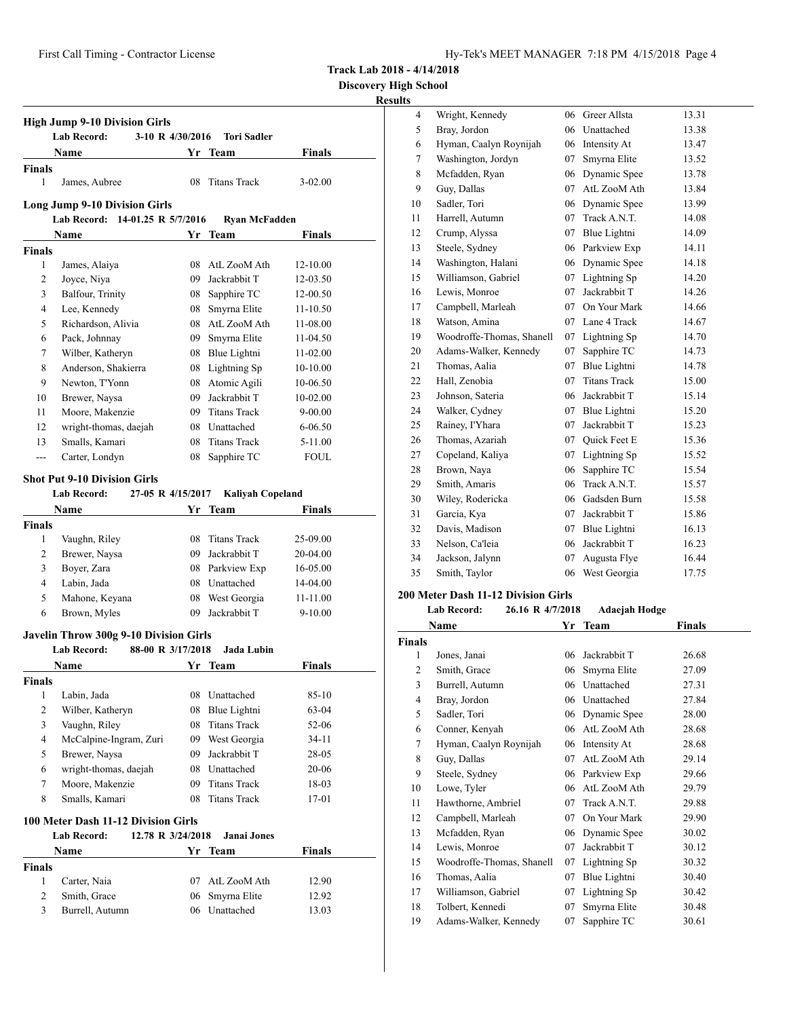**Discovery High School**

## **Results**

|                | <b>Lab Record:</b><br>3-10 R 4/30/2016                                            |    | <b>Tori Sadler</b>                 |                                                                  |
|----------------|-----------------------------------------------------------------------------------|----|------------------------------------|------------------------------------------------------------------|
|                | <b>Name</b>                                                                       |    | Yr Team                            | Finals                                                           |
| <b>Finals</b>  |                                                                                   |    |                                    |                                                                  |
| $\mathbf{1}$   | James, Aubree                                                                     | 08 | <b>Titans Track</b>                | $3 - 02.00$                                                      |
|                | <b>Long Jump 9-10 Division Girls</b>                                              |    |                                    |                                                                  |
|                | Lab Record: 14-01.25 R 5/7/2016                                                   |    | Ryan McFadden                      |                                                                  |
|                | Name                                                                              | Yr | Team                               | Finals                                                           |
| Finals         |                                                                                   |    |                                    |                                                                  |
| 1              | James, Alaiya                                                                     |    | 08 AtL ZooM Ath                    | 12-10.00                                                         |
| $\overline{2}$ | Joyce, Niya                                                                       |    | 09 Jackrabbit T                    | 12-03.50                                                         |
| 3              | Balfour, Trinity                                                                  |    | 08 Sapphire TC                     | 12-00.50                                                         |
| $\overline{4}$ | Lee, Kennedy                                                                      |    | 08 Smyrna Elite                    | $11 - 10.50$                                                     |
| 5              | Richardson, Alivia                                                                |    | 08 AtL ZooM Ath                    | 11-08.00                                                         |
| 6              | Pack, Johnnay                                                                     |    | 09 Smyrna Elite                    | 11-04.50                                                         |
| 7              | Wilber, Katheryn                                                                  |    | 08 Blue Lightni                    | 11-02.00                                                         |
| 8              | Anderson, Shakierra                                                               |    | 08 Lightning Sp                    | $10-10.00$                                                       |
| 9              | Newton, T'Yonn                                                                    |    | 08 Atomic Agili                    | 10-06.50                                                         |
| 10             | Brewer, Naysa                                                                     |    | 09 Jackrabbit T                    | 10-02.00                                                         |
| 11             | Moore, Makenzie                                                                   |    | 09 Titans Track                    | $9 - 00.00$                                                      |
| 12             | wright-thomas, daejah                                                             |    | 08 Unattached                      | $6 - 06.50$                                                      |
| 13             | Smalls, Kamari                                                                    |    | 08 Titans Track                    | 5-11.00                                                          |
| ---            | Carter, Londyn                                                                    | 08 | Sapphire TC                        | <b>FOUL</b>                                                      |
|                | <b>Shot Put 9-10 Division Girls</b><br><b>Lab Record:</b><br>27-05 R 4/15/2017    |    | <b>Kaliyah Copeland</b>            |                                                                  |
|                | <b>Name</b>                                                                       | Yr | Team                               | Finals                                                           |
| <b>Finals</b>  |                                                                                   |    |                                    |                                                                  |
| 1              | Vaughn, Riley                                                                     |    | 08 Titans Track                    | 25-09.00                                                         |
| 2              | Brewer, Naysa                                                                     |    | 09 Jackrabbit T                    | 20-04.00                                                         |
| 3              | Boyer, Zara                                                                       |    | 08 Parkview Exp                    | 16-05.00                                                         |
| 4              | Labin, Jada                                                                       |    | 08 Unattached                      | 14-04.00                                                         |
|                |                                                                                   |    |                                    |                                                                  |
|                |                                                                                   |    |                                    |                                                                  |
| 5              | Mahone, Keyana                                                                    |    | 08 West Georgia                    | 11-11.00                                                         |
| 6              | Brown, Myles                                                                      | 09 | Jackrabbit T                       | $9 - 10.00$                                                      |
|                | Javelin Throw 300g 9-10 Division Girls<br><b>Lab Record:</b><br>88-00 R 3/17/2018 |    | Jada Lubin                         |                                                                  |
|                |                                                                                   |    |                                    |                                                                  |
|                | Name                                                                              |    | Yr Team                            |                                                                  |
| 1              |                                                                                   |    | 08 Unattached                      |                                                                  |
| $\overline{c}$ | Labin, Jada                                                                       |    |                                    |                                                                  |
| Finals<br>3    | Wilber, Katheryn                                                                  |    | 08 Blue Lightni<br>08 Titans Track |                                                                  |
| $\overline{4}$ | Vaughn, Riley                                                                     |    |                                    |                                                                  |
|                | McCalpine-Ingram, Zuri                                                            |    | 09 West Georgia                    |                                                                  |
| 5              | Brewer, Naysa                                                                     |    | 09 Jackrabbit T                    |                                                                  |
| 6              | wright-thomas, daejah                                                             |    | 08 Unattached                      | Finals<br>$85 - 10$<br>63-04<br>52-06<br>34-11<br>28-05<br>20-06 |
| 7              | Moore, Makenzie                                                                   | 09 | <b>Titans Track</b>                | 18-03                                                            |
| 8              | Smalls, Kamari                                                                    | 08 | <b>Titans Track</b>                | 17-01                                                            |
|                | 100 Meter Dash 11-12 Division Girls<br>12.78 R 3/24/2018<br>Lab Record:           |    | Janai Jones                        |                                                                  |
|                | Name                                                                              |    | Yr Team                            | <b>Finals</b>                                                    |
| <b>Finals</b>  |                                                                                   |    |                                    |                                                                  |
| 1              | Carter, Naia                                                                      |    | 07 AtL ZooM Ath                    |                                                                  |
| 2              | Smith, Grace                                                                      | 06 | Smyrna Elite                       | 12.90<br>12.92                                                   |

| $\overline{4}$ | Wright, Kennedy           | 06 | Greer Allsta        | 13.31 |
|----------------|---------------------------|----|---------------------|-------|
| 5              | Bray, Jordon              | 06 | Unattached          | 13.38 |
| 6              | Hyman, Caalyn Roynijah    | 06 | Intensity At        | 13.47 |
| 7              | Washington, Jordyn        | 07 | Smyrna Elite        | 13.52 |
| 8              | Mcfadden, Ryan            | 06 | Dynamic Spee        | 13.78 |
| 9              | Guy, Dallas               | 07 | AtL ZooM Ath        | 13.84 |
| 10             | Sadler, Tori              | 06 | Dynamic Spee        | 13.99 |
| 11             | Harrell, Autumn           | 07 | Track A.N.T.        | 14.08 |
| 12             | Crump, Alyssa             | 07 | Blue Lightni        | 14.09 |
| 13             | Steele, Sydney            | 06 | Parkview Exp        | 14.11 |
| 14             | Washington, Halani        | 06 | Dynamic Spee        | 14.18 |
| 15             | Williamson, Gabriel       | 07 | Lightning Sp        | 14.20 |
| 16             | Lewis, Monroe             | 07 | Jackrabbit T        | 14.26 |
| 17             | Campbell, Marleah         | 07 | On Your Mark        | 14.66 |
| 18             | Watson, Amina             | 07 | Lane 4 Track        | 14.67 |
| 19             | Woodroffe-Thomas, Shanell | 07 | Lightning Sp        | 14.70 |
| 20             | Adams-Walker, Kennedy     | 07 | Sapphire TC         | 14.73 |
| 21             | Thomas, Aalia             | 07 | Blue Lightni        | 14.78 |
| 22             | Hall, Zenobia             | 07 | <b>Titans Track</b> | 15.00 |
| 23             | Johnson, Sateria          | 06 | Jackrabbit T        | 15.14 |
| 24             | Walker, Cydney            | 07 | Blue Lightni        | 15.20 |
| 25             | Rainey, I'Yhara           | 07 | Jackrabbit T        | 15.23 |
| 26             | Thomas, Azariah           | 07 | Quick Feet E        | 15.36 |
| 27             | Copeland, Kaliya          | 07 | Lightning Sp        | 15.52 |
| 28             | Brown, Naya               | 06 | Sapphire TC         | 15.54 |
| 29             | Smith, Amaris             | 06 | Track A.N.T.        | 15.57 |
| 30             | Wiley, Rodericka          | 06 | Gadsden Burn        | 15.58 |
| 31             | Garcia, Kya               | 07 | Jackrabbit T        | 15.86 |
| 32             | Davis, Madison            | 07 | Blue Lightni        | 16.13 |
| 33             | Nelson, Ca'leia           | 06 | Jackrabbit T        | 16.23 |
| 34             | Jackson, Jalynn           | 07 | Augusta Flye        | 16.44 |
| 35             | Smith, Taylor             | 06 | West Georgia        | 17.75 |
|                |                           |    |                     |       |

# **200 Meter Dash 11-12 Division Girls**

# **Lab Record: 26.16 R 4/7/2018 Adaejah Hodge**

|                | Name                      | Yr | Team         | <b>Finals</b> |
|----------------|---------------------------|----|--------------|---------------|
| Finals         |                           |    |              |               |
| 1              | Jones, Janai              | 06 | Jackrabbit T | 26.68         |
| $\overline{c}$ | Smith, Grace              | 06 | Smyrna Elite | 27.09         |
| 3              | Burrell, Autumn           | 06 | Unattached   | 27.31         |
| 4              | Bray, Jordon              | 06 | Unattached   | 27.84         |
| 5              | Sadler, Tori              | 06 | Dynamic Spee | 28.00         |
| 6              | Conner, Kenyah            | 06 | AtL ZooM Ath | 28.68         |
| 7              | Hyman, Caalyn Roynijah    | 06 | Intensity At | 28.68         |
| 8              | Guy, Dallas               | 07 | AtL ZooM Ath | 29.14         |
| 9              | Steele, Sydney            | 06 | Parkview Exp | 29.66         |
| 10             | Lowe, Tyler               | 06 | AtL ZooM Ath | 29.79         |
| 11             | Hawthorne, Ambriel        | 07 | Track A.N.T. | 29.88         |
| 12             | Campbell, Marleah         | 07 | On Your Mark | 29.90         |
| 13             | Mcfadden, Ryan            | 06 | Dynamic Spee | 30.02         |
| 14             | Lewis, Monroe             | 07 | Jackrabbit T | 30.12         |
| 15             | Woodroffe-Thomas, Shanell | 07 | Lightning Sp | 30.32         |
| 16             | Thomas, Aalia             | 07 | Blue Lightni | 30.40         |
| 17             | Williamson, Gabriel       | 07 | Lightning Sp | 30.42         |
| 18             | Tolbert, Kennedi          | 07 | Smyrna Elite | 30.48         |
| 19             | Adams-Walker, Kennedy     | 07 | Sapphire TC  | 30.61         |
|                |                           |    |              |               |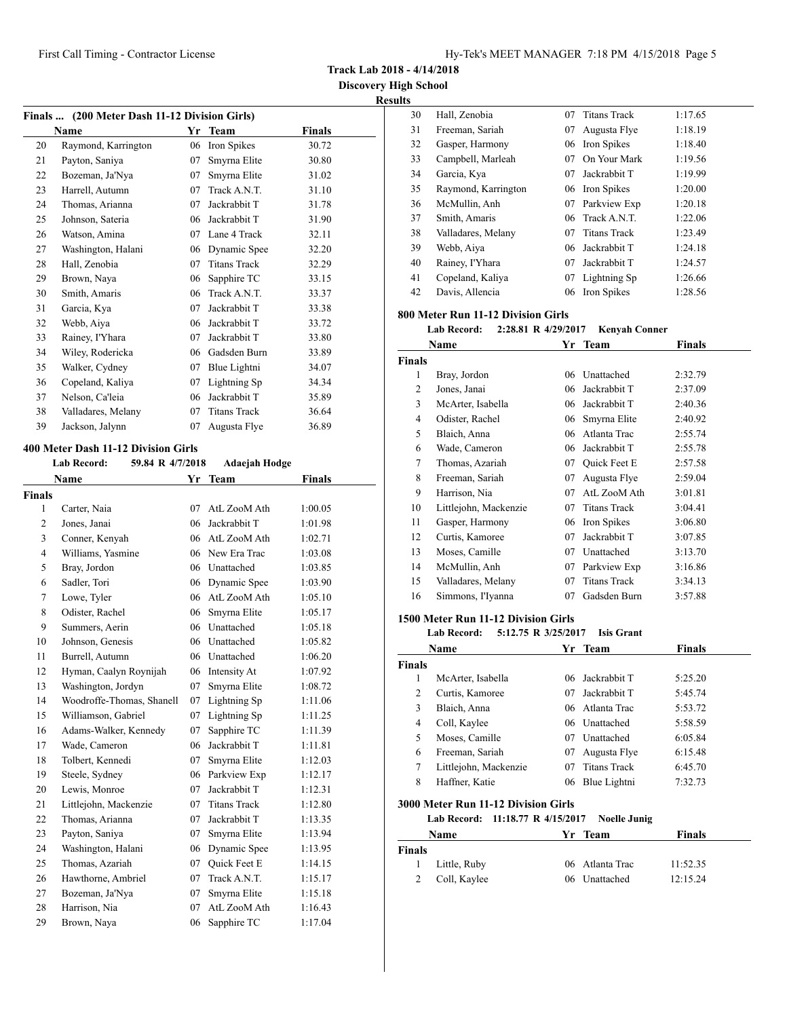**Track Lab 2018 - 4/14/2018**

**Discovery High School Results**

|    |                                               |    |                     |        | R |
|----|-----------------------------------------------|----|---------------------|--------|---|
|    | Finals  (200 Meter Dash 11-12 Division Girls) |    |                     |        |   |
|    | <b>Name</b>                                   | Yr | <b>Team</b>         | Finals |   |
| 20 | Raymond, Karrington                           | 06 | Iron Spikes         | 30.72  |   |
| 21 | Payton, Saniya                                | 07 | Smyrna Elite        | 30.80  |   |
| 22 | Bozeman, Ja'Nya                               | 07 | Smyrna Elite        | 31.02  |   |
| 23 | Harrell, Autumn                               | 07 | Track A.N.T.        | 31.10  |   |
| 24 | Thomas, Arianna                               | 07 | Jackrabbit T        | 31.78  |   |
| 25 | Johnson, Sateria                              | 06 | Jackrabbit T        | 31.90  |   |
| 26 | Watson, Amina                                 | 07 | Lane 4 Track        | 32.11  |   |
| 27 | Washington, Halani                            | 06 | Dynamic Spee        | 32.20  |   |
| 28 | Hall, Zenobia                                 | 07 | <b>Titans Track</b> | 32.29  |   |
| 29 | Brown, Naya                                   | 06 | Sapphire TC         | 33.15  |   |
| 30 | Smith, Amaris                                 | 06 | Track A.N.T.        | 33.37  |   |
| 31 | Garcia, Kya                                   | 07 | Jackrabbit T        | 33.38  |   |
| 32 | Webb, Aiya                                    | 06 | Jackrabbit T        | 33.72  |   |
| 33 | Rainey, I'Yhara                               | 07 | Jackrabbit T        | 33.80  |   |
| 34 | Wiley, Rodericka                              | 06 | Gadsden Burn        | 33.89  |   |
| 35 | Walker, Cydney                                | 07 | Blue Lightni        | 34.07  |   |
| 36 | Copeland, Kaliya                              | 07 | Lightning Sp        | 34.34  |   |
| 37 | Nelson, Ca'leia                               | 06 | Jackrabbit T        | 35.89  |   |
| 38 | Valladares, Melany                            | 07 | <b>Titans Track</b> | 36.64  |   |
| 39 | Jackson, Jalynn                               | 07 | Augusta Flye        | 36.89  |   |
|    |                                               |    |                     |        |   |

### **400 Meter Dash 11-12 Division Girls**

## **Lab Record: 59.84 R 4/7/2018 Adaejah Hodge**

|                | Name                      | Yr | Team                | Finals  |
|----------------|---------------------------|----|---------------------|---------|
| Finals         |                           |    |                     |         |
| 1              | Carter, Naia              | 07 | AtL ZooM Ath        | 1:00.05 |
| $\overline{c}$ | Jones, Janai              | 06 | Jackrabbit T        | 1:01.98 |
| 3              | Conner, Kenyah            | 06 | AtL ZooM Ath        | 1:02.71 |
| $\overline{4}$ | Williams, Yasmine         | 06 | New Era Trac        | 1:03.08 |
| 5              | Bray, Jordon              | 06 | Unattached          | 1:03.85 |
| 6              | Sadler, Tori              | 06 | Dynamic Spee        | 1:03.90 |
| 7              | Lowe, Tyler               | 06 | AtL ZooM Ath        | 1:05.10 |
| 8              | Odister, Rachel           | 06 | Smyrna Elite        | 1:05.17 |
| 9              | Summers, Aerin            | 06 | Unattached          | 1:05.18 |
| 10             | Johnson, Genesis          | 06 | Unattached          | 1:05.82 |
| 11             | Burrell, Autumn           | 06 | Unattached          | 1:06.20 |
| 12             | Hyman, Caalyn Roynijah    | 06 | Intensity At        | 1:07.92 |
| 13             | Washington, Jordyn        | 07 | Smyrna Elite        | 1:08.72 |
| 14             | Woodroffe-Thomas, Shanell | 07 | Lightning Sp        | 1:11.06 |
| 15             | Williamson, Gabriel       | 07 | Lightning Sp        | 1:11.25 |
| 16             | Adams-Walker, Kennedy     | 07 | Sapphire TC         | 1:11.39 |
| 17             | Wade, Cameron             | 06 | Jackrabbit T        | 1:11.81 |
| 18             | Tolbert, Kennedi          | 07 | Smyrna Elite        | 1:12.03 |
| 19             | Steele, Sydney            | 06 | Parkview Exp        | 1:12.17 |
| 20             | Lewis, Monroe             | 07 | Jackrabbit T        | 1:12.31 |
| 21             | Littlejohn, Mackenzie     | 07 | <b>Titans Track</b> | 1:12.80 |
| 22             | Thomas, Arianna           | 07 | Jackrabbit T        | 1:13.35 |
| 23             | Payton, Saniya            | 07 | Smyrna Elite        | 1:13.94 |
| 24             | Washington, Halani        | 06 | Dynamic Spee        | 1:13.95 |
| 25             | Thomas, Azariah           | 07 | <b>Ouick Feet E</b> | 1:14.15 |
| 26             | Hawthorne, Ambriel        | 07 | Track A.N.T.        | 1:15.17 |
| 27             | Bozeman, Ja'Nya           | 07 | Smyrna Elite        | 1:15.18 |
| 28             | Harrison, Nia             | 07 | AtL ZooM Ath        | 1:16.43 |
| 29             | Brown, Naya               | 06 | Sapphire TC         | 1:17.04 |
|                |                           |    |                     |         |

| 30 | Hall, Zenobia       | 07 | <b>Titans Track</b> | 1:17.65 |
|----|---------------------|----|---------------------|---------|
| 31 | Freeman, Sariah     | 07 | Augusta Flye        | 1:18.19 |
| 32 | Gasper, Harmony     |    | 06 Iron Spikes      | 1:18.40 |
| 33 | Campbell, Marleah   | 07 | On Your Mark        | 1:19.56 |
| 34 | Garcia, Kya         | 07 | Jackrabbit T        | 1:19.99 |
| 35 | Raymond, Karrington |    | 06 Iron Spikes      | 1:20.00 |
| 36 | McMullin, Anh       | 07 | Parkview Exp        | 1:20.18 |
| 37 | Smith, Amaris       |    | 06 Track A.N.T.     | 1:22.06 |
| 38 | Valladares, Melany  | 07 | <b>Titans Track</b> | 1:23.49 |
| 39 | Webb, Aiya          | 06 | Jackrabbit T        | 1:24.18 |
| 40 | Rainey, I'Yhara     | 07 | Jackrabbit T        | 1:24.57 |
| 41 | Copeland, Kaliya    | 07 | Lightning Sp        | 1:26.66 |
| 42 | Davis, Allencia     | 06 | Iron Spikes         | 1:28.56 |
|    |                     |    |                     |         |

# **800 Meter Run 11-12 Division Girls**

**Lab Record: 2:28.81 R 4/29/2017 Kenyah Conner**

|               | Name                  | Yr | <b>Team</b>         | Finals  |  |
|---------------|-----------------------|----|---------------------|---------|--|
| <b>Finals</b> |                       |    |                     |         |  |
| 1             | Bray, Jordon          | 06 | Unattached          | 2:32.79 |  |
| 2             | Jones, Janai          | 06 | Jackrabbit T        | 2:37.09 |  |
| 3             | McArter, Isabella     | 06 | Jackrabbit T        | 2:40.36 |  |
| 4             | Odister, Rachel       | 06 | Smyrna Elite        | 2:40.92 |  |
| 5             | Blaich, Anna          | 06 | Atlanta Trac        | 2:55.74 |  |
| 6             | Wade, Cameron         | 06 | Jackrabbit T        | 2:55.78 |  |
| 7             | Thomas, Azariah       | 07 | Quick Feet E        | 2:57.58 |  |
| 8             | Freeman, Sariah       | 07 | Augusta Flye        | 2:59.04 |  |
| 9             | Harrison, Nia         | 07 | AtL ZooM Ath        | 3:01.81 |  |
| 10            | Littlejohn, Mackenzie | 07 | <b>Titans Track</b> | 3:04.41 |  |
| 11            | Gasper, Harmony       | 06 | Iron Spikes         | 3:06.80 |  |
| 12            | Curtis, Kamoree       | 07 | Jackrabbit T        | 3:07.85 |  |
| 13            | Moses, Camille        | 07 | Unattached          | 3:13.70 |  |
| 14            | McMullin, Anh         | 07 | Parkview Exp        | 3:16.86 |  |
| 15            | Valladares, Melany    | 07 | <b>Titans Track</b> | 3:34.13 |  |
| 16            | Simmons, I'Iyanna     | 07 | Gadsden Burn        | 3:57.88 |  |

### **1500 Meter Run 11-12 Division Girls**

l,

**Lab Record: 5:12.75 R 3/25/2017 Isis Grant**

|        | Name                  |    | Yr Team             | Finals  |
|--------|-----------------------|----|---------------------|---------|
| Finals |                       |    |                     |         |
|        | McArter, Isabella     |    | 06 Jackrabbit T     | 5:25.20 |
| 2      | Curtis, Kamoree       | 07 | Jackrabbit T        | 5:45.74 |
| 3      | Blaich, Anna          |    | 06 Atlanta Trac     | 5:53.72 |
| 4      | Coll, Kaylee          |    | 06 Unattached       | 5:58.59 |
| 5      | Moses, Camille        | 07 | Unattached          | 6:05.84 |
| 6      | Freeman, Sariah       | 07 | Augusta Flye        | 6:15.48 |
| 7      | Littlejohn, Mackenzie | 07 | <b>Titans Track</b> | 6:45.70 |
| 8      | Haffner, Katie        | 06 | Blue Lightni        | 7:32.73 |

### **3000 Meter Run 11-12 Division Girls**

### **Lab Record: 11:18.77 R 4/15/2017 Noelle Junig**

|               | <b>Name</b>    | Yr Team         | <b>Finals</b> |
|---------------|----------------|-----------------|---------------|
| <b>Finals</b> |                |                 |               |
|               | 1 Little, Ruby | 06 Atlanta Trac | 11:52.35      |
| 2             | Coll, Kaylee   | 06 Unattached   | 12:15.24      |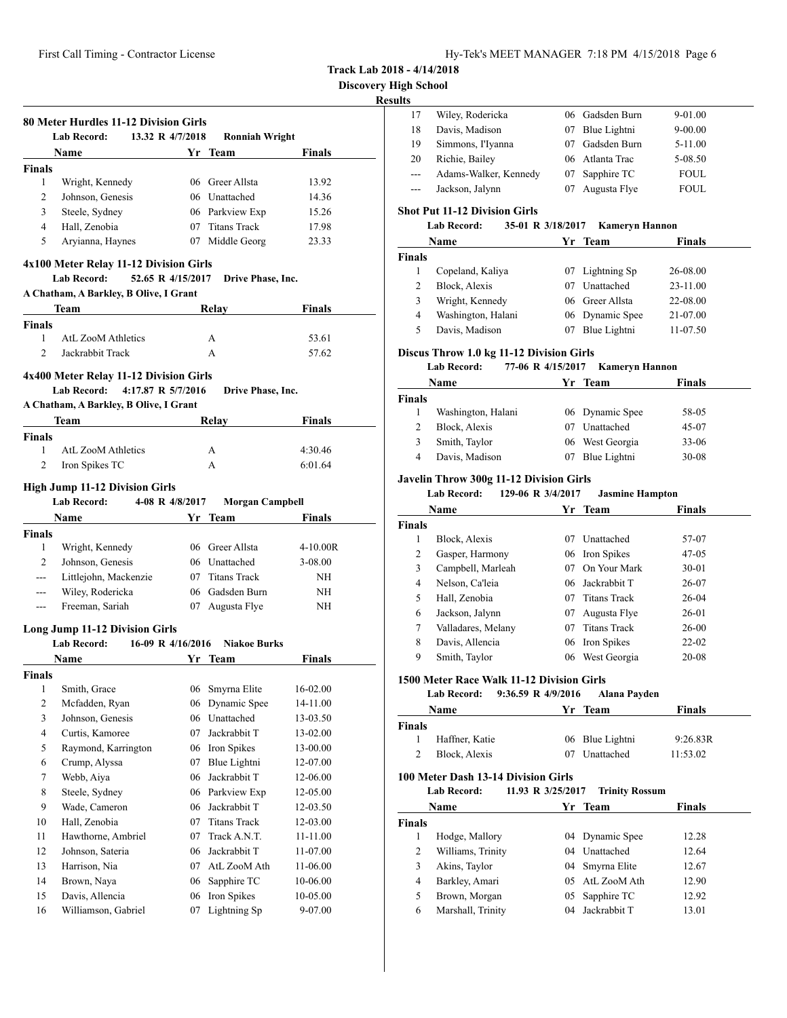**Discovery High School**

# **Resul**

|                               | <b>Lab Record:</b><br>13.32 R 4/7/2018                       | <b>Ronniah Wright</b>                     |               |
|-------------------------------|--------------------------------------------------------------|-------------------------------------------|---------------|
|                               | <b>Name</b>                                                  | Yr Team                                   | <b>Finals</b> |
| <b>Finals</b>                 |                                                              |                                           |               |
| 1                             | Wright, Kennedy                                              | 06 Greer Allsta                           | 13.92         |
| 2                             | Johnson, Genesis                                             | 06 Unattached                             | 14.36         |
| 3                             | Steele, Sydney                                               | 06 Parkview Exp                           | 15.26         |
| $\overline{4}$                | Hall, Zenobia                                                | 07 Titans Track                           | 17.98         |
| 5                             | Aryianna, Haynes                                             | 07 Middle Georg                           | 23.33         |
|                               | 4x100 Meter Relay 11-12 Division Girls<br><b>Lab Record:</b> | 52.65 R 4/15/2017<br>Drive Phase, Inc.    |               |
|                               | A Chatham, A Barkley, B Olive, I Grant                       |                                           |               |
|                               | Team                                                         | Relay                                     | Finals        |
| <b>Finals</b>                 |                                                              |                                           |               |
| 1                             | <b>AtL ZooM Athletics</b><br>Jackrabbit Track                | А                                         | 53.61         |
| $\overline{2}$                |                                                              | A                                         | 57.62         |
|                               | 4x400 Meter Relay 11-12 Division Girls                       |                                           |               |
|                               | Lab Record:<br>4:17.87 R 5/7/2016                            | Drive Phase, Inc.                         |               |
|                               | A Chatham, A Barkley, B Olive, I Grant                       |                                           |               |
|                               | Team                                                         | Relay                                     | <b>Finals</b> |
| <b>Finals</b>                 |                                                              |                                           |               |
| 1                             | <b>AtL ZooM Athletics</b>                                    | A                                         | 4:30.46       |
| $\overline{2}$                |                                                              |                                           |               |
|                               | Iron Spikes TC                                               | A                                         | 6:01.64       |
|                               | <b>High Jump 11-12 Division Girls</b>                        |                                           |               |
|                               | <b>Lab Record:</b>                                           | 4-08 R 4/8/2017<br><b>Morgan Campbell</b> |               |
|                               | Name                                                         | Yr Team                                   | <b>Finals</b> |
|                               |                                                              |                                           |               |
| 1                             | Wright, Kennedy                                              | 06 Greer Allsta                           | 4-10.00R      |
| $\overline{2}$                | Johnson, Genesis                                             | 06 Unattached                             | 3-08.00       |
| ---                           | Littlejohn, Mackenzie                                        | 07 Titans Track                           | NH            |
| ---                           | Wiley, Rodericka                                             | 06 Gadsden Burn                           | NH            |
| $\overline{a}$                | Freeman, Sariah                                              | 07 Augusta Flye                           | NH            |
|                               |                                                              |                                           |               |
|                               | <b>Long Jump 11-12 Division Girls</b><br><b>Lab Record:</b>  | 16-09 R 4/16/2016<br><b>Niakoe Burks</b>  |               |
|                               | <b>Name</b>                                                  | Yr Team                                   | Finals        |
|                               |                                                              |                                           |               |
| 1                             | Smith, Grace                                                 | 06<br>Smyrna Elite                        | 16-02.00      |
| $\overline{c}$                | Mcfadden, Ryan                                               | Dynamic Spee<br>06                        | 14-11.00      |
| 3                             | Johnson, Genesis                                             | Unattached<br>06                          | 13-03.50      |
| $\overline{4}$                | Curtis, Kamoree                                              | Jackrabbit T<br>07                        | 13-02.00      |
| 5                             | Raymond, Karrington                                          | Iron Spikes<br>06                         | 13-00.00      |
| 6                             | Crump, Alyssa                                                | Blue Lightni<br>07                        | 12-07.00      |
| $\tau$                        | Webb, Aiya                                                   | Jackrabbit T<br>06                        | 12-06.00      |
| $\,8\,$                       | Steele, Sydney                                               | Parkview Exp<br>06                        | 12-05.00      |
| 9                             | Wade, Cameron                                                | Jackrabbit T<br>06                        | 12-03.50      |
| 10                            | Hall, Zenobia                                                | <b>Titans Track</b><br>07                 | 12-03.00      |
| 11                            | Hawthorne, Ambriel                                           | 07<br>Track A.N.T.                        | 11-11.00      |
| <b>Finals</b><br>Finals<br>12 | Johnson, Sateria                                             | Jackrabbit T<br>06                        | 11-07.00      |
| 13                            | Harrison, Nia                                                | AtL ZooM Ath<br>07                        | 11-06.00      |
| 14                            | Brown, Naya                                                  | Sapphire TC<br>06                         | 10-06.00      |
| 15                            | Davis, Allencia                                              | Iron Spikes<br>06                         | 10-05.00      |

| aults              |                                                           |    |                                   |                      |
|--------------------|-----------------------------------------------------------|----|-----------------------------------|----------------------|
| 17                 | Wiley, Rodericka                                          |    | 06 Gadsden Burn                   | 9-01.00              |
| 18                 | Davis, Madison                                            |    | 07 Blue Lightni                   | 9-00.00              |
| 19                 | Simmons, I'Iyanna                                         |    | 07 Gadsden Burn                   | 5-11.00              |
| 20                 | Richie, Bailey                                            |    | 06 Atlanta Trac                   | 5-08.50              |
| $\overline{a}$     | Adams-Walker, Kennedy                                     |    | 07 Sapphire TC                    | <b>FOUL</b>          |
| ---                | Jackson, Jalynn                                           | 07 | Augusta Flye                      | FOUL                 |
|                    | <b>Shot Put 11-12 Division Girls</b>                      |    |                                   |                      |
|                    | 35-01 R 3/18/2017<br><b>Lab Record:</b>                   |    | <b>Kameryn Hannon</b>             |                      |
|                    | Name                                                      |    | Yr Team                           | <b>Finals</b>        |
| Finals<br>1        | Copeland, Kaliya                                          |    |                                   |                      |
| 2                  | Block, Alexis                                             | 07 | Lightning Sp<br>07 Unattached     | 26-08.00<br>23-11.00 |
| 3                  | Wright, Kennedy                                           |    | 06 Greer Allsta                   | 22-08.00             |
| 4                  | Washington, Halani                                        |    | 06 Dynamic Spee                   | 21-07.00             |
| 5                  | Davis, Madison                                            | 07 |                                   |                      |
|                    |                                                           |    | Blue Lightni                      | 11-07.50             |
|                    | Discus Throw 1.0 kg 11-12 Division Girls                  |    |                                   |                      |
|                    | <b>Lab Record:</b><br>77-06 R 4/15/2017                   |    | <b>Kameryn Hannon</b>             |                      |
| <b>Finals</b>      | Name                                                      | Yr | <b>Team</b>                       | <b>Finals</b>        |
| $\mathbf{1}$       | Washington, Halani                                        |    | 06 Dynamic Spee                   | 58-05                |
| 2                  | Block, Alexis                                             |    | 07 Unattached                     |                      |
| 3                  |                                                           |    | 06 West Georgia                   | 45-07                |
| 4                  | Smith, Taylor<br>Davis, Madison                           |    | Blue Lightni                      | 33-06<br>$30 - 08$   |
|                    |                                                           | 07 |                                   |                      |
|                    | Javelin Throw 300g 11-12 Division Girls                   |    |                                   |                      |
|                    | <b>Lab Record:</b><br>129-06 R 3/4/2017                   |    | <b>Jasmine Hampton</b>            |                      |
|                    | Name                                                      |    | Yr Team                           | <b>Finals</b>        |
| <b>Finals</b>      |                                                           |    |                                   |                      |
|                    |                                                           |    |                                   |                      |
| 1                  | Block, Alexis                                             |    | 07 Unattached                     | 57-07                |
| 2                  | Gasper, Harmony                                           |    | 06 Iron Spikes                    | 47-05                |
| 3                  | Campbell, Marleah                                         |    | 07 On Your Mark                   | 30-01                |
| 4                  | Nelson, Ca'leia                                           |    | 06 Jackrabbit T                   | 26-07                |
| 5                  | Hall, Zenobia                                             |    | 07 Titans Track                   | 26-04                |
| 6                  | Jackson, Jalynn                                           |    | 07 Augusta Flye                   | 26-01                |
| 7                  | Valladares, Melany                                        |    | 07 Titans Track                   | 26-00                |
| 8                  | Davis, Allencia                                           | 06 | Iron Spikes                       | 22-02                |
| 9                  | Smith, Taylor                                             | 06 | West Georgia                      | 20-08                |
|                    | 1500 Meter Race Walk 11-12 Division Girls                 |    |                                   |                      |
|                    | Lab Record:<br>9:36.59 R 4/9/2016                         |    | Alana Payden                      |                      |
|                    | Name                                                      |    | Yr Team                           | <b>Finals</b>        |
|                    |                                                           |    |                                   |                      |
| <b>Finals</b><br>1 | Haffner, Katie                                            | 06 | Blue Lightni                      | 9:26.83R             |
| 2                  | Block, Alexis                                             | 07 | Unattached                        | 11:53.02             |
|                    |                                                           |    |                                   |                      |
|                    | 100 Meter Dash 13-14 Division Girls<br><b>Lab Record:</b> |    |                                   |                      |
|                    | 11.93 R 3/25/2017                                         |    | <b>Trinity Rossum</b>             |                      |
|                    | Name                                                      |    | Yr Team                           | <b>Finals</b>        |
|                    |                                                           |    |                                   |                      |
| $\mathbf{1}$       | Hodge, Mallory                                            |    | 04 Dynamic Spee                   | 12.28                |
| 2                  | Williams, Trinity                                         |    | 04 Unattached                     | 12.64                |
| <b>Finals</b><br>3 | Akins, Taylor                                             |    | 04 Smyrna Elite                   | 12.67                |
| 4<br>5             | Barkley, Amari<br>Brown, Morgan                           |    | 05 AtL ZooM Ath<br>05 Sapphire TC | 12.90<br>12.92       |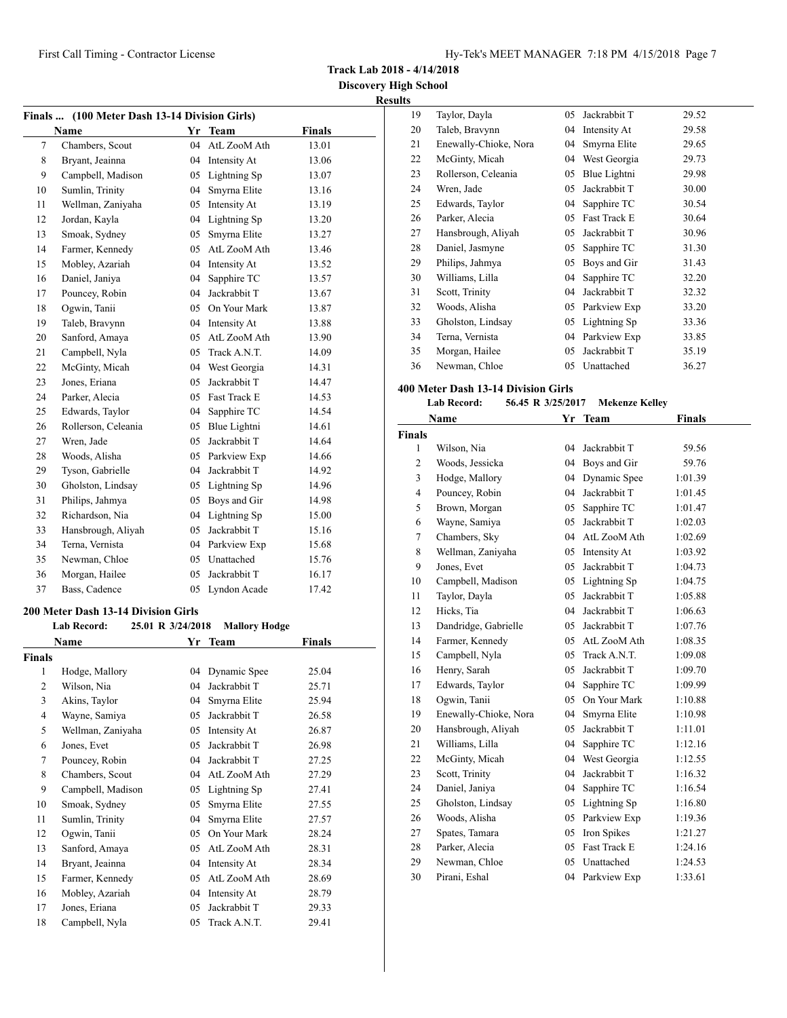**Track Lab 2018 - 4/14/2018**

**Discovery High School Results**

|                    | Finals  (100 Meter Dash 13-14 Division Girls) |                   |                              |               |
|--------------------|-----------------------------------------------|-------------------|------------------------------|---------------|
|                    | Name                                          |                   | Yr Team                      | <b>Finals</b> |
| 7                  | Chambers, Scout                               | 04                | AtL ZooM Ath                 | 13.01         |
| 8                  | Bryant, Jeainna                               |                   | 04 Intensity At              | 13.06         |
| 9                  | Campbell, Madison                             | 05                | Lightning Sp                 | 13.07         |
| 10                 | Sumlin, Trinity                               | 04                | Smyrna Elite                 | 13.16         |
| 11                 | Wellman, Zaniyaha                             | 05                | Intensity At                 | 13.19         |
| 12                 | Jordan, Kayla                                 | 04                | Lightning Sp                 | 13.20         |
| 13                 | Smoak, Sydney                                 | 05                | Smyrna Elite                 | 13.27         |
| 14                 | Farmer, Kennedy                               |                   | 05 AtL ZooM Ath              | 13.46         |
| 15                 | Mobley, Azariah                               |                   | 04 Intensity At              | 13.52         |
| 16                 | Daniel, Janiya                                | 04                | Sapphire TC                  | 13.57         |
| 17                 | Pouncey, Robin                                |                   | 04 Jackrabbit T              | 13.67         |
| 18                 | Ogwin, Tanii                                  |                   | 05 On Your Mark              | 13.87         |
| 19                 | Taleb, Bravynn                                |                   | 04 Intensity At              | 13.88         |
| 20                 | Sanford, Amaya                                |                   | 05 AtL ZooM Ath              | 13.90         |
| 21                 | Campbell, Nyla                                |                   | 05 Track A.N.T.              | 14.09         |
| 22                 | McGinty, Micah                                |                   | 04 West Georgia              | 14.31         |
| 23                 | Jones, Eriana                                 |                   | 05 Jackrabbit T              | 14.47         |
| 24                 | Parker, Alecia                                |                   | 05 Fast Track E              | 14.53         |
| 25                 | Edwards, Taylor                               |                   | 04 Sapphire TC               | 14.54         |
| 26                 | Rollerson, Celeania                           |                   | 05 Blue Lightni              | 14.61         |
| 27                 | Wren, Jade                                    |                   | 05 Jackrabbit T              | 14.64         |
| 28                 | Woods, Alisha                                 |                   | 05 Parkview Exp              | 14.66         |
| 29                 | Tyson, Gabrielle                              |                   | 04 Jackrabbit T              | 14.92         |
| 30                 | Gholston, Lindsay                             |                   | 05 Lightning Sp              | 14.96         |
| 31                 | Philips, Jahmya                               |                   | 05 Boys and Gir              | 14.98         |
| 32                 | Richardson, Nia                               |                   | 04 Lightning Sp              | 15.00         |
| 33                 | Hansbrough, Aliyah                            |                   | 05 Jackrabbit T              | 15.16         |
| 34                 | Terna, Vernista                               |                   | 04 Parkview Exp              | 15.68         |
| 35                 | Newman, Chloe                                 |                   | 05 Unattached                | 15.76         |
| 36                 | Morgan, Hailee                                | 05                | Jackrabbit T                 | 16.17         |
| 37                 | Bass, Cadence                                 |                   | 05 Lyndon Acade              | 17.42         |
|                    |                                               |                   |                              |               |
|                    | 200 Meter Dash 13-14 Division Girls           |                   |                              |               |
|                    | <b>Lab Record:</b>                            | 25.01 R 3/24/2018 | Mallory Hodge                |               |
|                    | Name                                          | Yr                | Team                         | Finals        |
| <b>Finals</b><br>1 |                                               |                   |                              | 25.04         |
|                    | Hodge, Mallory<br>Wilson, Nia                 | 04<br>04          | Dynamic Spee<br>Jackrabbit T | 25.71         |
| 2<br>3             | Akins, Taylor                                 | 04                | Smyrna Elite                 | 25.94         |
| 4                  | Wayne, Samiya                                 | 05                | Jackrabbit T                 | 26.58         |
|                    | Wellman, Zaniyaha                             | 05                | Intensity At                 |               |
| 5                  |                                               |                   | Jackrabbit T                 | 26.87         |
| 6                  | Jones, Evet                                   | 05                | Jackrabbit T                 | 26.98         |
| 7                  | Pouncey, Robin                                | 04                |                              | 27.25         |
| 8                  | Chambers, Scout                               | 04                | AtL ZooM Ath                 | 27.29         |
| 9                  | Campbell, Madison                             | 05                | Lightning Sp                 | 27.41         |
| 10                 | Smoak, Sydney                                 | 05                | Smyrna Elite                 | 27.55         |
| 11                 | Sumlin, Trinity                               | 04                | Smyrna Elite                 | 27.57         |
| 12                 | Ogwin, Tanii                                  | 05                | On Your Mark                 | 28.24         |
| 13                 | Sanford, Amaya                                | 05                | AtL ZooM Ath                 | 28.31         |
| 14                 | Bryant, Jeainna                               | 04                | Intensity At                 | 28.34         |
| 15                 | Farmer, Kennedy                               | 05                | AtL ZooM Ath                 | 28.69         |
| 16                 | Mobley, Azariah                               | 04                | Intensity At                 | 28.79         |
| 17                 | Jones, Eriana                                 | 05                | Jackrabbit T                 | 29.33         |
| 18                 | Campbell, Nyla                                | 05                | Track A.N.T.                 | 29.41         |

| ĽS |                       |    |              |       |  |
|----|-----------------------|----|--------------|-------|--|
| 19 | Taylor, Dayla         | 05 | Jackrabbit T | 29.52 |  |
| 20 | Taleb, Bravynn        | 04 | Intensity At | 29.58 |  |
| 21 | Enewally-Chioke, Nora | 04 | Smyrna Elite | 29.65 |  |
| 22 | McGinty, Micah        | 04 | West Georgia | 29.73 |  |
| 23 | Rollerson, Celeania   | 05 | Blue Lightni | 29.98 |  |
| 24 | Wren, Jade            | 05 | Jackrabbit T | 30.00 |  |
| 25 | Edwards, Taylor       | 04 | Sapphire TC  | 30.54 |  |
| 26 | Parker, Alecia        | 05 | Fast Track E | 30.64 |  |
| 27 | Hansbrough, Aliyah    | 05 | Jackrabbit T | 30.96 |  |
| 28 | Daniel, Jasmyne       | 05 | Sapphire TC  | 31.30 |  |
| 29 | Philips, Jahmya       | 05 | Boys and Gir | 31.43 |  |
| 30 | Williams, Lilla       | 04 | Sapphire TC  | 32.20 |  |
| 31 | Scott, Trinity        | 04 | Jackrabbit T | 32.32 |  |
| 32 | Woods, Alisha         | 05 | Parkview Exp | 33.20 |  |
| 33 | Gholston, Lindsay     | 05 | Lightning Sp | 33.36 |  |
| 34 | Terna, Vernista       | 04 | Parkview Exp | 33.85 |  |
| 35 | Morgan, Hailee        | 05 | Jackrabbit T | 35.19 |  |
| 36 | Newman, Chloe         | 05 | Unattached   | 36.27 |  |

### **400 Meter Dash 13-14 Division Girls**

|                | <b>Lab Record:</b><br>56.45 R 3/25/2017 |    | <b>Mekenze Kelley</b> |               |  |
|----------------|-----------------------------------------|----|-----------------------|---------------|--|
|                | Name                                    |    | Yr Team               | <b>Finals</b> |  |
| <b>Finals</b>  |                                         |    |                       |               |  |
| 1              | Wilson, Nia                             | 04 | Jackrabbit T          | 59.56         |  |
| $\overline{c}$ | Woods, Jessicka                         | 04 | Boys and Gir          | 59.76         |  |
| 3              | Hodge, Mallory                          | 04 | Dynamic Spee          | 1:01.39       |  |
| $\overline{4}$ | Pouncey, Robin                          | 04 | Jackrabbit T          | 1:01.45       |  |
| 5              | Brown, Morgan                           | 05 | Sapphire TC           | 1:01.47       |  |
| 6              | Wayne, Samiya                           | 05 | Jackrabbit T          | 1:02.03       |  |
| 7              | Chambers, Sky                           |    | 04 AtL ZooM Ath       | 1:02.69       |  |
| 8              | Wellman, Zaniyaha                       | 05 | Intensity At          | 1:03.92       |  |
| 9              | Jones, Evet                             | 05 | Jackrabbit T          | 1:04.73       |  |
| 10             | Campbell, Madison                       |    | 05 Lightning Sp       | 1:04.75       |  |
| 11             | Taylor, Dayla                           | 05 | Jackrabbit T          | 1:05.88       |  |
| 12             | Hicks, Tia                              | 04 | Jackrabbit T          | 1:06.63       |  |
| 13             | Dandridge, Gabrielle                    | 05 | Jackrabbit T          | 1:07.76       |  |
| 14             | Farmer, Kennedy                         | 05 | AtL ZooM Ath          | 1:08.35       |  |
| 15             | Campbell, Nyla                          | 05 | Track A.N.T.          | 1:09.08       |  |
| 16             | Henry, Sarah                            | 05 | Jackrabbit T          | 1:09.70       |  |
| 17             | Edwards, Taylor                         |    | 04 Sapphire TC        | 1:09.99       |  |
| 18             | Ogwin, Tanii                            | 05 | On Your Mark          | 1:10.88       |  |
| 19             | Enewally-Chioke, Nora                   | 04 | Smyrna Elite          | 1:10.98       |  |
| 20             | Hansbrough, Aliyah                      | 05 | Jackrabbit T          | 1:11.01       |  |
| 21             | Williams, Lilla                         | 04 | Sapphire TC           | 1:12.16       |  |
| 22             | McGinty, Micah                          | 04 | West Georgia          | 1:12.55       |  |
| 23             | Scott, Trinity                          | 04 | Jackrabbit T          | 1:16.32       |  |
| 24             | Daniel, Janiya                          | 04 | Sapphire TC           | 1:16.54       |  |
| 25             | Gholston, Lindsay                       | 05 | Lightning Sp          | 1:16.80       |  |
| 26             | Woods, Alisha                           | 05 | Parkview Exp          | 1:19.36       |  |
| 27             | Spates, Tamara                          | 05 | Iron Spikes           | 1:21.27       |  |
| 28             | Parker, Alecia                          | 05 | Fast Track E          | 1:24.16       |  |
| 29             | Newman, Chloe                           | 05 | Unattached            | 1:24.53       |  |
| 30             | Pirani, Eshal                           | 04 | Parkview Exp          | 1:33.61       |  |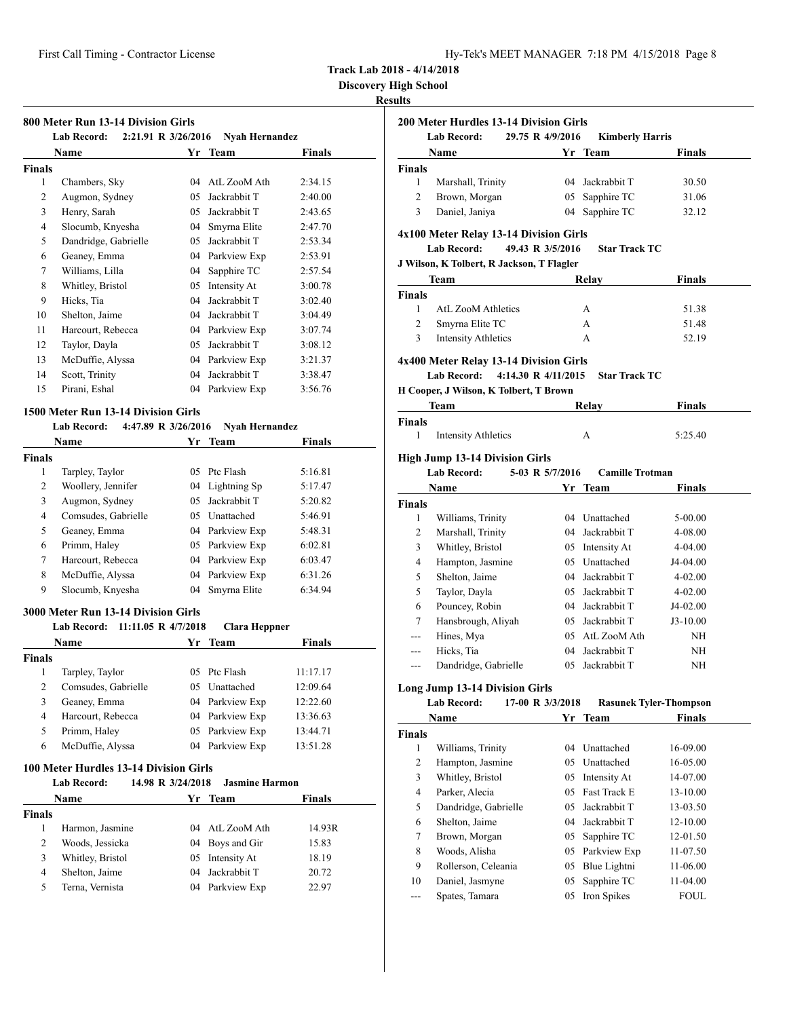**Discovery High School**

## **Results**

| 2:21.91 R 3/26/2016<br><b>Lab Record:</b><br><b>Nyah Hernandez</b> |                      |    |                 |         |  |
|--------------------------------------------------------------------|----------------------|----|-----------------|---------|--|
|                                                                    | Name                 |    | Yr Team         | Finals  |  |
| <b>Finals</b>                                                      |                      |    |                 |         |  |
| 1                                                                  | Chambers, Sky        | 04 | AtL ZooM Ath    | 2:34.15 |  |
| 2                                                                  | Augmon, Sydney       | 05 | Jackrabbit T    | 2:40.00 |  |
| 3                                                                  | Henry, Sarah         | 05 | Jackrabbit T    | 2:43.65 |  |
| 4                                                                  | Slocumb, Knyesha     | 04 | Smyrna Elite    | 2:47.70 |  |
| 5                                                                  | Dandridge, Gabrielle | 05 | Jackrabbit T    | 2:53.34 |  |
| 6                                                                  | Geaney, Emma         | 04 | Parkview Exp    | 2:53.91 |  |
| 7                                                                  | Williams, Lilla      | 04 | Sapphire TC     | 2:57.54 |  |
| 8                                                                  | Whitley, Bristol     | 05 | Intensity At    | 3:00.78 |  |
| 9                                                                  | Hicks, Tia           | 04 | Jackrabbit T    | 3:02.40 |  |
| 10                                                                 | Shelton, Jaime       | 04 | Jackrabbit T    | 3:04.49 |  |
| 11                                                                 | Harcourt, Rebecca    | 04 | Parkview Exp    | 3:07.74 |  |
| 12                                                                 | Taylor, Dayla        | 05 | Jackrabbit T    | 3:08.12 |  |
| 13                                                                 | McDuffie, Alyssa     | 04 | Parkview Exp    | 3:21.37 |  |
| 14                                                                 | Scott, Trinity       | 04 | Jackrabbit T    | 3:38.47 |  |
| 15                                                                 | Pirani, Eshal        |    | 04 Parkview Exp | 3:56.76 |  |

# **1500 Meter Run 13-14 Division Girls**

# **Lab Record: 4:47.89 R 3/26/2016 Nyah Hernandez**

|        | <b>Name</b>         |     | Yr Team         | <b>Finals</b> |  |
|--------|---------------------|-----|-----------------|---------------|--|
| Finals |                     |     |                 |               |  |
| 1      | Tarpley, Taylor     | 05  | Ptc Flash       | 5:16.81       |  |
| 2      | Woollery, Jennifer  |     | 04 Lightning Sp | 5:17.47       |  |
| 3      | Augmon, Sydney      | 05  | Jackrabbit T    | 5:20.82       |  |
| 4      | Comsudes, Gabrielle | 05. | Unattached      | 5:46.91       |  |
| 5      | Geaney, Emma        |     | 04 Parkview Exp | 5:48.31       |  |
| 6      | Primm, Haley        |     | 05 Parkview Exp | 6:02.81       |  |
| 7      | Harcourt, Rebecca   |     | 04 Parkview Exp | 6:03.47       |  |
| 8      | McDuffie, Alyssa    |     | 04 Parkview Exp | 6:31.26       |  |
| 9      | Slocumb, Knyesha    | 04  | Smyrna Elite    | 6:34.94       |  |

### **3000 Meter Run 13-14 Division Girls**

|               | 11:11.05 R 4/7/2018<br><b>Lab Record:</b> | <b>Clara Heppner</b> |               |  |
|---------------|-------------------------------------------|----------------------|---------------|--|
|               | Name                                      | Yr Team              | <b>Finals</b> |  |
| <b>Finals</b> |                                           |                      |               |  |
| 1             | Tarpley, Taylor                           | 05 Ptc Flash         | 11:17.17      |  |
| 2             | Comsudes, Gabrielle                       | 05 Unattached        | 12:09.64      |  |
| 3             | Geaney, Emma                              | 04 Parkview Exp      | 12:22.60      |  |
| 4             | Harcourt, Rebecca                         | 04 Parkview Exp      | 13:36.63      |  |
| 5             | Primm, Haley                              | 05 Parkview Exp      | 13:44.71      |  |
| 6             | McDuffie, Alyssa                          | 04 Parkview Exp      | 13:51.28      |  |

### **100 Meter Hurdles 13-14 Division Girls**

|               | <b>Lab Record:</b> | 14.98 R 3/24/2018 | <b>Jasmine Harmon</b> |        |  |
|---------------|--------------------|-------------------|-----------------------|--------|--|
|               | <b>Name</b>        |                   | Yr Team               | Finals |  |
| <b>Finals</b> |                    |                   |                       |        |  |
|               | Harmon, Jasmine    |                   | 04 AtL ZooM Ath       | 14.93R |  |
| 2             | Woods, Jessicka    |                   | 04 Boys and Gir       | 15.83  |  |
| 3             | Whitley, Bristol   |                   | 05 Intensity At       | 18.19  |  |
| 4             | Shelton, Jaime     | 04                | Jackrabbit T          | 20.72  |  |
| 5             | Terna, Vernista    |                   | 04 Parkview Exp       | 22.97  |  |

| <b>Lab Record:</b>            | Name                                                                                                                                         |                  | <b>Kimberly Harris</b><br>Yr Team | Finals                        |
|-------------------------------|----------------------------------------------------------------------------------------------------------------------------------------------|------------------|-----------------------------------|-------------------------------|
| <b>Finals</b>                 |                                                                                                                                              |                  |                                   |                               |
| 1                             | Marshall, Trinity                                                                                                                            |                  | 04 Jackrabbit T                   | 30.50                         |
| $\overline{2}$                | Brown, Morgan                                                                                                                                |                  | 05 Sapphire TC                    | 31.06                         |
| 3                             | Daniel, Janiya                                                                                                                               |                  | 04 Sapphire TC                    | 32.12                         |
|                               |                                                                                                                                              |                  |                                   |                               |
|                               | 4x100 Meter Relay 13-14 Division Girls                                                                                                       |                  |                                   |                               |
|                               | <b>Lab Record:</b>                                                                                                                           | 49.43 R 3/5/2016 | <b>Star Track TC</b>              |                               |
|                               | J Wilson, K Tolbert, R Jackson, T Flagler                                                                                                    |                  |                                   |                               |
|                               | Team                                                                                                                                         |                  | Relay                             | <b>Finals</b>                 |
| <b>Finals</b><br>$\mathbf{1}$ | <b>AtL ZooM Athletics</b>                                                                                                                    |                  | A                                 | 51.38                         |
| $\overline{2}$                | Smyrna Elite TC                                                                                                                              |                  | A                                 | 51.48                         |
| 3                             | <b>Intensity Athletics</b>                                                                                                                   |                  | A                                 | 52.19                         |
|                               |                                                                                                                                              |                  |                                   |                               |
|                               | 4x400 Meter Relay 13-14 Division Girls<br><b>Lab Record:</b><br>4:14.30 R 4/11/2015<br>H Cooper, J Wilson, K Tolbert, T Brown<br><b>Team</b> |                  | <b>Star Track TC</b><br>Relay     | Finals                        |
| <b>Finals</b>                 |                                                                                                                                              |                  |                                   |                               |
| $\mathbf{1}$                  | <b>Intensity Athletics</b>                                                                                                                   |                  | A                                 | 5:25.40                       |
|                               |                                                                                                                                              |                  |                                   |                               |
|                               | <b>High Jump 13-14 Division Girls</b><br><b>Lab Record:</b>                                                                                  | 5-03 R 5/7/2016  | <b>Camille Trotman</b>            |                               |
|                               | <b>Name</b>                                                                                                                                  |                  | Yr Team                           | Finals                        |
| <b>Finals</b>                 |                                                                                                                                              |                  |                                   |                               |
| $\mathbf{1}$                  | Williams, Trinity                                                                                                                            |                  | 04 Unattached                     | 5-00.00                       |
| $\overline{2}$                | Marshall, Trinity                                                                                                                            |                  | 04 Jackrabbit T                   | 4-08.00                       |
| 3                             | Whitley, Bristol                                                                                                                             |                  | 05 Intensity At                   | 4-04.00                       |
| 4                             | Hampton, Jasmine                                                                                                                             |                  | 05 Unattached                     | J4-04.00                      |
| 5                             | Shelton, Jaime                                                                                                                               |                  | 04 Jackrabbit T                   | 4-02.00                       |
| 5                             | Taylor, Dayla                                                                                                                                |                  | 05 Jackrabbit T                   | $4 - 02.00$                   |
| 6                             | Pouncey, Robin                                                                                                                               |                  | 04 Jackrabbit T                   | J4-02.00                      |
| 7                             | Hansbrough, Aliyah                                                                                                                           |                  | 05 Jackrabbit T                   | $J3-10.00$                    |
| $- -$                         | Hines, Mya                                                                                                                                   |                  | 05 AtL ZooM Ath                   | NH                            |
|                               | Hicks, Tia                                                                                                                                   |                  | 04 Jackrabbit T                   | NH                            |
| ---                           | Dandridge, Gabrielle                                                                                                                         |                  | 05 Jackrabbit T                   | NH                            |
|                               | <b>Long Jump 13-14 Division Girls</b>                                                                                                        |                  |                                   |                               |
|                               | <b>Lab Record:</b>                                                                                                                           | 17-00 R 3/3/2018 |                                   | <b>Rasunek Tyler-Thompson</b> |
|                               |                                                                                                                                              |                  |                                   |                               |
|                               | Name                                                                                                                                         |                  | Yr Team                           | <b>Finals</b>                 |
|                               |                                                                                                                                              |                  |                                   |                               |
| 1                             | Williams, Trinity                                                                                                                            | 04               | Unattached                        | 16-09.00                      |
| 2                             | Hampton, Jasmine                                                                                                                             | 05               | Unattached                        | 16-05.00                      |
| 3                             | Whitley, Bristol                                                                                                                             | 05               | Intensity At                      | 14-07.00                      |
| 4                             | Parker, Alecia                                                                                                                               |                  | 05 Fast Track E                   | 13-10.00                      |
| <b>Finals</b><br>5            | Dandridge, Gabrielle                                                                                                                         | 05               | Jackrabbit T                      | 13-03.50                      |
| 6                             | Shelton, Jaime                                                                                                                               |                  | 04 Jackrabbit T                   | 12-10.00                      |
| 7                             | Brown, Morgan                                                                                                                                | 05               | Sapphire TC                       | 12-01.50                      |
| 8                             | Woods, Alisha                                                                                                                                | 05               | Parkview Exp                      | 11-07.50                      |
| 9                             | Rollerson, Celeania                                                                                                                          | 05               | Blue Lightni                      | 11-06.00                      |
| 10<br>$\frac{1}{2}$           | Daniel, Jasmyne<br>Spates, Tamara                                                                                                            | 05<br>05         | Sapphire TC<br>Iron Spikes        | 11-04.00<br><b>FOUL</b>       |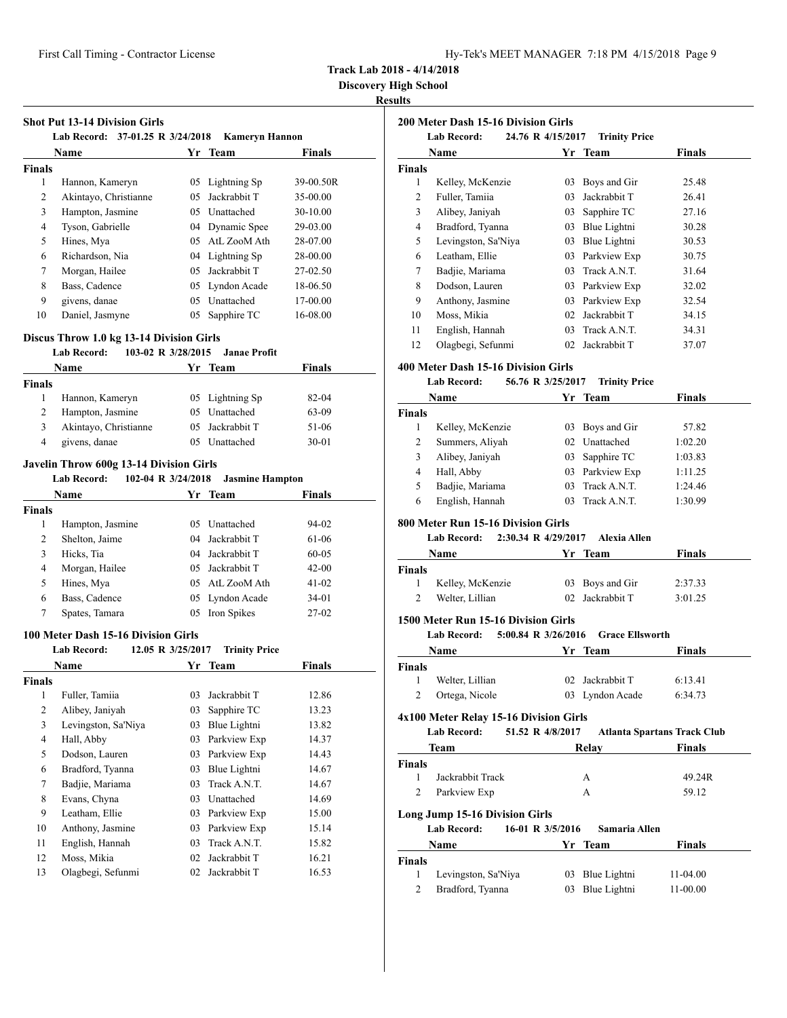| Hy-Tek's MEET MANAGER 7:18 PM 4/15/2018 Page 9 |  |  |  |
|------------------------------------------------|--|--|--|
|------------------------------------------------|--|--|--|

**Discovery High School**

|                | Name                                             |          | Yr Team                        | Finals         |
|----------------|--------------------------------------------------|----------|--------------------------------|----------------|
| <b>Finals</b>  |                                                  |          |                                |                |
| 1              | Hannon, Kameryn                                  |          | 05 Lightning Sp                | 39-00.50R      |
| 2              | Akintayo, Christianne                            |          | 05 Jackrabbit T                | 35-00.00       |
| 3              | Hampton, Jasmine                                 |          | 05 Unattached                  | 30-10.00       |
| 4              | Tyson, Gabrielle                                 |          | 04 Dynamic Spee                | 29-03.00       |
| 5              | Hines, Mya                                       |          | 05 AtL ZooM Ath                | 28-07.00       |
| 6              | Richardson, Nia                                  |          | 04 Lightning Sp                | 28-00.00       |
| 7              | Morgan, Hailee                                   |          | 05 Jackrabbit T                | 27-02.50       |
| 8              | Bass, Cadence                                    |          | 05 Lyndon Acade                | 18-06.50       |
| 9              | givens, danae                                    |          | 05 Unattached                  | 17-00.00       |
| 10             | Daniel, Jasmyne                                  | 05       | Sapphire TC                    | 16-08.00       |
|                | Discus Throw 1.0 kg 13-14 Division Girls         |          |                                |                |
|                | <b>Lab Record:</b><br>103-02 R 3/28/2015<br>Name |          | <b>Janae Profit</b><br>Yr Team | Finals         |
| <b>Finals</b>  |                                                  |          |                                |                |
| $\mathbf{1}$   | Hannon, Kameryn                                  |          | 05 Lightning Sp                | 82-04          |
| 2              | Hampton, Jasmine                                 |          | 05 Unattached                  | 63-09          |
| 3              | Akintayo, Christianne                            |          | 05 Jackrabbit T                | 51-06          |
| $\overline{4}$ | givens, danae                                    |          | 05 Unattached                  | 30-01          |
|                | Javelin Throw 600g 13-14 Division Girls          |          |                                |                |
|                | <b>Lab Record:</b><br>102-04 R 3/24/2018         |          | <b>Jasmine Hampton</b>         |                |
|                | Name                                             |          | Yr Team                        | Finals         |
| <b>Finals</b>  |                                                  |          |                                |                |
|                |                                                  |          |                                |                |
| 1              | Hampton, Jasmine                                 |          | 05 Unattached                  | 94-02          |
| 2              | Shelton, Jaime                                   |          | 04 Jackrabbit T                | 61-06          |
| 3              | Hicks, Tia                                       |          | 04 Jackrabbit T                | 60-05          |
| 4              | Morgan, Hailee                                   |          | 05 Jackrabbit T                | $42 - 00$      |
| 5              | Hines, Mya                                       |          | 05 AtL ZooM Ath                | 41-02          |
| 6              | Bass, Cadence                                    |          | 05 Lyndon Acade                | 34-01          |
| 7              | Spates, Tamara                                   |          | 05 Iron Spikes                 | $27-02$        |
|                | 100 Meter Dash 15-16 Division Girls              |          |                                |                |
|                | <b>Lab Record:</b><br>12.05 R 3/25/2017          |          | <b>Trinity Price</b>           |                |
|                | Name                                             | Yr       | <b>Team</b>                    | Finals         |
| <b>Finals</b>  |                                                  |          |                                |                |
| $\,1$          | Fuller, Tamiia                                   | 03       | Jackrabbit T                   | 12.86          |
| $\mathbf{2}$   | Alibey, Janiyah                                  | 03       | Sapphire TC                    | 13.23          |
| 3              | Levingston, Sa'Niya                              | 03       | Blue Lightni                   | 13.82          |
| $\overline{4}$ | Hall, Abby                                       | 03       | Parkview Exp                   | 14.37          |
| 5              | Dodson, Lauren                                   | 03       | Parkview Exp                   | 14.43          |
| 6              | Bradford, Tyanna                                 |          | 03 Blue Lightni                | 14.67          |
| 7              | Badjie, Mariama                                  | 03       | Track A.N.T.                   | 14.67          |
| $\,8\,$        | Evans, Chyna                                     |          | 03 Unattached                  | 14.69          |
| 9              | Leatham, Ellie                                   |          | 03 Parkview Exp                | 15.00          |
| 10             | Anthony, Jasmine                                 |          | 03 Parkview Exp                | 15.14          |
| 11             | English, Hannah                                  | 03       | Track A.N.T.                   | 15.82          |
| 12<br>13       | Moss, Mikia<br>Olagbegi, Sefunmi                 | 02<br>02 | Jackrabbit T<br>Jackrabbit T   | 16.21<br>16.53 |

|             | <b>200 Meter Dash 15-16 Division Girls</b>                                      |                  |                                    |                                    |
|-------------|---------------------------------------------------------------------------------|------------------|------------------------------------|------------------------------------|
|             | 24.76 R 4/15/2017<br><b>Lab Record:</b>                                         |                  | <b>Trinity Price</b>               |                                    |
|             | Name                                                                            |                  | Yr Team                            | Finals                             |
| Finals<br>1 |                                                                                 |                  |                                    |                                    |
| 2           | Kelley, McKenzie                                                                | 03               | Boys and Gir<br>03 Jackrabbit T    | 25.48<br>26.41                     |
| 3           | Fuller, Tamiia                                                                  |                  |                                    |                                    |
|             | Alibey, Janiyah                                                                 |                  | 03 Sapphire TC                     | 27.16                              |
| 4           | Bradford, Tyanna                                                                |                  | 03 Blue Lightni                    | 30.28                              |
| 5           | Levingston, Sa'Niya                                                             |                  | 03 Blue Lightni                    | 30.53                              |
| 6           | Leatham, Ellie                                                                  |                  | 03 Parkview Exp<br>03 Track A.N.T. | 30.75                              |
| 7           | Badjie, Mariama                                                                 |                  |                                    | 31.64                              |
| 8           | Dodson, Lauren                                                                  |                  | 03 Parkview Exp                    | 32.02                              |
| 9           | Anthony, Jasmine                                                                |                  | 03 Parkview Exp                    | 32.54                              |
| 10          | Moss, Mikia                                                                     |                  | 02 Jackrabbit T                    | 34.15                              |
| 11          | English, Hannah                                                                 |                  | 03 Track A.N.T.                    | 34.31                              |
| 12          | Olagbegi, Sefunmi                                                               | 02               | Jackrabbit T                       | 37.07                              |
|             | 400 Meter Dash 15-16 Division Girls<br>Lab Record:                              |                  |                                    |                                    |
|             | 56.76 R 3/25/2017<br>Name                                                       |                  | <b>Trinity Price</b>               |                                    |
|             |                                                                                 | Yr               | Team                               | Finals                             |
| Finals<br>1 | Kelley, McKenzie                                                                |                  | 03 Boys and Gir                    | 57.82                              |
| 2           |                                                                                 |                  | 02 Unattached                      | 1:02.20                            |
|             | Summers, Aliyah                                                                 |                  |                                    |                                    |
| 3<br>4      | Alibey, Janiyah<br>Hall, Abby                                                   |                  | 03 Sapphire TC<br>03 Parkview Exp  | 1:03.83                            |
| 5           |                                                                                 |                  | 03 Track A.N.T.                    | 1:11.25<br>1:24.46                 |
| 6           | Badjie, Mariama<br>English, Hannah                                              |                  | 03 Track A.N.T.                    | 1:30.99                            |
|             | <b>Lab Record:</b><br>2:30.34 R 4/29/2017<br>Name                               |                  | <b>Alexia Allen</b><br>Yr Team     | Finals                             |
| Finals      |                                                                                 |                  |                                    |                                    |
| 1           | Kelley, McKenzie                                                                | 03               | Boys and Gir                       | 2:37.33                            |
| 2           | Welter, Lillian                                                                 | 02               | Jackrabbit T                       | 3:01.25                            |
|             | 1500 Meter Run 15-16 Division Girls                                             |                  |                                    |                                    |
|             | <b>Lab Record:</b><br>5:00.84 R 3/26/2016                                       |                  | <b>Grace Ellsworth</b>             |                                    |
|             | Name                                                                            | Yr               | Team                               | Finals                             |
| Finals      |                                                                                 |                  |                                    |                                    |
| 1           | Welter, Lillian                                                                 | 02               | Jackrabbit T                       | 6:13.41                            |
| 2           | Ortega, Nicole                                                                  |                  | 03 Lyndon Acade                    | 6:34.73                            |
|             | 4x100 Meter Relay 15-16 Division Girls                                          |                  |                                    |                                    |
|             | Lab Record:                                                                     | 51.52 R 4/8/2017 |                                    | <b>Atlanta Spartans Track Club</b> |
|             | Team                                                                            |                  | Relay                              | <b>Finals</b>                      |
| Finals      |                                                                                 |                  |                                    |                                    |
| 1           | Jackrabbit Track                                                                |                  | А                                  | 49.24R                             |
| 2           | Parkview Exp                                                                    |                  | А                                  | 59.12                              |
|             | <b>Long Jump 15-16 Division Girls</b><br><b>Lab Record:</b><br>16-01 R 3/5/2016 |                  | Samaria Allen                      |                                    |
|             | Name                                                                            | Yr               | Team                               | Finals                             |
| Finals      |                                                                                 |                  |                                    |                                    |
| 1           | Levingston, Sa'Niya                                                             | 03               | Blue Lightni                       | 11-04.00                           |
| 2           | Bradford, Tyanna                                                                | 03               | Blue Lightni                       | 11-00.00                           |
|             |                                                                                 |                  |                                    |                                    |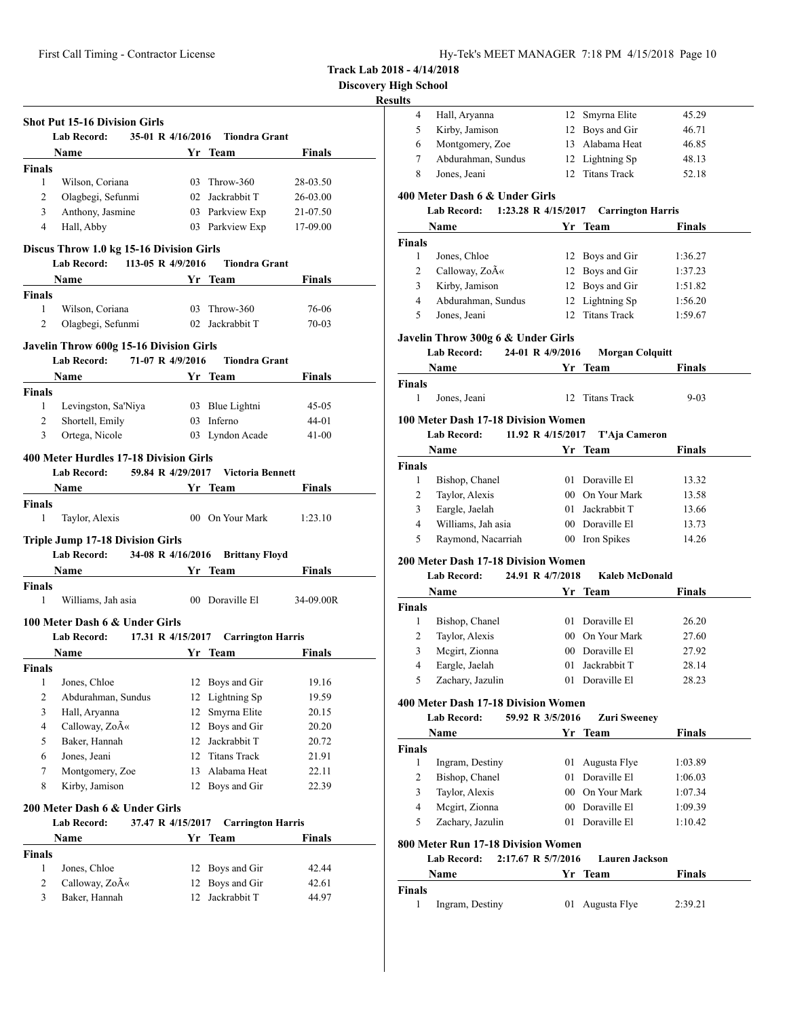**Discovery High School**

# **Resu**

|                                | <b>Lab Record:</b>                                                                |    | 35-01 R 4/16/2016 Tiondra Grant                                                                                                                                                                                                      |                |
|--------------------------------|-----------------------------------------------------------------------------------|----|--------------------------------------------------------------------------------------------------------------------------------------------------------------------------------------------------------------------------------------|----------------|
|                                | Name                                                                              |    | Yr Team                                                                                                                                                                                                                              | Finals         |
| <b>Finals</b>                  |                                                                                   |    |                                                                                                                                                                                                                                      |                |
| $\mathbf{1}$                   | Wilson, Coriana                                                                   |    | 03 Throw-360                                                                                                                                                                                                                         | 28-03.50       |
| 2                              | Olagbegi, Sefunmi                                                                 |    | 02 Jackrabbit T                                                                                                                                                                                                                      | 26-03.00       |
| 3                              | Anthony, Jasmine                                                                  |    | 03 Parkview Exp                                                                                                                                                                                                                      | 21-07.50       |
| $\overline{4}$                 | Hall, Abby                                                                        |    | 03 Parkview Exp                                                                                                                                                                                                                      | 17-09.00       |
|                                |                                                                                   |    |                                                                                                                                                                                                                                      |                |
|                                | Discus Throw 1.0 kg 15-16 Division Girls<br>Lab Record: 113-05 R 4/9/2016         |    | <b>Tiondra Grant</b>                                                                                                                                                                                                                 |                |
|                                | Name<br><b>Solution Start Team</b>                                                |    |                                                                                                                                                                                                                                      | Finals         |
| <b>Finals</b>                  |                                                                                   |    |                                                                                                                                                                                                                                      |                |
| $\mathbf{1}$                   | Wilson, Coriana                                                                   |    | 03 Throw-360                                                                                                                                                                                                                         | 76-06          |
| 2                              | Olagbegi, Sefunmi                                                                 |    | 02 Jackrabbit T                                                                                                                                                                                                                      | 70-03          |
|                                |                                                                                   |    |                                                                                                                                                                                                                                      |                |
|                                | Javelin Throw 600g 15-16 Division Girls<br>71-07 R 4/9/2016<br><b>Lab Record:</b> |    | <b>Tiondra Grant</b>                                                                                                                                                                                                                 |                |
|                                | Name                                                                              |    | Yr Team                                                                                                                                                                                                                              | Finals         |
| <b>Finals</b>                  |                                                                                   |    |                                                                                                                                                                                                                                      |                |
| 1                              | Levingston, Sa'Niya                                                               |    | 03 Blue Lightni                                                                                                                                                                                                                      | 45-05          |
| 2                              | Shortell, Emily                                                                   |    | 03 Inferno                                                                                                                                                                                                                           | 44-01          |
| 3                              | Ortega, Nicole                                                                    |    | 03 Lyndon Acade                                                                                                                                                                                                                      | $41 - 00$      |
|                                |                                                                                   |    |                                                                                                                                                                                                                                      |                |
|                                | 400 Meter Hurdles 17-18 Division Girls                                            |    |                                                                                                                                                                                                                                      |                |
|                                | <b>Lab Record:</b>                                                                |    | 59.84 R 4/29/2017 Victoria Bennett                                                                                                                                                                                                   |                |
|                                | <b>Name</b>                                                                       |    | <b>Solution Start Transfer Start Transfer Start Transfer Start Transfer Start Transfer Start Transfer Start Transfer Start Transfer Start Transfer Start Transfer Start Transfer Start Transfer Start Transfer Start Transfer St</b> | <b>Finals</b>  |
| <b>Finals</b>                  |                                                                                   |    |                                                                                                                                                                                                                                      |                |
| 1                              | Taylor, Alexis                                                                    |    | 00 On Your Mark                                                                                                                                                                                                                      | 1:23.10        |
|                                | <b>Triple Jump 17-18 Division Girls</b>                                           |    |                                                                                                                                                                                                                                      |                |
|                                |                                                                                   |    | Lab Record: 34-08 R 4/16/2016 Brittany Floyd                                                                                                                                                                                         |                |
|                                |                                                                                   |    |                                                                                                                                                                                                                                      |                |
|                                | Name Yr Team                                                                      |    |                                                                                                                                                                                                                                      | Finals         |
|                                |                                                                                   |    |                                                                                                                                                                                                                                      |                |
| 1                              | Williams, Jah asia                                                                |    | 00 Doraville El                                                                                                                                                                                                                      |                |
|                                |                                                                                   |    |                                                                                                                                                                                                                                      |                |
|                                | 100 Meter Dash 6 & Under Girls<br><b>Lab Record:</b>                              |    |                                                                                                                                                                                                                                      |                |
|                                | Name                                                                              | Yr | 17.31 R 4/15/2017 Carrington Harris                                                                                                                                                                                                  | <b>Finals</b>  |
|                                |                                                                                   |    | <b>Team</b>                                                                                                                                                                                                                          |                |
| 1                              | Jones, Chloe                                                                      |    | 12 Boys and Gir                                                                                                                                                                                                                      | 19.16          |
| $\mathbf{2}$                   | Abdurahman, Sundus                                                                | 12 |                                                                                                                                                                                                                                      | 19.59          |
| 3                              | Hall, Aryanna                                                                     | 12 | Lightning Sp<br>Smyrna Elite                                                                                                                                                                                                         | 20.15          |
| 4                              | Calloway, ZoA«                                                                    | 12 | Boys and Gir                                                                                                                                                                                                                         | 20.20          |
| 5                              | Baker, Hannah                                                                     | 12 | Jackrabbit T                                                                                                                                                                                                                         | 20.72          |
| 6                              | Jones, Jeani                                                                      | 12 | <b>Titans Track</b>                                                                                                                                                                                                                  | 21.91          |
| 7                              | Montgomery, Zoe                                                                   | 13 | Alabama Heat                                                                                                                                                                                                                         | 22.11          |
| 8                              | Kirby, Jamison                                                                    | 12 | Boys and Gir                                                                                                                                                                                                                         | 22.39          |
|                                |                                                                                   |    |                                                                                                                                                                                                                                      | 34-09.00R      |
|                                | 200 Meter Dash 6 & Under Girls                                                    |    |                                                                                                                                                                                                                                      |                |
|                                | <b>Lab Record:</b><br>37.47 R 4/15/2017                                           |    | <b>Carrington Harris</b>                                                                                                                                                                                                             |                |
| <b>Finals</b><br><b>Finals</b> | Name                                                                              |    | Yr Team                                                                                                                                                                                                                              | <b>Finals</b>  |
| <b>Finals</b>                  |                                                                                   |    |                                                                                                                                                                                                                                      |                |
| 1<br>2                         | Jones, Chloe<br>Calloway, Zo«                                                     | 12 | 12 Boys and Gir<br>Boys and Gir                                                                                                                                                                                                      | 42.44<br>42.61 |

| 4                                        | Hall, Aryanna                                                                        | 12 | Smyrna Elite           | 45.29          |
|------------------------------------------|--------------------------------------------------------------------------------------|----|------------------------|----------------|
| 5                                        | Kirby, Jamison                                                                       |    | 12 Boys and Gir        | 46.71          |
| 6                                        | Montgomery, Zoe                                                                      |    | 13 Alabama Heat        | 46.85          |
| 7                                        | Abdurahman, Sundus                                                                   |    | 12 Lightning Sp        | 48.13          |
| 8                                        | Jones, Jeani                                                                         | 12 | <b>Titans Track</b>    | 52.18          |
|                                          | 400 Meter Dash 6 & Under Girls                                                       |    |                        |                |
|                                          | Lab Record: 1:23.28 R 4/15/2017 Carrington Harris                                    |    |                        |                |
|                                          | Name                                                                                 |    | Yr Team                | Finals         |
| <b>Finals</b>                            |                                                                                      |    |                        |                |
| 1                                        | Jones, Chloe                                                                         |    | 12 Boys and Gir        | 1:36.27        |
| 2                                        | Calloway, Zo«                                                                        |    | 12 Boys and Gir        | 1:37.23        |
| 3                                        | Kirby, Jamison                                                                       |    | 12 Boys and Gir        | 1:51.82        |
| 4                                        | Abdurahman, Sundus                                                                   |    | 12 Lightning Sp        | 1:56.20        |
| 5                                        | Jones, Jeani                                                                         | 12 | <b>Titans Track</b>    | 1:59.67        |
|                                          | Javelin Throw 300g 6 & Under Girls                                                   |    |                        |                |
|                                          | 24-01 R 4/9/2016<br><b>Lab Record:</b>                                               |    | <b>Morgan Colquitt</b> |                |
|                                          | Name                                                                                 |    | Yr Team                | Finals         |
| <b>Finals</b><br>1                       | Jones, Jeani                                                                         | 12 | Titans Track           | $9 - 03$       |
|                                          | 100 Meter Dash 17-18 Division Women                                                  |    |                        |                |
|                                          | Lab Record: 11.92 R 4/15/2017                                                        |    | T'Aja Cameron          |                |
|                                          |                                                                                      |    |                        |                |
|                                          | Name                                                                                 |    | Yr Team                | <b>Finals</b>  |
| <b>Finals</b><br>1                       |                                                                                      |    | 01 Doraville El        |                |
| 2                                        | Bishop, Chanel<br>Taylor, Alexis                                                     |    | 00 On Your Mark        | 13.32<br>13.58 |
| 3                                        | Eargle, Jaelah                                                                       |    | 01 Jackrabbit T        | 13.66          |
| 4                                        | Williams, Jah asia                                                                   |    | 00 Doraville El        | 13.73          |
| 5                                        | Raymond, Nacarriah                                                                   |    | 00 Iron Spikes         | 14.26          |
|                                          |                                                                                      |    |                        |                |
|                                          | <b>200 Meter Dash 17-18 Division Women</b><br><b>Lab Record:</b><br>24.91 R 4/7/2018 |    | <b>Kaleb McDonald</b>  |                |
|                                          | Name                                                                                 |    | Yr Team                | Finals         |
|                                          |                                                                                      |    |                        |                |
|                                          |                                                                                      |    |                        |                |
|                                          |                                                                                      |    |                        |                |
| 1                                        | Bishop, Chanel                                                                       |    | 01 Doraville El        | 26.20          |
| 2                                        | Taylor, Alexis                                                                       |    | 00 On Your Mark        | 27.60          |
| 3<br>$\Delta$                            | Mcgirt, Zionna                                                                       |    | 00 Doraville El        | 27.92          |
|                                          | Eargle, Jaelah                                                                       |    | 01 Jackrabbit T        | 28.14          |
| 5                                        | Zachary, Jazulin                                                                     |    | 01 Doraville El        | 28.23          |
|                                          | 400 Meter Dash 17-18 Division Women                                                  |    |                        |                |
|                                          | 59.92 R 3/5/2016<br><b>Lab Record:</b>                                               |    | <b>Zuri Sweeney</b>    |                |
|                                          | Name                                                                                 |    | Yr Team                | <b>Finals</b>  |
|                                          |                                                                                      |    |                        |                |
| 1                                        | Ingram, Destiny                                                                      | 01 | Augusta Flye           | 1:03.89        |
| 2                                        | Bishop, Chanel                                                                       |    | 01 Doraville El        | 1:06.03        |
| 3                                        | Taylor, Alexis                                                                       |    | 00 On Your Mark        | 1:07.34        |
| 4                                        | Mcgirt, Zionna                                                                       |    | 00 Doraville El        | 1:09.39        |
| 5                                        | Zachary, Jazulin                                                                     |    | 01 Doraville El        | 1:10.42        |
|                                          | 800 Meter Run 17-18 Division Women                                                   |    |                        |                |
|                                          | <b>Lab Record:</b><br>2:17.67 R 5/7/2016                                             |    | <b>Lauren Jackson</b>  |                |
| Finals<br><b>Finals</b><br><b>Finals</b> | Name                                                                                 |    | Yr Team                | <b>Finals</b>  |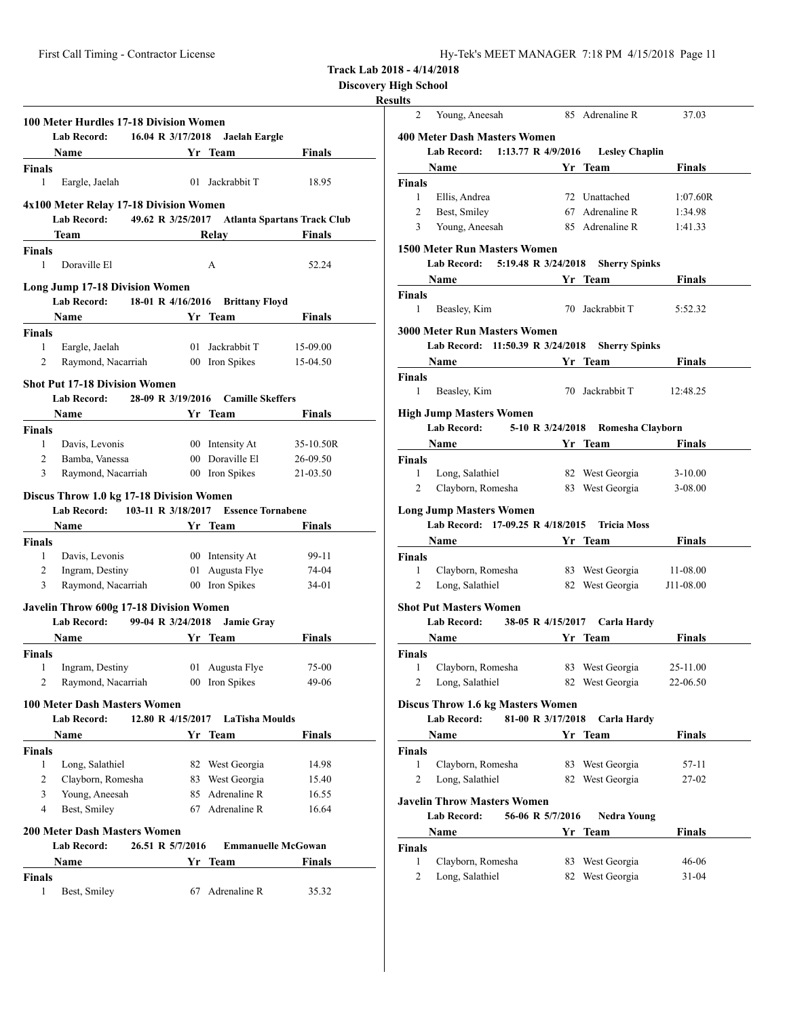**Discovery High School**

# **Resul**

|                         | Lab Record:                                                 | 100 Meter Hurdles 17-18 Division Women<br>16.04 R 3/17/2018 | Jaelah Eargle                       |                                               |
|-------------------------|-------------------------------------------------------------|-------------------------------------------------------------|-------------------------------------|-----------------------------------------------|
|                         | Name Yr Team                                                |                                                             |                                     | <b>Finals</b>                                 |
| <b>Finals</b>           |                                                             |                                                             |                                     |                                               |
| 1                       | Eargle, Jaelah                                              |                                                             | 01 Jackrabbit T                     | 18.95                                         |
|                         | 4x100 Meter Relay 17-18 Division Women<br>Lab Record:       |                                                             |                                     | 49.62 R 3/25/2017 Atlanta Spartans Track Club |
|                         | Team                                                        |                                                             | Relay                               | Finals                                        |
| Finals<br>1             | Doraville El                                                |                                                             | A                                   | 52.24                                         |
|                         | <b>Long Jump 17-18 Division Women</b><br><b>Lab Record:</b> |                                                             | 18-01 R 4/16/2016 Brittany Floyd    |                                               |
|                         | Name                                                        |                                                             | Yr Team                             | Finals                                        |
| <b>Finals</b>           |                                                             |                                                             |                                     |                                               |
| 1                       | Eargle, Jaelah                                              |                                                             | 01 Jackrabbit T                     | 15-09.00                                      |
| 2                       | Raymond, Nacarriah 00 Iron Spikes                           |                                                             |                                     | 15-04.50                                      |
|                         | <b>Shot Put 17-18 Division Women</b>                        |                                                             |                                     |                                               |
|                         | Lab Record: 28-09 R 3/19/2016 Camille Skeffers              |                                                             |                                     |                                               |
|                         | <b>Name</b>                                                 |                                                             | Yr Team                             | <b>Finals</b>                                 |
| <b>Finals</b>           |                                                             |                                                             |                                     |                                               |
| $\mathbf{1}$            | Davis, Levonis                                              |                                                             | 00 Intensity At                     | 35-10.50R                                     |
| $\overline{2}$          | Bamba, Vanessa                                              |                                                             | 00 Doraville El                     | 26-09.50                                      |
| 3                       | Raymond, Nacarriah                                          |                                                             | 00 Iron Spikes                      | 21-03.50                                      |
|                         | Lab Record: 103-11 R 3/18/2017<br><b>Name</b>               |                                                             | <b>Essence Tornabene</b><br>Yr Team | Finals                                        |
| <b>Finals</b>           |                                                             |                                                             |                                     |                                               |
| 1                       | Davis, Levonis                                              |                                                             | 00 Intensity At                     | 99-11                                         |
| 2                       | Ingram, Destiny                                             |                                                             | 01 Augusta Flye                     | 74-04                                         |
|                         |                                                             |                                                             |                                     |                                               |
| 3                       | Raymond, Nacarriah                                          |                                                             | 00 Iron Spikes                      | 34-01                                         |
|                         | Javelin Throw 600g 17-18 Division Women                     |                                                             |                                     |                                               |
|                         | <b>Lab Record:</b>                                          | 99-04 R 3/24/2018                                           | <b>Jamie Gray</b>                   |                                               |
|                         | Name                                                        |                                                             | Yr Team                             | <b>Finals</b>                                 |
|                         |                                                             |                                                             |                                     |                                               |
| 1                       | Ingram, Destiny                                             |                                                             | 01 Augusta Flye                     | 75-00                                         |
| 2                       | Raymond, Nacarriah                                          |                                                             | 00 Iron Spikes                      | 49-06                                         |
|                         | <b>100 Meter Dash Masters Women</b>                         |                                                             |                                     |                                               |
|                         | Lab Record:                                                 | 12.80 R 4/15/2017                                           | LaTisha Moulds                      |                                               |
|                         | Name                                                        |                                                             | Yr Team                             | Finals                                        |
|                         |                                                             |                                                             |                                     |                                               |
| 1                       | Long, Salathiel                                             |                                                             | 82 West Georgia                     | 14.98                                         |
| $\overline{c}$          | Clayborn, Romesha                                           |                                                             | 83 West Georgia                     | 15.40                                         |
| 3                       | Young, Aneesah                                              |                                                             | 85 Adrenaline R                     | 16.55                                         |
| 4                       | Best, Smiley                                                |                                                             | 67 Adrenaline R                     | 16.64                                         |
|                         | <b>200 Meter Dash Masters Women</b>                         |                                                             |                                     |                                               |
|                         | <b>Lab Record:</b>                                          | 26.51 R 5/7/2016                                            | <b>Emmanuelle McGowan</b>           |                                               |
| Finals<br><b>Finals</b> | Name                                                        | Yr                                                          | Team                                | Finals                                        |

| sults        |                                          |                   |    |                                                |               |
|--------------|------------------------------------------|-------------------|----|------------------------------------------------|---------------|
| 2            | Young, Aneesah                           |                   |    | 85 Adrenaline R                                | 37.03         |
|              | <b>400 Meter Dash Masters Women</b>      |                   |    |                                                |               |
|              |                                          |                   |    | Lab Record: 1:13.77 R 4/9/2016 Lesley Chaplin  |               |
|              | Name                                     |                   |    | Yr Team                                        | <b>Finals</b> |
| Finals       |                                          |                   |    |                                                |               |
| $\mathbf{1}$ | Ellis, Andrea                            |                   |    | 72 Unattached                                  | 1:07.60R      |
| 2            | Best, Smiley                             |                   |    | 67 Adrenaline R                                | 1:34.98       |
| 3            | Young, Aneesah                           |                   |    | 85 Adrenaline R                                | 1:41.33       |
|              | <b>1500 Meter Run Masters Women</b>      |                   |    |                                                |               |
|              | Lab Record: 5:19.48 R 3/24/2018          |                   |    | <b>Sherry Spinks</b>                           |               |
|              | Name Yr Team                             |                   |    |                                                | <b>Finals</b> |
| Finals       |                                          |                   |    |                                                |               |
| $\mathbf{1}$ | Beasley, Kim                             |                   |    | 70 Jackrabbit T                                | 5:52.32       |
|              | <b>3000 Meter Run Masters Women</b>      |                   |    |                                                |               |
|              |                                          |                   |    | Lab Record: 11:50.39 R 3/24/2018 Sherry Spinks |               |
|              |                                          |                   |    | Yr Team                                        | Finals        |
| Finals       |                                          |                   |    |                                                |               |
| 1            | Beasley, Kim                             |                   |    | 70 Jackrabbit T                                | 12:48.25      |
|              | <b>High Jump Masters Women</b>           |                   |    |                                                |               |
|              | <b>Lab Record:</b>                       |                   |    | 5-10 R 3/24/2018 Romesha Clayborn              |               |
|              |                                          |                   |    | Name Yr Team                                   | Finals        |
| Finals       |                                          |                   |    |                                                |               |
| $\mathbf{1}$ | Long, Salathiel                          |                   |    | 82 West Georgia                                | $3-10.00$     |
| 2            | Clayborn, Romesha                        |                   |    | 83 West Georgia                                | $3 - 08.00$   |
|              | <b>Long Jump Masters Women</b>           |                   |    |                                                |               |
|              | Lab Record: 17-09.25 R 4/18/2015         |                   |    | <b>Tricia Moss</b>                             |               |
|              | <b>Name</b>                              |                   |    | Yr Team                                        | Finals        |
| Finals       |                                          |                   |    |                                                |               |
| 1            | Clayborn, Romesha                        |                   |    | 83 West Georgia                                | 11-08.00      |
| 2            | Long, Salathiel                          |                   |    | 82 West Georgia J11-08.00                      |               |
|              | <b>Shot Put Masters Women</b>            |                   |    |                                                |               |
|              | Lab Record:                              | 38-05 R 4/15/2017 |    | Carla Hardy                                    |               |
|              | <b>Name</b>                              |                   |    | Yr Team                                        | <b>Finals</b> |
|              |                                          |                   |    |                                                |               |
| Finals<br>1  | Clayborn, Romesha                        |                   |    | 83 West Georgia                                | 25-11.00      |
| 2            | Long, Salathiel                          |                   |    | 82 West Georgia                                | 22-06.50      |
|              |                                          |                   |    |                                                |               |
|              | <b>Discus Throw 1.6 kg Masters Women</b> |                   |    |                                                |               |
|              | <b>Lab Record:</b>                       | 81-00 R 3/17/2018 |    | Carla Hardy                                    |               |
|              | Name                                     |                   |    | Yr Team                                        | <b>Finals</b> |
| Finals       |                                          |                   |    |                                                |               |
| 1            | Clayborn, Romesha                        |                   | 83 | West Georgia                                   | 57-11         |
| 2            | Long, Salathiel                          |                   |    | 82 West Georgia                                | 27-02         |
|              | <b>Javelin Throw Masters Women</b>       |                   |    |                                                |               |
|              | Lab Record:                              | 56-06 R 5/7/2016  |    | Nedra Young                                    |               |
|              | Name                                     |                   |    | Yr Team                                        | Finals        |
| Finals       |                                          |                   |    |                                                |               |
| 1            | Clayborn, Romesha                        |                   |    | 83 West Georgia                                | 46-06         |
| 2            | Long, Salathiel                          |                   | 82 | West Georgia                                   | 31-04         |
|              |                                          |                   |    |                                                |               |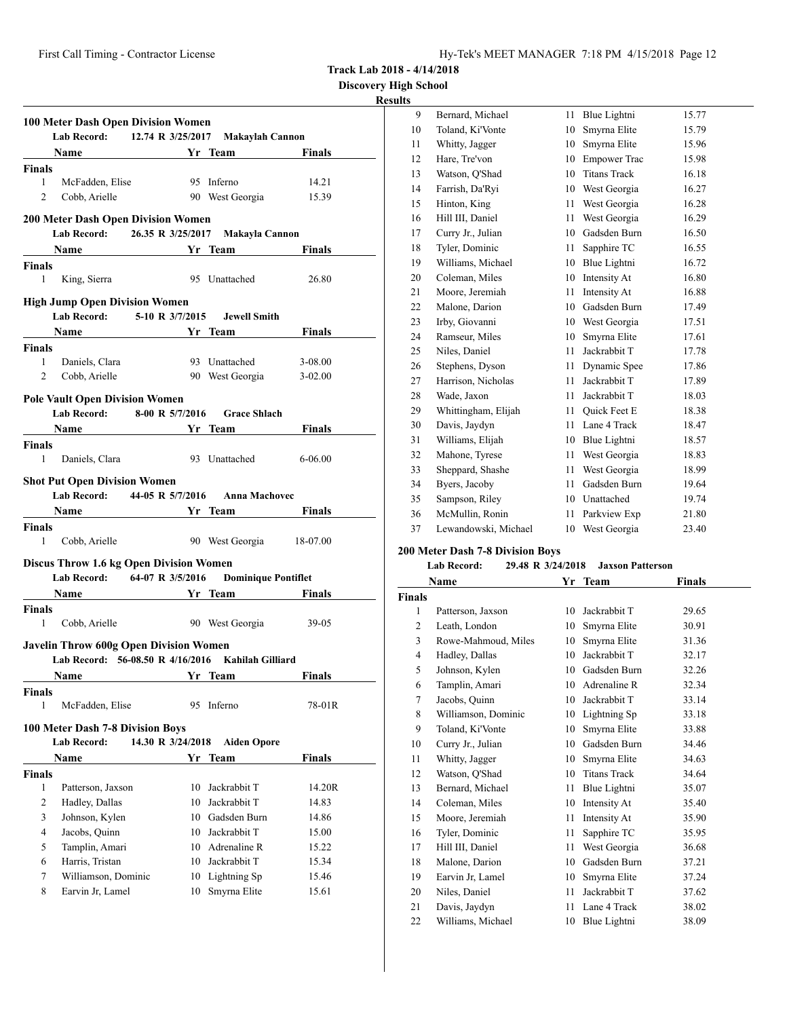**Track Lab 2018 - 4/14/2018**

## **Results**

|                    | <b>100 Meter Dash Open Division Women</b><br>Lab Record: 12.74 R 3/25/2017 Makaylah Cannon                                    |                   |                              |               |
|--------------------|-------------------------------------------------------------------------------------------------------------------------------|-------------------|------------------------------|---------------|
|                    | <b>Example 21 Service Street Pressure 21 Service Street Pressure 21 Service Street Pressure 21 Service Street Pre</b><br>Name |                   |                              | <b>Finals</b> |
| <b>Finals</b>      |                                                                                                                               |                   |                              |               |
| $\mathbf{1}$       | McFadden, Elise                                                                                                               |                   | 95 Inferno                   | 14.21         |
| 2                  | Cobb, Arielle                                                                                                                 |                   | 90 West Georgia              | 15.39         |
|                    |                                                                                                                               |                   |                              |               |
|                    | <b>200 Meter Dash Open Division Women</b><br>Lab Record: 26.35 R 3/25/2017                                                    |                   | Makayla Cannon               |               |
|                    | Name Yr Team                                                                                                                  |                   |                              | Finals        |
| <b>Finals</b>      |                                                                                                                               |                   |                              |               |
| 1                  | King, Sierra                                                                                                                  |                   | 95 Unattached                | 26.80         |
|                    |                                                                                                                               |                   |                              |               |
|                    | <b>High Jump Open Division Women</b><br><b>Lab Record:</b>                                                                    |                   | 5-10 R 3/7/2015 Jewell Smith |               |
|                    | Name                                                                                                                          |                   | Yr Team                      | <b>Finals</b> |
| <b>Finals</b>      |                                                                                                                               |                   |                              |               |
| 1                  | Daniels, Clara                                                                                                                |                   | 93 Unattached                | 3-08.00       |
| 2                  | Cobb, Arielle                                                                                                                 |                   | 90 West Georgia              | $3 - 02.00$   |
|                    |                                                                                                                               |                   |                              |               |
|                    | <b>Pole Vault Open Division Women</b>                                                                                         |                   |                              |               |
|                    | Lab Record: 8-00 R 5/7/2016                                                                                                   |                   | <b>Grace Shlach</b>          |               |
|                    | Name Yr Team                                                                                                                  |                   |                              | <b>Finals</b> |
| <b>Finals</b>      |                                                                                                                               |                   |                              |               |
| $\mathbf{1}$       | Daniels, Clara                                                                                                                |                   | 93 Unattached                | $6 - 06.00$   |
|                    | <b>Shot Put Open Division Women</b>                                                                                           |                   |                              |               |
|                    | Lab Record: 44-05 R 5/7/2016 Anna Machovec                                                                                    |                   |                              |               |
|                    | Name Yr Team                                                                                                                  |                   |                              | Finals        |
| <b>Finals</b>      |                                                                                                                               |                   |                              |               |
| 1                  | Cobb, Arielle                                                                                                                 |                   | 90 West Georgia 18-07.00     |               |
|                    | <b>Discus Throw 1.6 kg Open Division Women</b>                                                                                |                   |                              |               |
|                    | Lab Record: 64-07 R 3/5/2016                                                                                                  |                   | <b>Dominique Pontiflet</b>   |               |
|                    | Name Yr Team                                                                                                                  |                   |                              | Finals        |
| <b>Finals</b>      |                                                                                                                               |                   |                              |               |
| 1                  | Cobb, Arielle                                                                                                                 |                   | 90 West Georgia              | 39-05         |
|                    |                                                                                                                               |                   |                              |               |
|                    | <b>Javelin Throw 600g Open Division Women</b>                                                                                 |                   |                              |               |
|                    | Lab Record: 56-08.50 R 4/16/2016 Kahilah Gilliard<br><b>Vr</b> Team                                                           |                   |                              |               |
|                    | <b>Name</b>                                                                                                                   |                   |                              | <b>Finals</b> |
| <b>Finals</b>      |                                                                                                                               |                   |                              |               |
|                    |                                                                                                                               |                   |                              |               |
| 1                  | McFadden, Elise                                                                                                               |                   | 95 Inferno                   | 78-01R        |
|                    | 100 Meter Dash 7-8 Division Boys                                                                                              |                   |                              |               |
|                    | <b>Lab Record:</b>                                                                                                            | 14.30 R 3/24/2018 | <b>Aiden Opore</b>           |               |
|                    | Name                                                                                                                          |                   | Yr Team                      | <b>Finals</b> |
|                    |                                                                                                                               |                   |                              |               |
| 1                  | Patterson, Jaxson                                                                                                             | 10                | Jackrabbit T                 | 14.20R        |
| 2                  | Hadley, Dallas                                                                                                                |                   | 10 Jackrabbit T              | 14.83         |
| 3                  | Johnson, Kylen                                                                                                                |                   | 10 Gadsden Burn              | 14.86         |
| $\overline{4}$     | Jacobs, Quinn                                                                                                                 |                   | 10 Jackrabbit T              | 15.00         |
| 5                  | Tamplin, Amari                                                                                                                |                   | 10 Adrenaline R              | 15.22         |
| <b>Finals</b><br>6 | Harris, Tristan                                                                                                               |                   | 10 Jackrabbit T              | 15.34         |
| 7                  | Williamson, Dominic                                                                                                           |                   | 10 Lightning Sp              | 15.46         |
| 8                  | Earvin Jr, Lamel                                                                                                              | 10                | Smyrna Elite                 | 15.61         |

| 9  | Bernard, Michael     | 11 | Blue Lightni        | 15.77 |
|----|----------------------|----|---------------------|-------|
| 10 | Toland, Ki'Vonte     | 10 | Smyrna Elite        | 15.79 |
| 11 | Whitty, Jagger       | 10 | Smyrna Elite        | 15.96 |
| 12 | Hare, Tre'von        | 10 | <b>Empower Trac</b> | 15.98 |
| 13 | Watson, Q'Shad       | 10 | <b>Titans Track</b> | 16.18 |
| 14 | Farrish, Da'Ryi      | 10 | West Georgia        | 16.27 |
| 15 | Hinton, King         | 11 | West Georgia        | 16.28 |
| 16 | Hill III, Daniel     | 11 | West Georgia        | 16.29 |
| 17 | Curry Jr., Julian    | 10 | Gadsden Burn        | 16.50 |
| 18 | Tyler, Dominic       | 11 | Sapphire TC         | 16.55 |
| 19 | Williams, Michael    | 10 | Blue Lightni        | 16.72 |
| 20 | Coleman, Miles       | 10 | Intensity At        | 16.80 |
| 21 | Moore, Jeremiah      | 11 | Intensity At        | 16.88 |
| 22 | Malone, Darion       | 10 | Gadsden Burn        | 17.49 |
| 23 | Irby, Giovanni       | 10 | West Georgia        | 17.51 |
| 24 | Ramseur, Miles       | 10 | Smyrna Elite        | 17.61 |
| 25 | Niles, Daniel        | 11 | Jackrabbit T        | 17.78 |
| 26 | Stephens, Dyson      | 11 | Dynamic Spee        | 17.86 |
| 27 | Harrison, Nicholas   | 11 | Jackrabbit T        | 17.89 |
| 28 | Wade, Jaxon          | 11 | Jackrabbit T        | 18.03 |
| 29 | Whittingham, Elijah  | 11 | <b>Ouick Feet E</b> | 18.38 |
| 30 | Davis, Jaydyn        | 11 | Lane 4 Track        | 18.47 |
| 31 | Williams, Elijah     | 10 | Blue Lightni        | 18.57 |
| 32 | Mahone, Tyrese       | 11 | West Georgia        | 18.83 |
| 33 | Sheppard, Shashe     | 11 | West Georgia        | 18.99 |
| 34 | Byers, Jacoby        | 11 | Gadsden Burn        | 19.64 |
| 35 | Sampson, Riley       | 10 | Unattached          | 19.74 |
| 36 | McMullin, Ronin      | 11 | Parkview Exp        | 21.80 |
| 37 | Lewandowski, Michael | 10 | West Georgia        | 23.40 |

# **200 Meter Dash 7-8 Division Boys**

## **Lab Record: 29.48 R 3/24/2018 Jaxson Patterson**

|                | <b>Name</b>         | Yr | Team                | Finals |  |
|----------------|---------------------|----|---------------------|--------|--|
| <b>Finals</b>  |                     |    |                     |        |  |
| 1              | Patterson, Jaxson   | 10 | Jackrabbit T        | 29.65  |  |
| $\overline{c}$ | Leath, London       | 10 | Smyrna Elite        | 30.91  |  |
| 3              | Rowe-Mahmoud, Miles | 10 | Smyrna Elite        | 31.36  |  |
| 4              | Hadley, Dallas      | 10 | Jackrabbit T        | 32.17  |  |
| 5              | Johnson, Kylen      | 10 | Gadsden Burn        | 32.26  |  |
| 6              | Tamplin, Amari      | 10 | Adrenaline R        | 32.34  |  |
| 7              | Jacobs, Quinn       | 10 | Jackrabbit T        | 33.14  |  |
| 8              | Williamson, Dominic | 10 | Lightning Sp        | 33.18  |  |
| 9              | Toland, Ki'Vonte    | 10 | Smyrna Elite        | 33.88  |  |
| 10             | Curry Jr., Julian   | 10 | Gadsden Burn        | 34.46  |  |
| 11             | Whitty, Jagger      | 10 | Smyrna Elite        | 34.63  |  |
| 12             | Watson, Q'Shad      | 10 | <b>Titans Track</b> | 34.64  |  |
| 13             | Bernard, Michael    | 11 | Blue Lightni        | 35.07  |  |
| 14             | Coleman, Miles      | 10 | Intensity At        | 35.40  |  |
| 15             | Moore, Jeremiah     | 11 | Intensity At        | 35.90  |  |
| 16             | Tyler, Dominic      | 11 | Sapphire TC         | 35.95  |  |
| 17             | Hill III, Daniel    | 11 | West Georgia        | 36.68  |  |
| 18             | Malone, Darion      | 10 | Gadsden Burn        | 37.21  |  |
| 19             | Earvin Jr, Lamel    | 10 | Smyrna Elite        | 37.24  |  |
| 20             | Niles, Daniel       | 11 | Jackrabbit T        | 37.62  |  |
| 21             | Davis, Jaydyn       | 11 | Lane 4 Track        | 38.02  |  |
| 22             | Williams, Michael   | 10 | Blue Lightni        | 38.09  |  |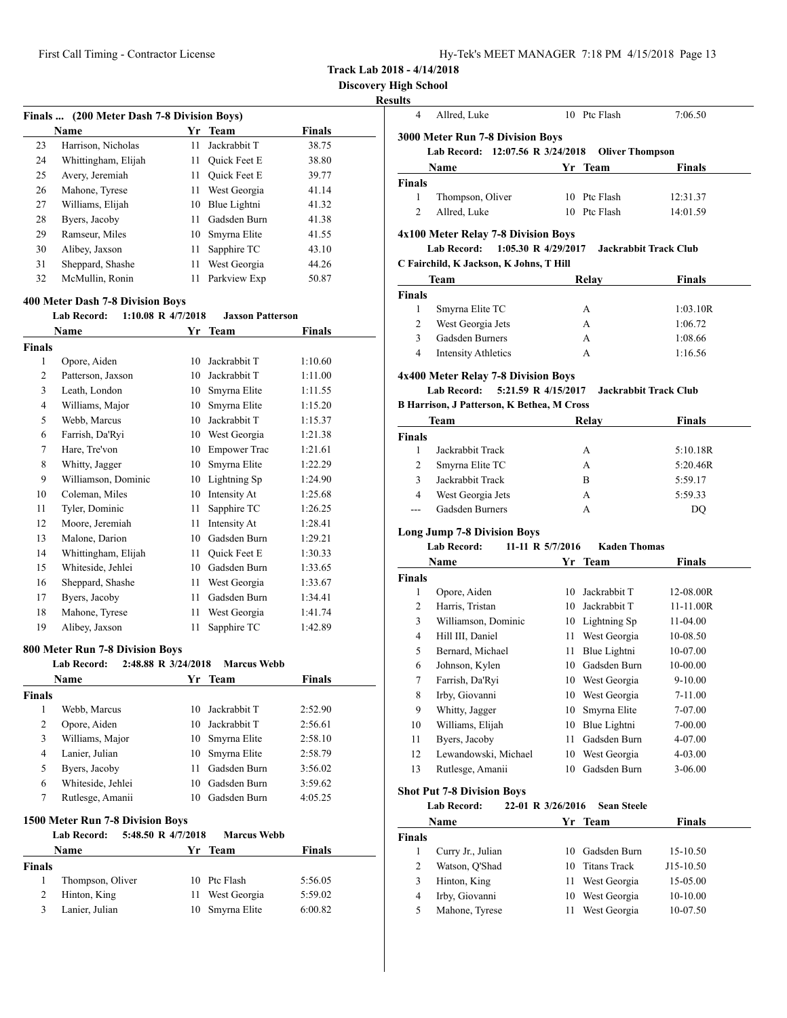|  | Hy-Tek's MEET MANAGER 7:18 PM 4/15/2018 Page 13 |  |  |  |
|--|-------------------------------------------------|--|--|--|
|--|-------------------------------------------------|--|--|--|

**Track Lab 2018 - 4/14/2018**

### **Resul**

l,

J.

| (200 Meter Dash 7-8 Division Boys)<br><b>Finals</b> |                     |     |                     |               |  |  |
|-----------------------------------------------------|---------------------|-----|---------------------|---------------|--|--|
|                                                     | Name                | Yr. | Team                | <b>Finals</b> |  |  |
| 23                                                  | Harrison, Nicholas  | 11  | Jackrabbit T        | 38.75         |  |  |
| 24                                                  | Whittingham, Elijah | 11  | <b>Ouick Feet E</b> | 38.80         |  |  |
| 25                                                  | Avery, Jeremiah     | 11  | <b>Ouick Feet E</b> | 39.77         |  |  |
| 26                                                  | Mahone, Tyrese      | 11  | West Georgia        | 41.14         |  |  |
| 27                                                  | Williams, Elijah    | 10  | Blue Lightni        | 41.32         |  |  |
| 28                                                  | Byers, Jacoby       | 11  | Gadsden Burn        | 41.38         |  |  |
| 29                                                  | Ramseur, Miles      | 10  | Smyrna Elite        | 41.55         |  |  |
| 30                                                  | Alibey, Jaxson      | 11  | Sapphire TC         | 43.10         |  |  |
| 31                                                  | Sheppard, Shashe    | 11  | West Georgia        | 44.26         |  |  |
| 32                                                  | McMullin, Ronin     | 11  | Parkview Exp        | 50.87         |  |  |

### **400 Meter Dash 7-8 Division Boys**

#### **Lab Record: 1:10.08 R 4/7/2018 Jaxson Patterson**

| Name           |                     | Yr | <b>Team</b>         | <b>Finals</b> |
|----------------|---------------------|----|---------------------|---------------|
| <b>Finals</b>  |                     |    |                     |               |
| 1              | Opore, Aiden        | 10 | Jackrabbit T        | 1:10.60       |
| 2              | Patterson, Jaxson   | 10 | Jackrabbit T        | 1:11.00       |
| 3              | Leath, London       | 10 | Smyrna Elite        | 1:11.55       |
| $\overline{4}$ | Williams, Major     | 10 | Smyrna Elite        | 1:15.20       |
| 5              | Webb, Marcus        | 10 | Jackrabbit T        | 1:15.37       |
| 6              | Farrish, Da'Ryi     | 10 | West Georgia        | 1:21.38       |
| 7              | Hare, Tre'von       | 10 | <b>Empower Trac</b> | 1:21.61       |
| 8              | Whitty, Jagger      | 10 | Smyrna Elite        | 1:22.29       |
| 9              | Williamson, Dominic | 10 | Lightning Sp        | 1:24.90       |
| 10             | Coleman, Miles      | 10 | Intensity At        | 1:25.68       |
| 11             | Tyler, Dominic      | 11 | Sapphire TC         | 1:26.25       |
| 12             | Moore, Jeremiah     | 11 | Intensity At        | 1:28.41       |
| 13             | Malone, Darion      | 10 | Gadsden Burn        | 1:29.21       |
| 14             | Whittingham, Elijah | 11 | <b>Ouick Feet E</b> | 1:30.33       |
| 15             | Whiteside, Jehlei   | 10 | Gadsden Burn        | 1:33.65       |
| 16             | Sheppard, Shashe    | 11 | West Georgia        | 1:33.67       |
| 17             | Byers, Jacoby       | 11 | Gadsden Burn        | 1:34.41       |
| 18             | Mahone, Tyrese      | 11 | West Georgia        | 1:41.74       |
| 19             | Alibey, Jaxson      | 11 | Sapphire TC         | 1:42.89       |

# **800 Meter Run 7-8 Division Boys**

|                | <b>Lab Record:</b><br>2:48.88 R $3/24/2018$ |     | <b>Marcus Webb</b> |               |
|----------------|---------------------------------------------|-----|--------------------|---------------|
|                | <b>Name</b>                                 |     | Yr Team            | <b>Finals</b> |
| <b>Finals</b>  |                                             |     |                    |               |
| 1              | Webb, Marcus                                | 10  | Jackrabbit T       | 2:52.90       |
| 2              | Opore, Aiden                                | 10  | Jackrabbit T       | 2:56.61       |
| 3              | Williams, Major                             |     | 10 Smyrna Elite    | 2:58.10       |
| $\overline{4}$ | Lanier, Julian                              | 10  | Smyrna Elite       | 2:58.79       |
| 5              | Byers, Jacoby                               | 11  | Gadsden Burn       | 3:56.02       |
| 6              | Whiteside, Jehlei                           | 10. | Gadsden Burn       | 3:59.62       |
| 7              | Rutlesge, Amanii                            | 10  | Gadsden Burn       | 4:05.25       |
|                | 1500 Meter Run 7-8 Division Boys            |     |                    |               |
|                | 5:48.50 R 4/7/2018<br><b>Lab Record:</b>    |     | <b>Marcus Webb</b> |               |
|                | <b>Name</b>                                 | Yr  | Team               | <b>Finals</b> |
| Finala         |                                             |     |                    |               |

| Finals |                  |                 |         |
|--------|------------------|-----------------|---------|
|        | Thompson, Oliver | 10 Ptc Flash    | 5:56.05 |
| 2      | Hinton, King     | 11 West Georgia | 5:59.02 |
| 3      | Lanier, Julian   | 10 Smyrna Elite | 6:00.82 |

| іgн эспоог<br>lts |                                                   |                                         |                              |
|-------------------|---------------------------------------------------|-----------------------------------------|------------------------------|
| 4                 | Allred, Luke                                      | 10 Ptc Flash                            | 7:06.50                      |
|                   | 3000 Meter Run 7-8 Division Boys                  |                                         |                              |
|                   | Lab Record: 12:07.56 R 3/24/2018                  |                                         | <b>Oliver Thompson</b>       |
|                   | Name                                              | Yr Team                                 | <b>Finals</b>                |
| Finals            |                                                   |                                         |                              |
| 1                 | Thompson, Oliver                                  | 10 Ptc Flash                            | 12:31.37                     |
| $\overline{c}$    | Allred, Luke                                      | 10 Ptc Flash                            | 14:01.59                     |
|                   | 4x100 Meter Relay 7-8 Division Boys               |                                         |                              |
|                   | <b>Lab Record:</b>                                | $1:05.30 \text{ R}$ 4/29/2017           | Jackrabbit Track Club        |
|                   | C Fairchild, K Jackson, K Johns, T Hill           |                                         |                              |
|                   | <b>Team</b>                                       | Relay                                   | <b>Finals</b>                |
| Finals            |                                                   |                                         |                              |
| $\mathbf{1}$      | Smyrna Elite TC                                   | А                                       | 1:03.10R                     |
| $\overline{2}$    | West Georgia Jets                                 | A                                       | 1:06.72                      |
| 3                 | <b>Gadsden Burners</b>                            | A                                       | 1:08.66                      |
| 4                 | <b>Intensity Athletics</b>                        | A                                       | 1:16.56                      |
|                   | 4x400 Meter Relay 7-8 Division Boys               |                                         |                              |
|                   | <b>Lab Record:</b>                                | 5:21.59 R 4/15/2017                     | <b>Jackrabbit Track Club</b> |
|                   | <b>B Harrison, J Patterson, K Bethea, M Cross</b> |                                         |                              |
|                   | <b>Team</b>                                       | Relay                                   | <b>Finals</b>                |
| <b>Finals</b>     |                                                   |                                         |                              |
| 1                 | Jackrabbit Track                                  | А                                       | 5:10.18R                     |
| $\overline{c}$    | Smyrna Elite TC                                   | A                                       | 5:20.46R                     |
| 3                 | Jackrabbit Track                                  | B                                       | 5:59.17                      |
| $\overline{4}$    | West Georgia Jets                                 | A                                       | 5:59.33                      |
| ---               | Gadsden Burners                                   | A                                       | DQ                           |
|                   | <b>Long Jump 7-8 Division Boys</b>                |                                         |                              |
|                   | <b>Lab Record:</b>                                | 11-11 R 5/7/2016<br><b>Kaden Thomas</b> |                              |
|                   | <b>Name</b>                                       | Yr<br><b>Team</b>                       | <b>Finals</b>                |
| Finals            |                                                   |                                         |                              |
| 1                 | Opore, Aiden                                      | Jackrabbit T<br>10                      | 12-08.00R                    |
| $\overline{c}$    | Harris, Tristan                                   | 10<br>Jackrabbit T                      | 11-11.00R                    |

## **Shot Put 7-8 Division Boys**

# **Lab Record: 22-01 R 3/26/2016 Sean Steele**

| Name              |  |              | <b>Finals</b>                                                                       |  |
|-------------------|--|--------------|-------------------------------------------------------------------------------------|--|
|                   |  |              |                                                                                     |  |
| Curry Jr., Julian |  |              | 15-10.50                                                                            |  |
| Watson, O'Shad    |  |              | J15-10.50                                                                           |  |
| Hinton, King      |  |              | 15-05.00                                                                            |  |
| Irby, Giovanni    |  |              | 10-10.00                                                                            |  |
| Mahone, Tyrese    |  | West Georgia | 10-07.50                                                                            |  |
|                   |  |              | Yr Team<br>10 Gadsden Burn<br>10 Titans Track<br>11 West Georgia<br>10 West Georgia |  |

 Williamson, Dominic 10 Lightning Sp 11-04.00 4 Hill III, Daniel 11 West Georgia 10-08.50 5 Bernard, Michael 11 Blue Lightni 10-07.00 Johnson, Kylen 10 Gadsden Burn 10-00.00 Farrish, Da'Ryi 10 West Georgia 9-10.00 Irby, Giovanni 10 West Georgia 7-11.00 Whitty, Jagger 10 Smyrna Elite 7-07.00 Williams, Elijah 10 Blue Lightni 7-00.00 Byers, Jacoby 11 Gadsden Burn 4-07.00 Lewandowski, Michael 10 West Georgia 4-03.00 Rutlesge, Amanii 10 Gadsden Burn 3-06.00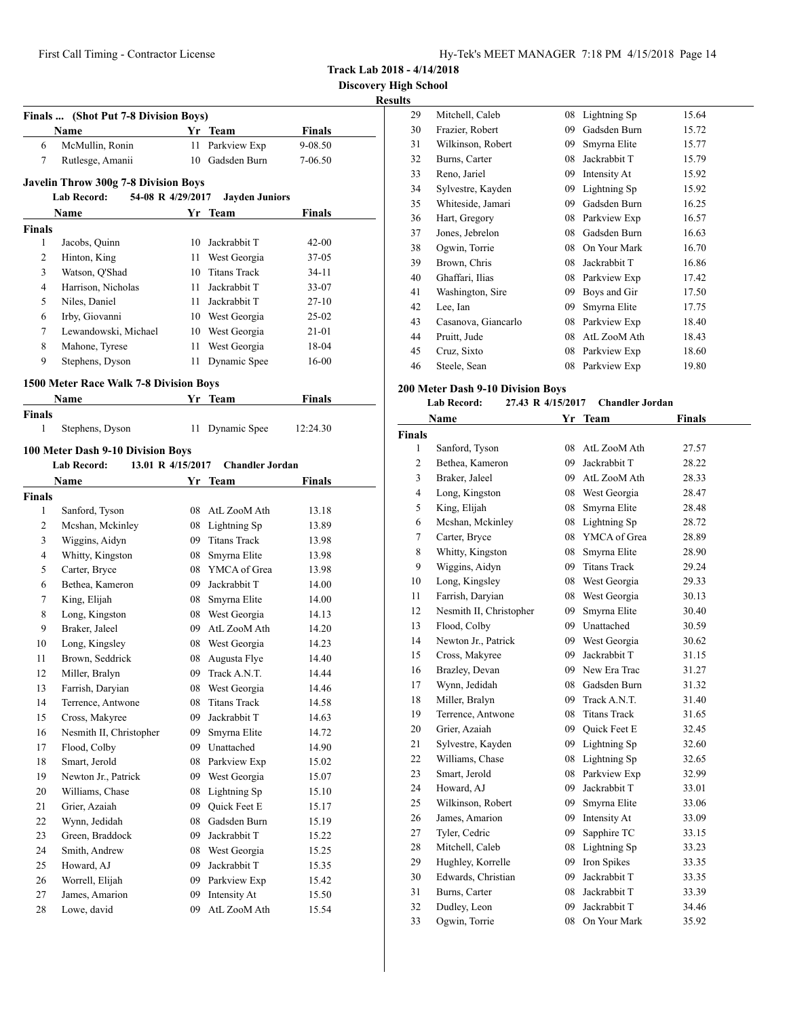**Track Lab 2018 - 4/14/2018**

**Results**

|               | Finals  (Shot Put 7-8 Division Boys)        |    |                         |               |
|---------------|---------------------------------------------|----|-------------------------|---------------|
| 6             | Name<br>McMullin, Ronin                     |    | Yr Team<br>Parkview Exp | <b>Finals</b> |
| 7             |                                             | 11 | 10 Gadsden Burn         | 9-08.50       |
|               | Rutlesge, Amanii                            |    |                         | 7-06.50       |
|               | <b>Javelin Throw 300g 7-8 Division Boys</b> |    |                         |               |
|               | <b>Lab Record:</b><br>54-08 R 4/29/2017     |    | <b>Jayden Juniors</b>   |               |
|               | Name                                        | Yr | Team                    | Finals        |
| <b>Finals</b> |                                             |    |                         |               |
| 1             | Jacobs, Quinn                               |    | 10 Jackrabbit T         | $42 - 00$     |
| 2             | Hinton, King                                | 11 | West Georgia            | 37-05         |
| 3             | Watson, Q'Shad                              | 10 | <b>Titans Track</b>     | 34-11         |
| 4             | Harrison, Nicholas                          | 11 | Jackrabbit T            | 33-07         |
| 5             | Niles, Daniel                               | 11 | Jackrabbit T            | 27-10         |
| 6             | Irby, Giovanni                              |    | 10 West Georgia         | 25-02         |
| 7             | Lewandowski, Michael                        |    | 10 West Georgia         | 21-01         |
| 8             | Mahone, Tyrese                              | 11 | West Georgia            | 18-04         |
| 9             | Stephens, Dyson                             | 11 | Dynamic Spee            | 16-00         |
|               | 1500 Meter Race Walk 7-8 Division Boys      |    |                         |               |
|               | Name                                        |    | Yr Team                 | Finals        |
| <b>Finals</b> |                                             |    |                         |               |
| 1             | Stephens, Dyson                             |    | 11 Dynamic Spee         | 12:24.30      |
|               | 100 Meter Dash 9-10 Division Boys           |    |                         |               |
|               | 13.01 R 4/15/2017<br><b>Lab Record:</b>     |    | <b>Chandler Jordan</b>  |               |
|               | Name                                        |    | Yr Team                 | Finals        |
| <b>Finals</b> |                                             |    |                         |               |
| 1             | Sanford, Tyson                              | 08 | AtL ZooM Ath            | 13.18         |
| 2             | Mcshan, Mckinley                            | 08 | Lightning Sp            | 13.89         |
| 3             | Wiggins, Aidyn                              | 09 | <b>Titans Track</b>     | 13.98         |
| 4             | Whitty, Kingston                            | 08 | Smyrna Elite            | 13.98         |
| 5             | Carter, Bryce                               | 08 | YMCA of Grea            | 13.98         |
| 6             | Bethea, Kameron                             | 09 | Jackrabbit T            | 14.00         |
| 7             | King, Elijah                                | 08 | Smyrna Elite            | 14.00         |
| 8             | Long, Kingston                              |    | 08 West Georgia         | 14.13         |
| 9             | Braker, Jaleel                              | 09 | AtL ZooM Ath            | 14.20         |
| 10            | Long, Kingsley                              | 08 | West Georgia            | 14.23         |
| 11            | Brown, Seddrick                             | 08 | Augusta Flye            | 14.40         |
| 12            | Miller, Bralyn                              |    | 09 Track A.N.T.         | 14.44         |
| 13            | Farrish, Daryian                            |    | 08 West Georgia         | 14.46         |
| 14            | Terrence, Antwone                           | 08 | <b>Titans Track</b>     | 14.58         |
| 15            | Cross, Makyree                              | 09 | Jackrabbit T            | 14.63         |
| 16            | Nesmith II, Christopher                     | 09 | Smyrna Elite            | 14.72         |
| 17            | Flood, Colby                                | 09 | Unattached              | 14.90         |
| 18            | Smart, Jerold                               | 08 | Parkview Exp            | 15.02         |
| 19            | Newton Jr., Patrick                         | 09 | West Georgia            | 15.07         |
| 20            | Williams, Chase                             | 08 | Lightning Sp            | 15.10         |
| 21            | Grier, Azaiah                               | 09 | Quick Feet E            | 15.17         |
| 22            | Wynn, Jedidah                               | 08 | Gadsden Burn            | 15.19         |
| 23            | Green, Braddock                             | 09 | Jackrabbit T            | 15.22         |
| 24            | Smith, Andrew                               | 08 | West Georgia            | 15.25         |
| 25            | Howard, AJ                                  | 09 | Jackrabbit T            | 15.35         |
| 26            | Worrell, Elijah                             | 09 | Parkview Exp            | 15.42         |
| 27            | James, Amarion                              | 09 | Intensity At            | 15.50         |
| 28            | Lowe, david                                 | 09 | AtL ZooM Ath            | 15.54         |

| э  |                     |    |              |       |
|----|---------------------|----|--------------|-------|
| 29 | Mitchell, Caleb     | 08 | Lightning Sp | 15.64 |
| 30 | Frazier, Robert     | 09 | Gadsden Burn | 15.72 |
| 31 | Wilkinson, Robert   | 09 | Smyrna Elite | 15.77 |
| 32 | Burns, Carter       | 08 | Jackrabbit T | 15.79 |
| 33 | Reno, Jariel        | 09 | Intensity At | 15.92 |
| 34 | Sylvestre, Kayden   | 09 | Lightning Sp | 15.92 |
| 35 | Whiteside, Jamari   | 09 | Gadsden Burn | 16.25 |
| 36 | Hart, Gregory       | 08 | Parkview Exp | 16.57 |
| 37 | Jones, Jebrelon     | 08 | Gadsden Burn | 16.63 |
| 38 | Ogwin, Torrie       | 08 | On Your Mark | 16.70 |
| 39 | Brown, Chris        | 08 | Jackrabbit T | 16.86 |
| 40 | Ghaffari, Ilias     | 08 | Parkview Exp | 17.42 |
| 41 | Washington, Sire    | 09 | Boys and Gir | 17.50 |
| 42 | Lee, Ian            | 09 | Smyrna Elite | 17.75 |
| 43 | Casanova, Giancarlo | 08 | Parkview Exp | 18.40 |
| 44 | Pruitt, Jude        | 08 | AtL ZooM Ath | 18.43 |
| 45 | Cruz, Sixto         | 08 | Parkview Exp | 18.60 |
| 46 | Steele, Sean        | 08 | Parkview Exp | 19.80 |
|    |                     |    |              |       |

# **200 Meter Dash 9-10 Division Boys**

|                | <b>Lab Record:</b>      | 27.43 R 4/15/2017 | <b>Chandler Jordan</b> |               |  |
|----------------|-------------------------|-------------------|------------------------|---------------|--|
|                | Name                    |                   | Yr Team                | <b>Finals</b> |  |
| Finals         |                         |                   |                        |               |  |
| 1              | Sanford, Tyson          | 08                | AtL ZooM Ath           | 27.57         |  |
| $\overline{c}$ | Bethea, Kameron         | 09                | Jackrabbit T           | 28.22         |  |
| 3              | Braker, Jaleel          | 09                | AtL ZooM Ath           | 28.33         |  |
| 4              | Long, Kingston          |                   | 08 West Georgia        | 28.47         |  |
| 5              | King, Elijah            | 08                | Smyrna Elite           | 28.48         |  |
| 6              | Mcshan, Mckinley        | 08                | Lightning Sp           | 28.72         |  |
| 7              | Carter, Bryce           | 08                | YMCA of Grea           | 28.89         |  |
| 8              | Whitty, Kingston        | 08                | Smyrna Elite           | 28.90         |  |
| 9              | Wiggins, Aidyn          | 09                | <b>Titans Track</b>    | 29.24         |  |
| 10             | Long, Kingsley          | 08                | West Georgia           | 29.33         |  |
| 11             | Farrish, Daryian        |                   | 08 West Georgia        | 30.13         |  |
| 12             | Nesmith II, Christopher | 09                | Smyrna Elite           | 30.40         |  |
| 13             | Flood, Colby            |                   | 09 Unattached          | 30.59         |  |
| 14             | Newton Jr., Patrick     | 09                | West Georgia           | 30.62         |  |
| 15             | Cross, Makyree          | 09                | Jackrabbit T           | 31.15         |  |
| 16             | Brazley, Devan          | 09                | New Era Trac           | 31.27         |  |
| 17             | Wynn, Jedidah           | 08                | Gadsden Burn           | 31.32         |  |
| 18             | Miller, Bralyn          | 09                | Track A.N.T.           | 31.40         |  |
| 19             | Terrence, Antwone       | 08                | <b>Titans Track</b>    | 31.65         |  |
| 20             | Grier, Azaiah           | 09                | Quick Feet E           | 32.45         |  |
| 21             | Sylvestre, Kayden       |                   | 09 Lightning Sp        | 32.60         |  |
| 22             | Williams, Chase         |                   | 08 Lightning Sp        | 32.65         |  |
| 23             | Smart, Jerold           | 08                | Parkview Exp           | 32.99         |  |
| 24             | Howard, AJ              | 09                | Jackrabbit T           | 33.01         |  |
| 25             | Wilkinson, Robert       | 09                | Smyrna Elite           | 33.06         |  |
| 26             | James, Amarion          | 09                | Intensity At           | 33.09         |  |
| 27             | Tyler, Cedric           | 09                | Sapphire TC            | 33.15         |  |
| 28             | Mitchell, Caleb         | 08                | Lightning Sp           | 33.23         |  |
| 29             | Hughley, Korrelle       | 09                | Iron Spikes            | 33.35         |  |
| 30             | Edwards, Christian      | 09                | Jackrabbit T           | 33.35         |  |
| 31             | Burns, Carter           | 08                | Jackrabbit T           | 33.39         |  |
| 32             | Dudley, Leon            | 09                | Jackrabbit T           | 34.46         |  |
| 33             | Ogwin, Torrie           | 08                | On Your Mark           | 35.92         |  |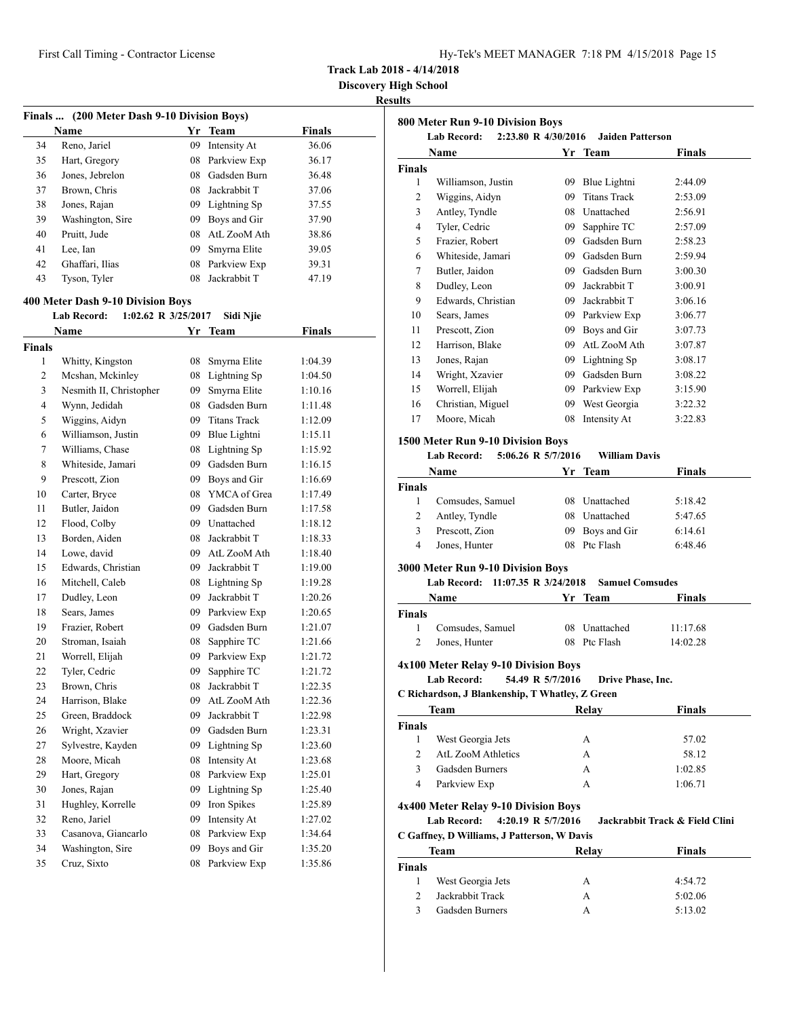**Discovery High School**

| Finals  (200 Meter Dash 9-10 Division Boys) |                                           |    |                 |               |  |
|---------------------------------------------|-------------------------------------------|----|-----------------|---------------|--|
|                                             | Name                                      |    | Yr Team         | Finals        |  |
| 34                                          | Reno, Jariel                              | 09 | Intensity At    | 36.06         |  |
| 35                                          | Hart, Gregory                             | 08 | Parkview Exp    | 36.17         |  |
| 36                                          | Jones, Jebrelon                           | 08 | Gadsden Burn    | 36.48         |  |
| 37                                          | Brown, Chris                              | 08 | Jackrabbit T    | 37.06         |  |
| 38                                          | Jones, Rajan                              |    | 09 Lightning Sp | 37.55         |  |
| 39                                          | Washington, Sire                          |    | 09 Boys and Gir | 37.90         |  |
| 40                                          | Pruitt, Jude                              |    | 08 AtL ZooM Ath | 38.86         |  |
| 41                                          | Lee, Ian                                  |    | 09 Smyrna Elite | 39.05         |  |
| 42                                          | Ghaffari, Ilias                           | 08 | Parkview Exp    | 39.31         |  |
| 43                                          | Tyson, Tyler                              | 08 | Jackrabbit T    | 47.19         |  |
|                                             |                                           |    |                 |               |  |
|                                             | 400 Meter Dash 9-10 Division Boys         |    |                 |               |  |
|                                             | <b>Lab Record:</b><br>1:02.62 R 3/25/2017 |    | Sidi Njie       |               |  |
|                                             | Name                                      |    | Yr Team         | <b>Finals</b> |  |
| <b>Finals</b>                               |                                           |    |                 |               |  |
| 1                                           | Whitty, Kingston                          | 08 | Smyrna Elite    | 1:04.39       |  |
| 2                                           | Mcshan, Mckinley                          | 08 | Lightning Sp    | 1:04.50       |  |
| 3                                           | Nesmith II, Christopher                   | 09 | Smyrna Elite    | 1:10.16       |  |
| $\overline{4}$                              | Wynn, Jedidah                             |    | 08 Gadsden Burn | 1:11.48       |  |
| 5                                           | Wiggins, Aidyn                            |    | 09 Titans Track | 1:12.09       |  |
| 6                                           | Williamson, Justin                        |    | 09 Blue Lightni | 1:15.11       |  |
| 7                                           | Williams, Chase                           |    | 08 Lightning Sp | 1:15.92       |  |
| 8                                           | Whiteside, Jamari                         |    | 09 Gadsden Burn | 1:16.15       |  |
| 9                                           | Prescott, Zion                            | 09 | Boys and Gir    | 1:16.69       |  |
| 10                                          | Carter, Bryce                             | 08 | YMCA of Grea    | 1:17.49       |  |
| 11                                          | Butler, Jaidon                            | 09 | Gadsden Burn    | 1:17.58       |  |
| 12                                          | Flood, Colby                              |    | 09 Unattached   | 1:18.12       |  |
| 13                                          | Borden, Aiden                             | 08 | Jackrabbit T    | 1:18.33       |  |
| 14                                          | Lowe, david                               | 09 | AtL ZooM Ath    | 1:18.40       |  |
| 15                                          | Edwards, Christian                        | 09 | Jackrabbit T    | 1:19.00       |  |
| 16                                          | Mitchell, Caleb                           |    | 08 Lightning Sp | 1:19.28       |  |
| 17                                          | Dudley, Leon                              | 09 | Jackrabbit T    | 1:20.26       |  |
| 18                                          | Sears, James                              |    | 09 Parkview Exp | 1:20.65       |  |
| 19                                          | Frazier, Robert                           |    | 09 Gadsden Burn | 1:21.07       |  |
| 20                                          | Stroman, Isaiah                           | 08 | Sapphire TC     | 1:21.66       |  |
| 21                                          | Worrell, Elijah                           | 09 | Parkview Exp    | 1:21.72       |  |
| 22                                          | Tyler, Cedric                             | 09 | Sapphire TC     | 1:21.72       |  |
| 23                                          | Brown, Chris                              |    | 08 Jackrabbit T | 1:22.35       |  |
| 24                                          | Harrison, Blake                           | 09 | AtL ZooM Ath    | 1:22.36       |  |
| 25                                          | Green, Braddock                           | 09 | Jackrabbit T    | 1:22.98       |  |
| 26                                          | Wright, Xzavier                           | 09 | Gadsden Burn    | 1:23.31       |  |
| 27                                          | Sylvestre, Kayden                         | 09 | Lightning Sp    | 1:23.60       |  |
| 28                                          | Moore, Micah                              | 08 | Intensity At    | 1:23.68       |  |
| 29                                          | Hart, Gregory                             | 08 | Parkview Exp    | 1:25.01       |  |
| 30                                          | Jones, Rajan                              | 09 | Lightning Sp    | 1:25.40       |  |
| 31                                          | Hughley, Korrelle                         | 09 | Iron Spikes     | 1:25.89       |  |
| 32                                          | Reno, Jariel                              | 09 | Intensity At    | 1:27.02       |  |
| 33                                          | Casanova, Giancarlo                       | 08 | Parkview Exp    | 1:34.64       |  |
| 34                                          | Washington, Sire                          | 09 | Boys and Gir    | 1:35.20       |  |
| 35                                          | Cruz, Sixto                               | 08 | Parkview Exp    | 1:35.86       |  |
|                                             |                                           |    |                 |               |  |

|                            | <b>Lab Record:</b>                                                               |                  | 2:23.80 R 4/30/2016 Jaiden Patterson |                                |
|----------------------------|----------------------------------------------------------------------------------|------------------|--------------------------------------|--------------------------------|
|                            | Name                                                                             | Yr               | <b>Team</b>                          | <b>Finals</b>                  |
| <b>Finals</b>              |                                                                                  |                  |                                      |                                |
| 1                          | Williamson, Justin                                                               |                  | 09 Blue Lightni                      | 2:44.09                        |
| 2                          | Wiggins, Aidyn                                                                   |                  | 09 Titans Track                      | 2:53.09                        |
| 3                          | Antley, Tyndle                                                                   |                  | 08 Unattached                        | 2:56.91                        |
| 4                          | Tyler, Cedric                                                                    |                  | 09 Sapphire TC                       | 2:57.09                        |
| 5                          | Frazier, Robert                                                                  |                  | 09 Gadsden Burn                      | 2:58.23                        |
| 6                          | Whiteside, Jamari                                                                |                  | 09 Gadsden Burn                      | 2:59.94                        |
| 7                          | Butler, Jaidon                                                                   |                  | 09 Gadsden Burn                      | 3:00.30                        |
| 8                          | Dudley, Leon                                                                     |                  | 09 Jackrabbit T                      | 3:00.91                        |
| 9                          | Edwards, Christian                                                               |                  | 09 Jackrabbit T                      | 3:06.16                        |
| 10                         | Sears, James                                                                     |                  | 09 Parkview Exp                      | 3:06.77                        |
| 11                         | Prescott, Zion                                                                   |                  | 09 Boys and Gir                      | 3:07.73                        |
| 12                         | Harrison, Blake                                                                  |                  | 09 AtL ZooM Ath                      | 3:07.87                        |
| 13                         | Jones, Rajan                                                                     |                  | 09 Lightning Sp                      | 3:08.17                        |
| 14                         | Wright, Xzavier                                                                  |                  | 09 Gadsden Burn                      | 3:08.22                        |
| 15                         | Worrell, Elijah                                                                  |                  | 09 Parkview Exp                      | 3:15.90                        |
| 16                         | Christian, Miguel                                                                |                  | 09 West Georgia                      | 3:22.32                        |
| 17                         | Moore, Micah                                                                     | 08               | Intensity At                         | 3:22.83                        |
|                            | 1500 Meter Run 9-10 Division Boys                                                |                  |                                      |                                |
|                            | <b>Lab Record:</b><br>5:06.26 R 5/7/2016                                         |                  | <b>William Davis</b>                 |                                |
|                            | Name                                                                             |                  |                                      | Finals                         |
|                            |                                                                                  |                  | Yr Team                              |                                |
| Finals<br>1                |                                                                                  |                  | 08 Unattached                        |                                |
|                            | Comsudes, Samuel                                                                 |                  |                                      | 5:18.42                        |
| 2                          | Antley, Tyndle                                                                   |                  | 08 Unattached                        | 5:47.65                        |
| 3                          | Prescott, Zion                                                                   |                  | 09 Boys and Gir                      | 6:14.61                        |
| 4                          | Jones, Hunter                                                                    |                  | 08 Ptc Flash                         | 6:48.46                        |
|                            |                                                                                  |                  |                                      |                                |
|                            | 3000 Meter Run 9-10 Division Boys                                                |                  |                                      |                                |
|                            | 11:07.35 R 3/24/2018<br><b>Lab Record:</b>                                       |                  | <b>Samuel Comsudes</b>               |                                |
|                            | Name                                                                             |                  | Yr Team                              | Finals                         |
|                            |                                                                                  |                  |                                      |                                |
| $\mathbf{1}$               | Comsudes, Samuel                                                                 |                  | 08 Unattached                        | 11:17.68                       |
| 2                          | Jones, Hunter                                                                    |                  | 08 Ptc Flash                         | 14:02.28                       |
|                            |                                                                                  |                  |                                      |                                |
|                            | 4x100 Meter Relay 9-10 Division Boys                                             |                  |                                      |                                |
|                            | Lab Record:                                                                      | 54.49 R 5/7/2016 | Drive Phase, Inc.                    |                                |
|                            | C Richardson, J Blankenship, T Whatley, Z Green                                  |                  |                                      |                                |
|                            | Team                                                                             |                  | Relay                                | <b>Finals</b>                  |
|                            |                                                                                  |                  |                                      |                                |
| $\mathbf{1}$               | West Georgia Jets                                                                |                  | А                                    | 57.02                          |
| 2                          | AtL ZooM Athletics                                                               |                  | A                                    | 58.12                          |
| 3                          | Gadsden Burners                                                                  |                  | A                                    | 1:02.85                        |
| 4                          | Parkview Exp                                                                     |                  | A                                    | 1:06.71                        |
|                            |                                                                                  |                  |                                      |                                |
|                            | 4x400 Meter Relay 9-10 Division Boys<br>4:20.19 R 5/7/2016<br><b>Lab Record:</b> |                  |                                      | Jackrabbit Track & Field Clini |
|                            |                                                                                  |                  |                                      |                                |
|                            | C Gaffney, D Williams, J Patterson, W Davis                                      |                  |                                      |                                |
|                            | Team                                                                             |                  | Relay                                | <b>Finals</b>                  |
| Finals<br>Finals<br>Finals |                                                                                  |                  |                                      |                                |
| 1<br>2                     | West Georgia Jets<br>Jackrabbit Track                                            |                  | А<br>А                               | 4:54.72<br>5:02.06             |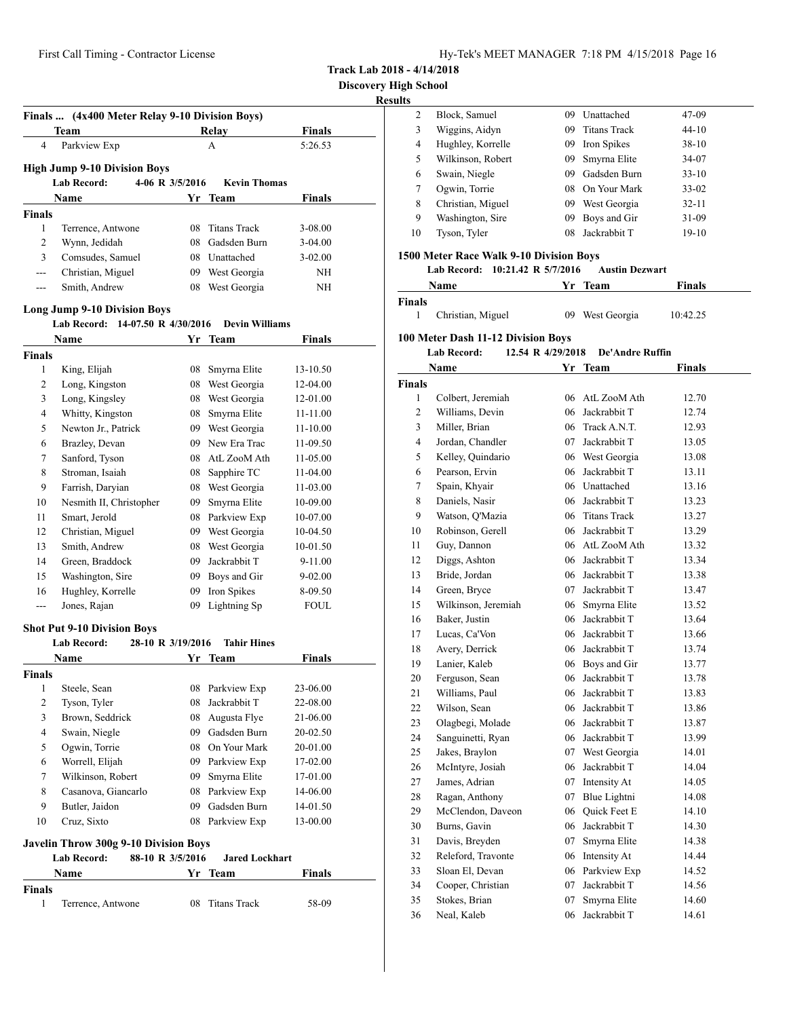**Track Lab 2018 - 4/14/2018**

**Result** 

|               | Finals  (4x400 Meter Relay 9-10 Division Boys)                          |     |                       |               |
|---------------|-------------------------------------------------------------------------|-----|-----------------------|---------------|
|               | Team                                                                    |     | Relay                 | <b>Finals</b> |
| 4             | Parkview Exp                                                            |     | A                     | 5:26.53       |
|               | <b>High Jump 9-10 Division Boys</b>                                     |     |                       |               |
|               | <b>Lab Record:</b><br>4-06 R 3/5/2016                                   |     | <b>Kevin Thomas</b>   |               |
|               | <b>Name</b>                                                             |     | Yr Team               | Finals        |
| <b>Finals</b> |                                                                         |     |                       |               |
| 1             | Terrence, Antwone                                                       | 08. | <b>Titans Track</b>   | 3-08.00       |
| 2             | Wynn, Jedidah                                                           |     | 08 Gadsden Burn       | $3-04.00$     |
| 3             | Comsudes, Samuel                                                        |     | 08 Unattached         | $3 - 02.00$   |
| $---$         | Christian, Miguel                                                       |     | 09 West Georgia       | NH            |
| ---           | Smith, Andrew                                                           |     | 08 West Georgia       | ΝH            |
|               |                                                                         |     |                       |               |
|               | <b>Long Jump 9-10 Division Boys</b><br>Lab Record: 14-07.50 R 4/30/2016 |     | <b>Devin Williams</b> |               |
|               | <b>Name</b>                                                             | Yr  | <b>Team</b>           | Finals        |
| <b>Finals</b> |                                                                         |     |                       |               |
| 1             | King, Elijah                                                            | 08  | Smyrna Elite          | 13-10.50      |
| 2             | Long, Kingston                                                          |     | 08 West Georgia       | 12-04.00      |
| 3             | Long, Kingsley                                                          |     | 08 West Georgia       | 12-01.00      |
| 4             | Whitty, Kingston                                                        | 08  | Smyrna Elite          | 11-11.00      |
| 5             | Newton Jr., Patrick                                                     |     | 09 West Georgia       | $11 - 10.00$  |
| 6             | Brazley, Devan                                                          |     | 09 New Era Trac       | 11-09.50      |
| 7             | Sanford, Tyson                                                          |     | 08 AtL ZooM Ath       | 11-05.00      |
| 8             | Stroman, Isaiah                                                         | 08  | Sapphire TC           | 11-04.00      |
| 9             | Farrish, Daryian                                                        |     | 08 West Georgia       | 11-03.00      |
| 10            | Nesmith II, Christopher                                                 | 09  | Smyrna Elite          | 10-09.00      |
| 11            | Smart, Jerold                                                           |     | 08 Parkview Exp       | 10-07.00      |
| 12            | Christian, Miguel                                                       |     | 09 West Georgia       | 10-04.50      |
| 13            | Smith, Andrew                                                           |     | 08 West Georgia       | 10-01.50      |
| 14            | Green, Braddock                                                         |     | 09 Jackrabbit T       | 9-11.00       |
| 15            | Washington, Sire                                                        |     | 09 Boys and Gir       | 9-02.00       |
| 16            | Hughley, Korrelle                                                       | 09  | Iron Spikes           | 8-09.50       |
| $---$         | Jones, Rajan                                                            | 09  | Lightning Sp          | <b>FOUL</b>   |
|               | <b>Shot Put 9-10 Division Boys</b>                                      |     |                       |               |
|               | <b>Lab Record:</b><br>28-10 R 3/19/2016                                 |     | <b>Tahir Hines</b>    |               |
|               | Name                                                                    |     | Yr Team               | Finals        |
| Finals        |                                                                         |     |                       |               |
| $\mathbf{1}$  | Steele, Sean                                                            |     | 08 Parkview Exp       | 23-06.00      |
| 2             | Tyson, Tyler                                                            |     | 08 Jackrabbit T       | 22-08.00      |
| 3             | Brown, Seddrick                                                         |     | 08 Augusta Flye       | 21-06.00      |
| 4             | Swain, Niegle                                                           |     | 09 Gadsden Burn       | 20-02.50      |
| 5             | Ogwin, Torrie                                                           |     | 08 On Your Mark       | 20-01.00      |
| 6             | Worrell, Elijah                                                         |     | 09 Parkview Exp       | 17-02.00      |
| 7             | Wilkinson, Robert                                                       | 09  | Smyrna Elite          | 17-01.00      |
| 8             | Casanova, Giancarlo                                                     |     | 08 Parkview Exp       | 14-06.00      |
| 9             | Butler, Jaidon                                                          | 09  | Gadsden Burn          | 14-01.50      |
| 10            | Cruz, Sixto                                                             |     | 08 Parkview Exp       | 13-00.00      |
|               | <b>Javelin Throw 300g 9-10 Division Boys</b>                            |     |                       |               |
|               | <b>Lab Record:</b><br>88-10 R 3/5/2016                                  |     | <b>Jared Lockhart</b> |               |
|               | Name                                                                    | Yr  | <b>Team</b>           | <b>Finals</b> |
| <b>Finals</b> |                                                                         |     |                       |               |
|               |                                                                         |     |                       |               |

| ts |                   |     |                     |           |  |
|----|-------------------|-----|---------------------|-----------|--|
| 2  | Block, Samuel     | 09  | Unattached          | 47-09     |  |
| 3  | Wiggins, Aidyn    | 09  | <b>Titans Track</b> | $44 - 10$ |  |
| 4  | Hughley, Korrelle | 09  | Iron Spikes         | $38-10$   |  |
| 5  | Wilkinson, Robert | 09  | Smyrna Elite        | 34-07     |  |
| 6  | Swain, Niegle     | 09  | Gadsden Burn        | $33-10$   |  |
| 7  | Ogwin, Torrie     | 08. | - On Your Mark      | $33-02$   |  |
| 8  | Christian, Miguel | 09  | West Georgia        | $32 - 11$ |  |
| 9  | Washington, Sire  | 09  | Boys and Gir        | $31-09$   |  |
| 10 | Tyson, Tyler      | 08  | Jackrabbit T        | $19-10$   |  |
|    |                   |     |                     |           |  |

# **1500 Meter Race Walk 9-10 Division Boys**

|               | Name                                      | Yr                | Team            | Finals   |
|---------------|-------------------------------------------|-------------------|-----------------|----------|
| <b>Finals</b> |                                           |                   |                 |          |
| 1             | Christian, Miguel                         | 09                | West Georgia    | 10:42.25 |
|               | <b>100 Meter Dash 11-12 Division Boys</b> |                   |                 |          |
|               | <b>Lab Record:</b>                        | 12.54 R 4/29/2018 | De'Andre Ruffin |          |
|               | Name                                      |                   | Yr Team         | Finals   |
| <b>Finals</b> |                                           |                   |                 |          |
| 1             | Colbert, Jeremiah                         |                   | 06 AtL ZooM Ath | 12.70    |
| 2             | Williams, Devin                           |                   | 06 Jackrabbit T | 12.74    |
| 3             | Miller, Brian                             |                   | 06 Track A.N.T. | 12.93    |
| 4             | Jordan, Chandler                          | 07                | Jackrabbit T    | 13.05    |
| 5             | Kelley, Quindario                         | 06                | West Georgia    | 13.08    |
| 6             | Pearson, Ervin                            | 06                | Jackrabbit T    | 13.11    |
| 7             | Spain, Khyair                             | 06                | Unattached      | 13.16    |
| 8             | Daniels, Nasir                            | 06                | Jackrabbit T    | 13.23    |

|    | Duillelo, Theoli    |    |                     |       |
|----|---------------------|----|---------------------|-------|
| 9  | Watson, Q'Mazia     | 06 | <b>Titans Track</b> | 13.27 |
| 10 | Robinson, Gerell    | 06 | Jackrabbit T        | 13.29 |
| 11 | Guy, Dannon         | 06 | AtL ZooM Ath        | 13.32 |
| 12 | Diggs, Ashton       | 06 | Jackrabbit T        | 13.34 |
| 13 | Bride, Jordan       | 06 | Jackrabbit T        | 13.38 |
| 14 | Green, Bryce        | 07 | Jackrabbit T        | 13.47 |
| 15 | Wilkinson, Jeremiah | 06 | Smyrna Elite        | 13.52 |
| 16 | Baker, Justin       | 06 | Jackrabbit T        | 13.64 |
| 17 | Lucas, Ca'Von       | 06 | Jackrabbit T        | 13.66 |
| 18 | Avery, Derrick      | 06 | Jackrabbit T        | 13.74 |
| 19 | Lanier, Kaleb       | 06 | Boys and Gir        | 13.77 |
| 20 | Ferguson, Sean      | 06 | Jackrabbit T        | 13.78 |
| 21 | Williams, Paul      | 06 | Jackrabbit T        | 13.83 |
| 22 | Wilson, Sean        | 06 | Jackrabbit T        | 13.86 |
| 23 | Olagbegi, Molade    | 06 | Jackrabbit T        | 13.87 |
| 24 | Sanguinetti, Ryan   | 06 | Jackrabbit T        | 13.99 |
| 25 | Jakes, Braylon      | 07 | West Georgia        | 14.01 |
| 26 | McIntyre, Josiah    | 06 | Jackrabbit T        | 14.04 |
| 27 | James, Adrian       | 07 | Intensity At        | 14.05 |
| 28 | Ragan, Anthony      | 07 | Blue Lightni        | 14.08 |
| 29 | McClendon, Daveon   | 06 | Quick Feet E        | 14.10 |
| 30 | Burns, Gavin        | 06 | Jackrabbit T        | 14.30 |

| 30 | Burns, Gavin       | 06 Jackrabbit T | 14.30 |
|----|--------------------|-----------------|-------|
| 31 | Davis, Breyden     | 07 Smyrna Elite | 14.38 |
| 32 | Releford, Travonte | 06 Intensity At | 14.44 |
| 33 | Sloan El, Devan    | 06 Parkview Exp | 14.52 |
| 34 | Cooper, Christian  | 07 Jackrabbit T | 14.56 |
| 35 | Stokes, Brian      | 07 Smyrna Elite | 14.60 |

Neal, Kaleb 06 Jackrabbit T 14.61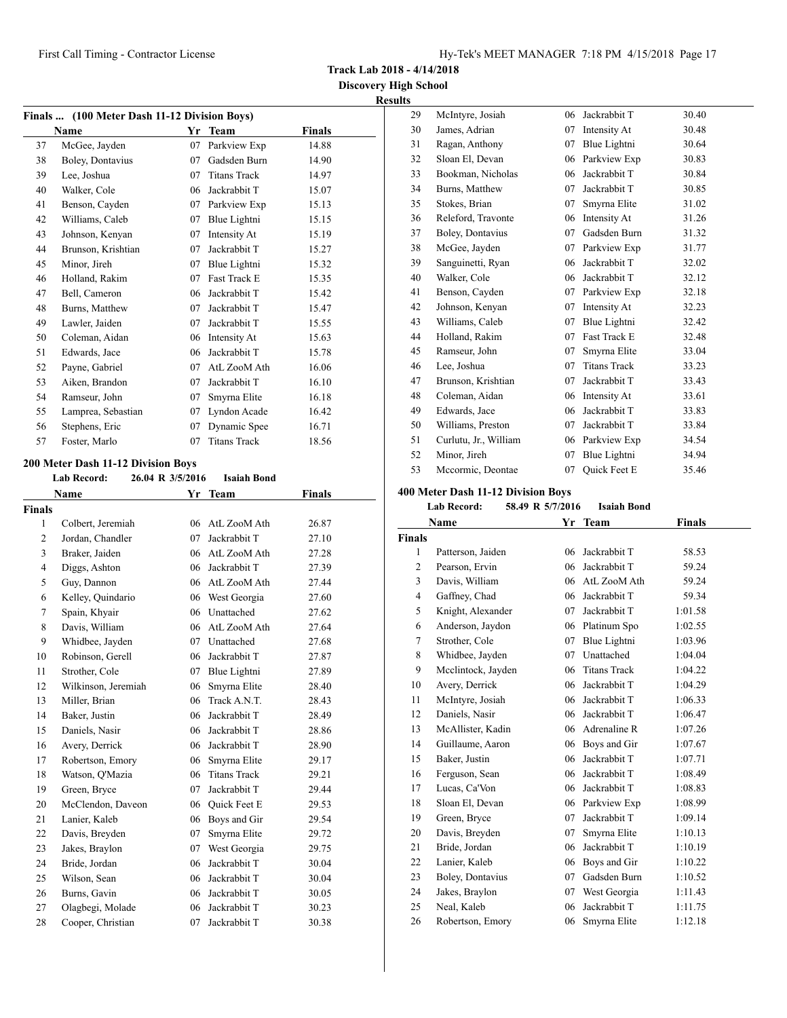**Track Lab 2018 - 4/14/2018**

**Discovery High School Results**

|    | Finals  (100 Meter Dash 11-12 Division Boys) |    |                     |               |  |
|----|----------------------------------------------|----|---------------------|---------------|--|
|    | Name                                         | Yr | <b>Team</b>         | <b>Finals</b> |  |
| 37 | McGee, Jayden                                | 07 | Parkview Exp        | 14.88         |  |
| 38 | Boley, Dontavius                             | 07 | Gadsden Burn        | 14.90         |  |
| 39 | Lee, Joshua                                  | 07 | <b>Titans Track</b> | 14.97         |  |
| 40 | Walker, Cole                                 | 06 | Jackrabbit T        | 15.07         |  |
| 41 | Benson, Cayden                               | 07 | Parkview Exp        | 15.13         |  |
| 42 | Williams, Caleb                              | 07 | Blue Lightni        | 15.15         |  |
| 43 | Johnson, Kenyan                              | 07 | Intensity At        | 15.19         |  |
| 44 | Brunson, Krishtian                           | 07 | Jackrabbit T        | 15.27         |  |
| 45 | Minor, Jireh                                 | 07 | Blue Lightni        | 15.32         |  |
| 46 | Holland, Rakim                               | 07 | <b>Fast Track E</b> | 15.35         |  |
| 47 | Bell, Cameron                                | 06 | Jackrabbit T        | 15.42         |  |
| 48 | Burns, Matthew                               | 07 | Jackrabbit T        | 15.47         |  |
| 49 | Lawler, Jaiden                               | 07 | Jackrabbit T        | 15.55         |  |
| 50 | Coleman, Aidan                               | 06 | Intensity At        | 15.63         |  |
| 51 | Edwards, Jace                                | 06 | Jackrabbit T        | 15.78         |  |
| 52 | Payne, Gabriel                               | 07 | AtL ZooM Ath        | 16.06         |  |
| 53 | Aiken, Brandon                               | 07 | Jackrabbit T        | 16.10         |  |
| 54 | Ramseur, John                                | 07 | Smyrna Elite        | 16.18         |  |
| 55 | Lamprea, Sebastian                           | 07 | Lyndon Acade        | 16.42         |  |
| 56 | Stephens, Eric                               | 07 | Dynamic Spee        | 16.71         |  |
| 57 | Foster, Marlo                                | 07 | <b>Titans Track</b> | 18.56         |  |

## **200 Meter Dash 11-12 Division Boys**

|                | <b>Lab Record:</b>  | 26.04 R 3/5/2016 | <b>Isaiah Bond</b>  |        |
|----------------|---------------------|------------------|---------------------|--------|
|                | Name                | Yr               | Team                | Finals |
| <b>Finals</b>  |                     |                  |                     |        |
| 1              | Colbert, Jeremiah   | 06               | AtL ZooM Ath        | 26.87  |
| 2              | Jordan, Chandler    | 07               | Jackrabbit T        | 27.10  |
| 3              | Braker, Jaiden      | 06               | AtL ZooM Ath        | 27.28  |
| $\overline{4}$ | Diggs, Ashton       | 06               | Jackrabbit T        | 27.39  |
| 5              | Guy, Dannon         | 06               | AtL ZooM Ath        | 27.44  |
| 6              | Kelley, Quindario   | 06               | West Georgia        | 27.60  |
| 7              | Spain, Khyair       | 06               | Unattached          | 27.62  |
| 8              | Davis, William      | 06               | AtL ZooM Ath        | 27.64  |
| 9              | Whidbee, Jayden     | 07               | Unattached          | 27.68  |
| 10             | Robinson, Gerell    | 06               | Jackrabbit T        | 27.87  |
| 11             | Strother, Cole      | 07               | Blue Lightni        | 27.89  |
| 12             | Wilkinson, Jeremiah | 06               | Smyrna Elite        | 28.40  |
| 13             | Miller, Brian       | 06               | Track A.N.T.        | 28.43  |
| 14             | Baker, Justin       | 06               | Jackrabbit T        | 28.49  |
| 15             | Daniels, Nasir      | 06               | Jackrabbit T        | 28.86  |
| 16             | Avery, Derrick      | 06               | Jackrabbit T        | 28.90  |
| 17             | Robertson, Emory    | 06               | Smyrna Elite        | 29.17  |
| 18             | Watson, O'Mazia     | 06               | <b>Titans Track</b> | 29.21  |
| 19             | Green, Bryce        | 07               | Jackrabbit T        | 29.44  |
| 20             | McClendon, Daveon   | 06               | Quick Feet E        | 29.53  |
| 21             | Lanier, Kaleb       | 06               | Boys and Gir        | 29.54  |
| 22             | Davis, Breyden      | 07               | Smyrna Elite        | 29.72  |
| 23             | Jakes, Braylon      | 07               | West Georgia        | 29.75  |
| 24             | Bride, Jordan       | 06               | Jackrabbit T        | 30.04  |
| 25             | Wilson, Sean        | 06               | Jackrabbit T        | 30.04  |
| 26             | Burns, Gavin        | 06               | Jackrabbit T        | 30.05  |
| 27             | Olagbegi, Molade    | 06               | Jackrabbit T        | 30.23  |
| 28             | Cooper, Christian   | 07               | Jackrabbit T        | 30.38  |

| 29 | McIntyre, Josiah      | 06 | Jackrabbit T        | 30.40 |
|----|-----------------------|----|---------------------|-------|
| 30 | James, Adrian         | 07 | Intensity At        | 30.48 |
| 31 | Ragan, Anthony        | 07 | Blue Lightni        | 30.64 |
| 32 | Sloan El, Devan       | 06 | Parkview Exp        | 30.83 |
| 33 | Bookman, Nicholas     | 06 | Jackrabbit T        | 30.84 |
| 34 | Burns, Matthew        | 07 | Jackrabbit T        | 30.85 |
| 35 | Stokes, Brian         | 07 | Smyrna Elite        | 31.02 |
| 36 | Releford, Travonte    | 06 | Intensity At        | 31.26 |
| 37 | Boley, Dontavius      | 07 | Gadsden Burn        | 31.32 |
| 38 | McGee, Jayden         | 07 | Parkview Exp        | 31.77 |
| 39 | Sanguinetti, Ryan     | 06 | Jackrabbit T        | 32.02 |
| 40 | Walker, Cole          | 06 | Jackrabbit T        | 32.12 |
| 41 | Benson, Cayden        | 07 | Parkview Exp        | 32.18 |
| 42 | Johnson, Kenyan       | 07 | Intensity At        | 32.23 |
| 43 | Williams, Caleb       | 07 | Blue Lightni        | 32.42 |
| 44 | Holland, Rakim        | 07 | Fast Track E        | 32.48 |
| 45 | Ramseur, John         | 07 | Smyrna Elite        | 33.04 |
| 46 | Lee, Joshua           | 07 | <b>Titans Track</b> | 33.23 |
| 47 | Brunson, Krishtian    | 07 | Jackrabbit T        | 33.43 |
| 48 | Coleman, Aidan        | 06 | Intensity At        | 33.61 |
| 49 | Edwards, Jace         | 06 | Jackrabbit T        | 33.83 |
| 50 | Williams, Preston     | 07 | Jackrabbit T        | 33.84 |
| 51 | Curlutu, Jr., William | 06 | Parkview Exp        | 34.54 |
| 52 | Minor, Jireh          | 07 | Blue Lightni        | 34.94 |
| 53 | Mccormic, Deontae     | 07 | <b>Ouick Feet E</b> | 35.46 |

## **400 Meter Dash 11-12 Division Boys**

| Lab Record: | 58.49 R 5/7/2016 | Isaiah Bond |
|-------------|------------------|-------------|
|             |                  |             |

|                | Name               | Yr | Team                | <b>Finals</b> |
|----------------|--------------------|----|---------------------|---------------|
| <b>Finals</b>  |                    |    |                     |               |
| 1              | Patterson, Jaiden  | 06 | Jackrabbit T        | 58.53         |
| $\overline{c}$ | Pearson, Ervin     | 06 | Jackrabbit T        | 59.24         |
| 3              | Davis, William     | 06 | AtL ZooM Ath        | 59.24         |
| $\overline{4}$ | Gaffney, Chad      | 06 | Jackrabbit T        | 59.34         |
| 5              | Knight, Alexander  | 07 | Jackrabbit T        | 1:01.58       |
| 6              | Anderson, Jaydon   | 06 | Platinum Spo        | 1:02.55       |
| 7              | Strother, Cole     | 07 | Blue Lightni        | 1:03.96       |
| 8              | Whidbee, Jayden    | 07 | Unattached          | 1:04.04       |
| 9              | Mcclintock, Jayden | 06 | <b>Titans Track</b> | 1:04.22       |
| 10             | Avery, Derrick     | 06 | Jackrabbit T        | 1:04.29       |
| 11             | McIntyre, Josiah   | 06 | Jackrabbit T        | 1:06.33       |
| 12             | Daniels, Nasir     | 06 | Jackrabbit T        | 1:06.47       |
| 13             | McAllister, Kadin  | 06 | Adrenaline R        | 1:07.26       |
| 14             | Guillaume, Aaron   | 06 | Boys and Gir        | 1:07.67       |
| 15             | Baker, Justin      | 06 | Jackrabbit T        | 1:07.71       |
| 16             | Ferguson, Sean     | 06 | Jackrabbit T        | 1:08.49       |
| 17             | Lucas, Ca'Von      | 06 | Jackrabbit T        | 1:08.83       |
| 18             | Sloan El, Devan    | 06 | Parkview Exp        | 1:08.99       |
| 19             | Green, Bryce       | 07 | Jackrabbit T        | 1:09.14       |
| 20             | Davis, Breyden     | 07 | Smyrna Elite        | 1:10.13       |
| 21             | Bride, Jordan      | 06 | Jackrabbit T        | 1:10.19       |
| 22             | Lanier, Kaleb      | 06 | Boys and Gir        | 1:10.22       |
| 23             | Boley, Dontavius   | 07 | Gadsden Burn        | 1:10.52       |
| 24             | Jakes, Braylon     | 07 | West Georgia        | 1:11.43       |
| 25             | Neal, Kaleb        | 06 | Jackrabbit T        | 1:11.75       |
| 26             | Robertson, Emory   | 06 | Smyrna Elite        | 1:12.18       |
|                |                    |    |                     |               |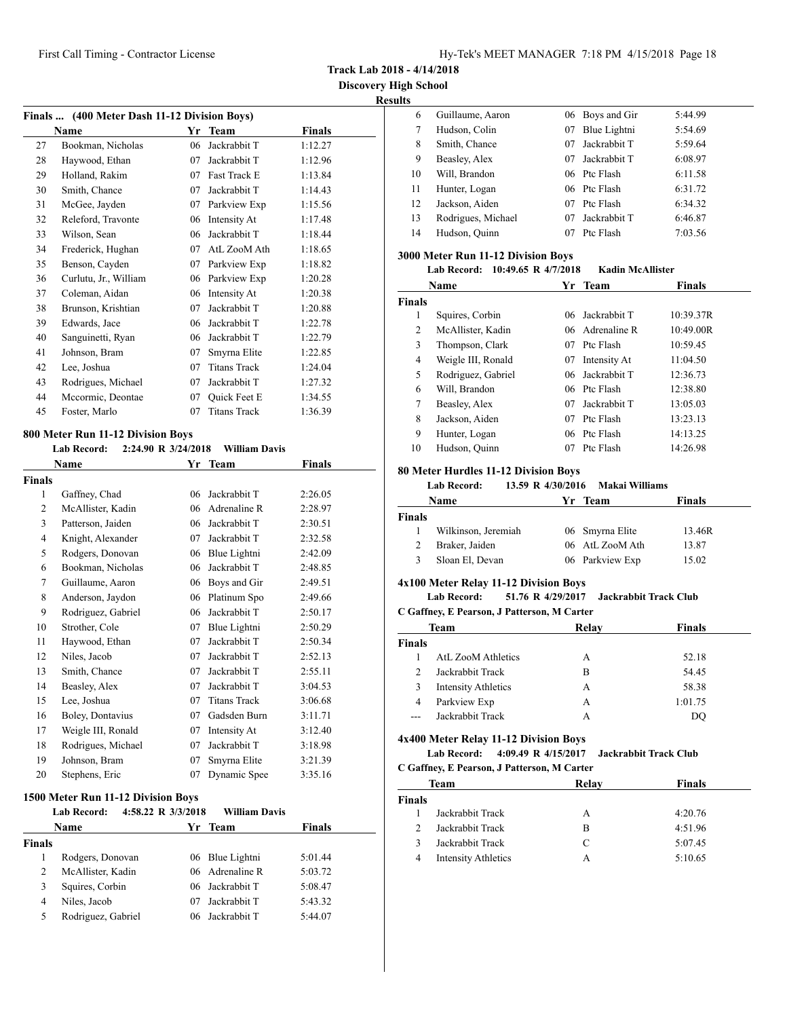**Track Lab 2018 - 4/14/2018**

**Discovery High School Results**

| Finals  (400 Meter Dash 11-12 Division Boys) |    |                     |         |  |
|----------------------------------------------|----|---------------------|---------|--|
| Name                                         | Yr | <b>Team</b>         | Finals  |  |
| Bookman, Nicholas                            | 06 | Jackrabbit T        | 1:12.27 |  |
| Haywood, Ethan                               | 07 | Jackrabbit T        | 1:12.96 |  |
| Holland, Rakim                               | 07 | Fast Track E        | 1:13.84 |  |
| Smith, Chance                                | 07 | Jackrabbit T        | 1:14.43 |  |
| McGee, Jayden                                | 07 | Parkview Exp        | 1:15.56 |  |
| Releford, Travonte                           | 06 | Intensity At        | 1:17.48 |  |
| Wilson, Sean                                 | 06 | Jackrabbit T        | 1:18.44 |  |
| Frederick, Hughan                            | 07 | AtL ZooM Ath        | 1:18.65 |  |
| Benson, Cayden                               | 07 | Parkview Exp        | 1:18.82 |  |
| Curlutu, Jr., William                        | 06 | Parkview Exp        | 1:20.28 |  |
| Coleman, Aidan                               | 06 | Intensity At        | 1:20.38 |  |
| Brunson, Krishtian                           | 07 | Jackrabbit T        | 1:20.88 |  |
| Edwards, Jace                                | 06 | Jackrabbit T        | 1:22.78 |  |
| Sanguinetti, Ryan                            | 06 | Jackrabbit T        | 1:22.79 |  |
| Johnson, Bram                                | 07 | Smyrna Elite        | 1:22.85 |  |
| Lee, Joshua                                  | 07 | <b>Titans Track</b> | 1:24.04 |  |
| Rodrigues, Michael                           | 07 | Jackrabbit T        | 1:27.32 |  |
| Mccormic, Deontae                            | 07 | <b>Ouick Feet E</b> | 1:34.55 |  |
| Foster, Marlo                                | 07 | <b>Titans Track</b> | 1:36.39 |  |
|                                              |    |                     |         |  |

### **800 Meter Run 11-12 Division Boys**

**Lab Record: 2:24.90 R 3/24/2018 William Davis**

| <b>Name</b>    |                    | Yr | <b>Team</b>         | <b>Finals</b> |  |
|----------------|--------------------|----|---------------------|---------------|--|
| <b>Finals</b>  |                    |    |                     |               |  |
| 1              | Gaffney, Chad      | 06 | Jackrabbit T        | 2:26.05       |  |
| $\overline{2}$ | McAllister, Kadin  | 06 | Adrenaline R        | 2:28.97       |  |
| 3              | Patterson, Jaiden  | 06 | Jackrabbit T        | 2:30.51       |  |
| $\overline{4}$ | Knight, Alexander  | 07 | Jackrabbit T        | 2:32.58       |  |
| 5              | Rodgers, Donovan   | 06 | Blue Lightni        | 2:42.09       |  |
| 6              | Bookman, Nicholas  | 06 | Jackrabbit T        | 2:48.85       |  |
| 7              | Guillaume, Aaron   | 06 | Boys and Gir        | 2:49.51       |  |
| 8              | Anderson, Jaydon   | 06 | Platinum Spo        | 2:49.66       |  |
| 9              | Rodriguez, Gabriel | 06 | Jackrabbit T        | 2:50.17       |  |
| 10             | Strother, Cole     | 07 | Blue Lightni        | 2:50.29       |  |
| 11             | Haywood, Ethan     | 07 | Jackrabbit T        | 2:50.34       |  |
| 12             | Niles, Jacob       | 07 | Jackrabbit T        | 2:52.13       |  |
| 13             | Smith, Chance      | 07 | Jackrabbit T        | 2:55.11       |  |
| 14             | Beasley, Alex      | 07 | Jackrabbit T        | 3:04.53       |  |
| 15             | Lee, Joshua        | 07 | <b>Titans Track</b> | 3:06.68       |  |
| 16             | Boley, Dontavius   | 07 | Gadsden Burn        | 3:11.71       |  |
| 17             | Weigle III, Ronald | 07 | Intensity At        | 3:12.40       |  |
| 18             | Rodrigues, Michael | 07 | Jackrabbit T        | 3:18.98       |  |
| 19             | Johnson, Bram      | 07 | Smyrna Elite        | 3:21.39       |  |
| 20             | Stephens, Eric     | 07 | Dynamic Spee        | 3:35.16       |  |

### **1500 Meter Run 11-12 Division Boys**

|        | <b>Lab Record:</b> | 4:58.22 R 3/3/2018 | <b>William Davis</b> |               |  |
|--------|--------------------|--------------------|----------------------|---------------|--|
|        | <b>Name</b>        |                    | Yr Team              | <b>Finals</b> |  |
| Finals |                    |                    |                      |               |  |
|        | Rodgers, Donovan   |                    | 06 Blue Lightni      | 5:01.44       |  |
| 2      | McAllister, Kadin  |                    | 06 Adrenaline R      | 5:03.72       |  |
| 3      | Squires, Corbin    |                    | 06 Jackrabbit T      | 5:08.47       |  |
| 4      | Niles, Jacob       | 07                 | Jackrabbit T         | 5:43.32       |  |
| 5      | Rodriguez, Gabriel |                    | 06 Jackrabbit T      | 5:44.07       |  |
|        |                    |                    |                      |               |  |

| ILS |                    |    |                 |         |
|-----|--------------------|----|-----------------|---------|
| 6   | Guillaume, Aaron   |    | 06 Boys and Gir | 5:44.99 |
| 7   | Hudson, Colin      | 07 | Blue Lightni    | 5:54.69 |
| 8   | Smith, Chance      | 07 | Jackrabbit T    | 5:59.64 |
| 9   | Beasley, Alex      | 07 | Jackrabbit T    | 6:08.97 |
| 10  | Will, Brandon      |    | 06 Ptc Flash    | 6:11.58 |
| 11  | Hunter, Logan      |    | 06 Ptc Flash    | 6:31.72 |
| 12  | Jackson, Aiden     | 07 | Ptc Flash       | 6:34.32 |
| 13  | Rodrigues, Michael | 07 | Jackrabbit T    | 6:46.87 |
| 14  | Hudson, Quinn      | 07 | Ptc Flash       | 7:03.56 |
|     |                    |    |                 |         |

## **3000 Meter Run 11-12 Division Boys**

# **Lab Record: 10:49.65 R 4/7/2018 Kadin McAllister**

| Name          |                    |    | Yr Team         | <b>Finals</b> |  |
|---------------|--------------------|----|-----------------|---------------|--|
| <b>Finals</b> |                    |    |                 |               |  |
| 1             | Squires, Corbin    | 06 | Jackrabbit T    | 10:39.37R     |  |
| 2             | McAllister, Kadin  |    | 06 Adrenaline R | 10:49.00R     |  |
| 3             | Thompson, Clark    | 07 | Ptc Flash       | 10:59.45      |  |
| 4             | Weigle III, Ronald | 07 | Intensity At    | 11:04.50      |  |
| 5             | Rodriguez, Gabriel | 06 | Jackrabbit T    | 12:36.73      |  |
| 6             | Will, Brandon      |    | 06 Ptc Flash    | 12:38.80      |  |
| 7             | Beasley, Alex      | 07 | Jackrabbit T    | 13:05.03      |  |
| 8             | Jackson, Aiden     | 07 | Ptc Flash       | 13:23.13      |  |
| 9             | Hunter, Logan      | 06 | Ptc Flash       | 14:13.25      |  |
| 10            | Hudson, Quinn      | 07 | Ptc Flash       | 14:26.98      |  |

## **80 Meter Hurdles 11-12 Division Boys**

## **Lab Record: 13.59 R 4/30/2016 Makai Williams**

| Name          |                     | Yr Team |                 | <b>Finals</b> |  |
|---------------|---------------------|---------|-----------------|---------------|--|
| <b>Finals</b> |                     |         |                 |               |  |
|               | Wilkinson, Jeremiah |         | 06 Smyrna Elite | 13.46R        |  |
| 2             | Braker, Jaiden      |         | 06 AtL ZooM Ath | 13.87         |  |
| 3             | Sloan El, Devan     |         | 06 Parkview Exp | 15.02         |  |

### **4x100 Meter Relay 11-12 Division Boys**

# **Lab Record: 51.76 R 4/29/2017 Jackrabbit Track Club**

## **C Gaffney, E Pearson, J Patterson, M Carter**

| Team           |                            | Relay | <b>Finals</b> |
|----------------|----------------------------|-------|---------------|
| <b>Finals</b>  |                            |       |               |
|                | <b>AtL ZooM Athletics</b>  | А     | 52.18         |
| $\mathfrak{D}$ | Jackrabbit Track           | в     | 54.45         |
| 3              | <b>Intensity Athletics</b> | А     | 58.38         |
| 4              | Parkview Exp               | А     | 1:01.75       |
| ---            | Jackrabbit Track           |       | DO            |

#### **4x400 Meter Relay 11-12 Division Boys**

**Lab Record: 4:09.49 R 4/15/2017 Jackrabbit Track Club C Gaffney, E Pearson, J Patterson, M Carter**

| Team                       | Relay | <b>Finals</b> |  |
|----------------------------|-------|---------------|--|
|                            |       |               |  |
| Jackrabbit Track           | А     | 4:20.76       |  |
| Jackrabbit Track           | B     | 4:51.96       |  |
| Jackrabbit Track           | C     | 5:07.45       |  |
| <b>Intensity Athletics</b> | А     | 5:10.65       |  |
|                            |       |               |  |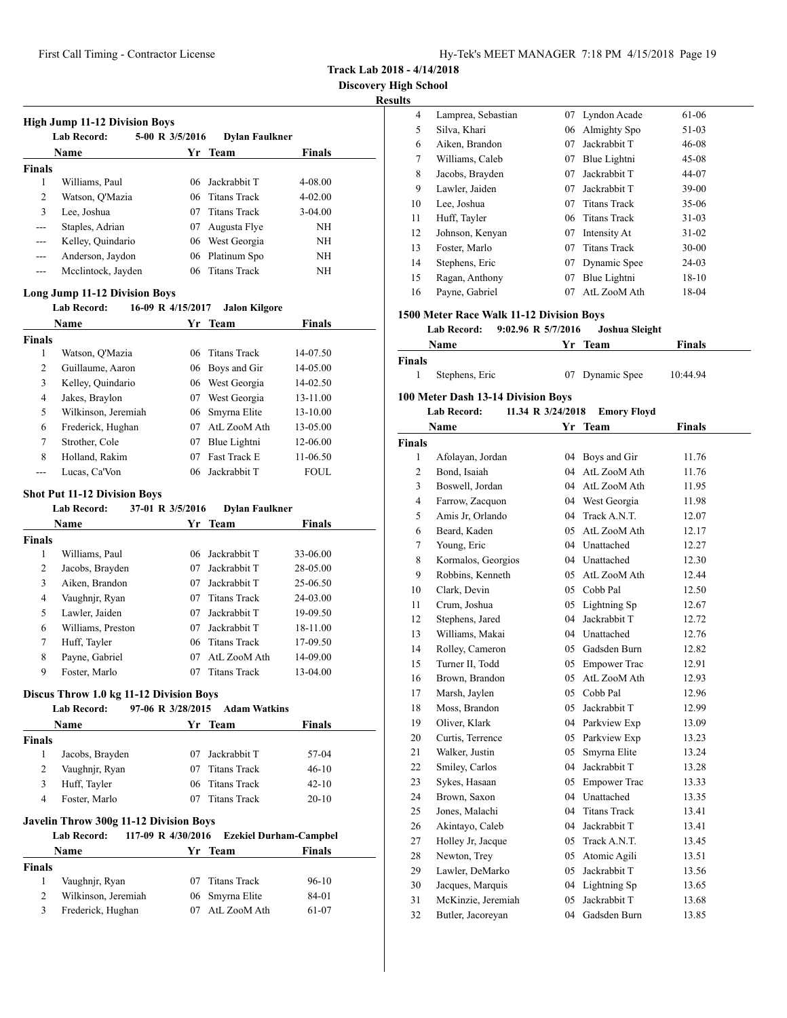**Track Lab 2018 - 4/14/2018**

**Discovery High School**

# **Results**

|               | <b>High Jump 11-12 Division Boys</b><br><b>Lab Record:</b> | 5-00 R 3/5/2016 | <b>Dylan Faulkner</b> |               |
|---------------|------------------------------------------------------------|-----------------|-----------------------|---------------|
|               | Name                                                       |                 | Yr Team               | <b>Finals</b> |
| <b>Finals</b> |                                                            |                 |                       |               |
| 1             | Williams, Paul                                             |                 | 06 Jackrabbit T       | 4-08.00       |
| 2             | Watson, O'Mazia                                            |                 | 06 Titans Track       | $4 - 02.00$   |
| 3             | Lee, Joshua                                                | 07              | Titans Track          | $3-04.00$     |
| $---$         | Staples, Adrian                                            | 07              | Augusta Flye          | <b>NH</b>     |
| $---$         | Kelley, Quindario                                          |                 | 06 West Georgia       | NH            |
| $---$         | Anderson, Jaydon                                           |                 | 06 Platinum Spo       | <b>NH</b>     |
|               | Mcclintock, Jayden                                         |                 | 06 Titans Track       | <b>NH</b>     |
|               |                                                            |                 |                       |               |

## **Long Jump 11-12 Division Boys**

### **Lab Record: 16-09 R 4/15/2017 Jalon Kilgore**

| <b>Name</b>         |    | <b>Team</b>         | <b>Finals</b>                                                                  |
|---------------------|----|---------------------|--------------------------------------------------------------------------------|
|                     |    |                     |                                                                                |
| Watson, O'Mazia     |    |                     | 14-07.50                                                                       |
| Guillaume, Aaron    |    | Boys and Gir        | 14-05.00                                                                       |
| Kelley, Quindario   |    |                     | 14-02.50                                                                       |
| Jakes, Braylon      | 07 | West Georgia        | 13-11.00                                                                       |
| Wilkinson, Jeremiah |    |                     | 13-10.00                                                                       |
| Frederick, Hughan   | 07 | AtL ZooM Ath        | 13-05.00                                                                       |
| Strother, Cole      | 07 | Blue Lightni        | 12-06.00                                                                       |
| Holland, Rakim      | 07 | <b>Fast Track E</b> | 11-06.50                                                                       |
| Lucas. Ca'Von       |    |                     | FOUL.                                                                          |
|                     |    | Yr.                 | 06 Titans Track<br>06<br>06 West Georgia<br>06 Smyrna Elite<br>06 Jackrabbit T |

### **Shot Put 11-12 Division Boys**

|               | 5000110011111111101011110010 |                  |                       |               |  |
|---------------|------------------------------|------------------|-----------------------|---------------|--|
|               | <b>Lab Record:</b>           | 37-01 R 3/5/2016 | <b>Dylan Faulkner</b> |               |  |
|               | Name                         |                  | Yr Team               | <b>Finals</b> |  |
| <b>Finals</b> |                              |                  |                       |               |  |
| 1             | Williams, Paul               | 06               | Jackrabbit T          | 33-06.00      |  |
| 2             | Jacobs, Brayden              | 07               | Jackrabbit T          | 28-05.00      |  |
| 3             | Aiken, Brandon               | 07               | Jackrabbit T          | 25-06.50      |  |
| 4             | Vaughnjr, Ryan               | 07               | <b>Titans Track</b>   | 24-03.00      |  |
| 5             | Lawler, Jaiden               | 07               | Jackrabbit T          | 19-09.50      |  |
| 6             | Williams, Preston            | 07               | Jackrabbit T          | 18-11.00      |  |
| 7             | Huff, Tayler                 | 06               | <b>Titans Track</b>   | 17-09.50      |  |
| 8             | Payne, Gabriel               | 07               | AtL ZooM Ath          | 14-09.00      |  |
| 9             | Foster, Marlo                | 07               | <b>Titans Track</b>   | 13-04.00      |  |

# **Discus Throw 1.0 kg 11-12 Division Boys**

|                    | <b>Lab Record:</b>                                                                        |     | 97-06 R 3/28/2015 Adam Watkins |               |
|--------------------|-------------------------------------------------------------------------------------------|-----|--------------------------------|---------------|
|                    | Name                                                                                      |     | Yr Team                        | Finals        |
| <b>Finals</b>      |                                                                                           |     |                                |               |
| 1                  | Jacobs, Brayden                                                                           | 07  | Jackrabbit T                   | 57-04         |
| 2                  | Vaughnjr, Ryan                                                                            | 07  | <b>Titans Track</b>            | $46-10$       |
| 3                  | Huff, Tayler                                                                              | 06. | Titans Track                   | $42 - 10$     |
| 4                  | Foster, Marlo                                                                             | 07  | <b>Titans Track</b>            | $20-10$       |
|                    |                                                                                           |     |                                |               |
|                    | <b>Javelin Throw 300g 11-12 Division Boys</b><br>117-09 R 4/30/2016<br><b>Lab Record:</b> |     | <b>Ezekiel Durham-Campbel</b>  |               |
|                    | Name                                                                                      |     | Yr Team                        | <b>Finals</b> |
| 1                  | Vaughnjr, Ryan                                                                            | 07  | <b>Titans Track</b>            | $96-10$       |
| <b>Finals</b><br>2 | Wilkinson, Jeremiah                                                                       | 06  | Smyrna Elite                   | 84-01         |

| uns                |                                          |                   |                                 |               |
|--------------------|------------------------------------------|-------------------|---------------------------------|---------------|
| 4                  | Lamprea, Sebastian                       | 07                | Lyndon Acade                    | 61-06         |
| 5                  | Silva, Khari                             |                   | 06 Almighty Spo                 | 51-03         |
| 6                  | Aiken, Brandon                           | 07                | Jackrabbit T                    | 46-08         |
| 7                  | Williams, Caleb                          | 07                | Blue Lightni                    | 45-08         |
| 8                  | Jacobs, Brayden                          | 07                | Jackrabbit T                    | 44-07         |
| 9                  | Lawler, Jaiden                           |                   | 07 Jackrabbit T                 | 39-00         |
| 10                 | Lee, Joshua                              | 07                | <b>Titans Track</b>             | 35-06         |
| 11                 | Huff, Tayler                             |                   | 06 Titans Track                 | 31-03         |
| 12                 | Johnson, Kenyan                          |                   | 07 Intensity At                 | $31 - 02$     |
| 13                 | Foster, Marlo                            | 07                | <b>Titans Track</b>             | 30-00         |
| 14                 | Stephens, Eric                           |                   | 07 Dynamic Spee                 | 24-03         |
| 15                 | Ragan, Anthony                           | 07                | Blue Lightni                    | 18-10         |
| 16                 | Payne, Gabriel                           | 07                | AtL ZooM Ath                    | 18-04         |
|                    |                                          |                   |                                 |               |
|                    | 1500 Meter Race Walk 11-12 Division Boys |                   |                                 |               |
|                    | 9:02.96 R 5/7/2016<br>Lab Record:        |                   | Joshua Sleight                  |               |
|                    | Name                                     |                   | Yr Team                         | Finals        |
| Finals             |                                          |                   |                                 |               |
| 1                  | Stephens, Eric                           | 07                | Dynamic Spee                    | 10:44.94      |
|                    | 100 Meter Dash 13-14 Division Boys       |                   |                                 |               |
|                    | <b>Lab Record:</b>                       | 11.34 R 3/24/2018 | <b>Emory Floyd</b>              |               |
|                    | Name                                     |                   |                                 | <b>Finals</b> |
|                    |                                          |                   | Yr Team                         |               |
| <b>Finals</b><br>1 | Afolayan, Jordan                         |                   |                                 |               |
|                    |                                          | 04                | Boys and Gir<br>04 AtL ZooM Ath | 11.76         |
| 2                  | Bond, Isaiah                             |                   |                                 | 11.76         |
| 3                  | Boswell, Jordan                          |                   | 04 AtL ZooM Ath                 | 11.95         |
| 4                  | Farrow, Zacquon                          |                   | 04 West Georgia                 | 11.98         |
| 5                  | Amis Jr. Orlando                         |                   | 04 Track A.N.T.                 | 12.07         |
| 6                  | Beard, Kaden                             |                   | 05 AtL ZooM Ath                 | 12.17         |
| 7                  | Young, Eric                              |                   | 04 Unattached                   | 12.27         |
| 8                  | Kormalos, Georgios                       |                   | 04 Unattached                   | 12.30         |
| 9                  | Robbins, Kenneth                         |                   | 05 AtL ZooM Ath                 | 12.44         |
| 10                 | Clark, Devin                             |                   | 05 Cobb Pal                     | 12.50         |
| 11                 | Crum, Joshua                             |                   | 05 Lightning Sp                 | 12.67         |
| 12                 | Stephens, Jared                          |                   | 04 Jackrabbit T                 | 12.72         |
| 13                 | Williams, Makai                          |                   | 04 Unattached                   | 12.76         |
| 14                 | Rolley, Cameron                          |                   | 05 Gadsden Burn                 | 12.82         |
| 15                 | Turner II, Todd                          |                   | 05 Empower Trac                 | 12.91         |
| 16                 | Brown, Brandon                           |                   | 05 AtL ZooM Ath                 | 12.93         |
| 17                 | Marsh, Jaylen                            |                   | 05 Cobb Pal                     | 12.96         |
| 18                 | Moss, Brandon                            | 05                | Jackrabbit T                    | 12.99         |
| 19                 | Oliver, Klark                            | 04                | Parkview Exp                    | 13.09         |
| 20                 | Curtis, Terrence                         | 05                | Parkview Exp                    | 13.23         |
| 21                 | Walker, Justin                           | 05                | Smyrna Elite                    | 13.24         |
| 22                 | Smiley, Carlos                           | 04                | Jackrabbit T                    | 13.28         |
| 23                 | Sykes, Hasaan                            | 05                | <b>Empower Trac</b>             | 13.33         |
| 24                 | Brown, Saxon                             | 04                | Unattached                      | 13.35         |
| 25                 | Jones, Malachi                           | 04                | <b>Titans Track</b>             | 13.41         |
| 26                 | Akintayo, Caleb                          | 04                | Jackrabbit T                    | 13.41         |
| 27                 | Holley Jr, Jacque                        | 05                | Track A.N.T.                    | 13.45         |
| 28                 | Newton, Trey                             | 05                | Atomic Agili                    | 13.51         |
| 29                 | Lawler, DeMarko                          | 05                | Jackrabbit T                    | 13.56         |
| 30                 | Jacques, Marquis                         | 04                | Lightning Sp                    | 13.65         |
| 31                 | McKinzie, Jeremiah                       | 05                | Jackrabbit T                    | 13.68         |
| 32                 | Butler, Jacoreyan                        | 04                | Gadsden Burn                    | 13.85         |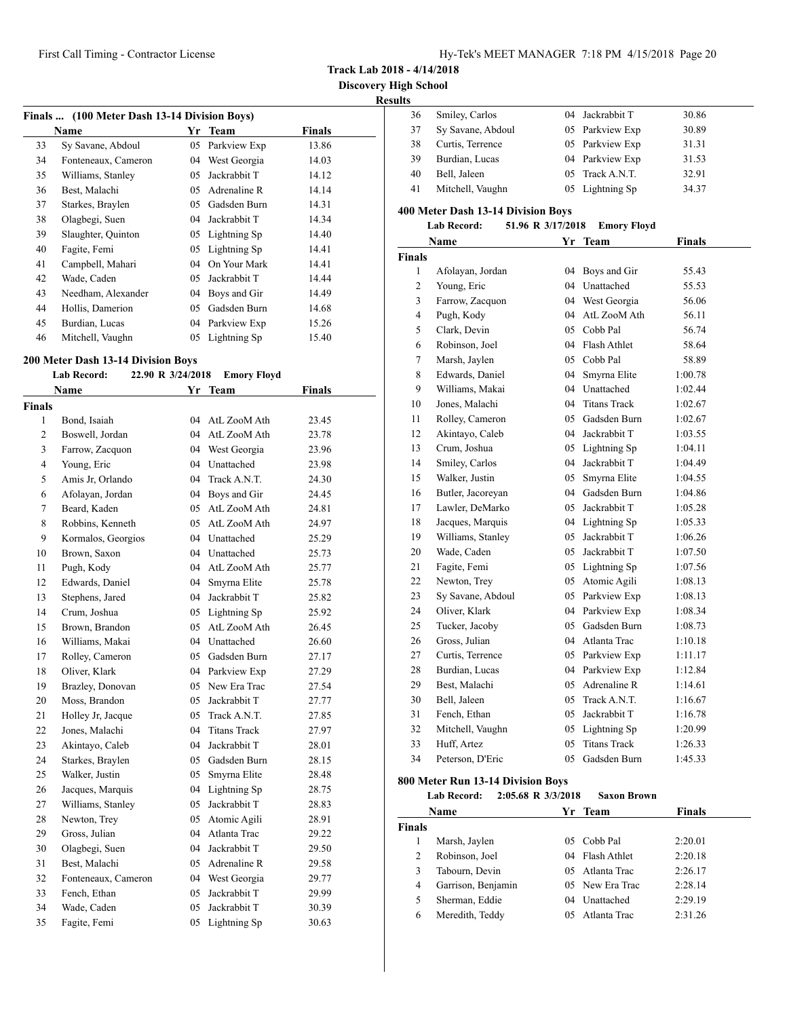**Track Lab 2018 - 4/14/2018**

**Results**

| ,,,,,,,,, |                   |                 |       |
|-----------|-------------------|-----------------|-------|
| 36        | Smiley, Carlos    | 04 Jackrabbit T | 30.86 |
| 37        | Sy Savane, Abdoul | 05 Parkview Exp | 30.89 |
| 38        | Curtis, Terrence  | 05 Parkview Exp | 31.31 |
| 39        | Burdian, Lucas    | 04 Parkview Exp | 31.53 |
| 40        | Bell, Jaleen      | 05 Track A.N.T. | 32.91 |
| 41        | Mitchell, Vaughn  | 05 Lightning Sp | 34.37 |

## **400 Meter Dash 13-14 Division Boys**

| Lab Record: |  | 51.96 R 3/17/2018 | Emory Floyd |
|-------------|--|-------------------|-------------|
|-------------|--|-------------------|-------------|

|                | Name              | Yr  | <b>Team</b>         | <b>Finals</b> |  |
|----------------|-------------------|-----|---------------------|---------------|--|
| Finals         |                   |     |                     |               |  |
| 1              | Afolayan, Jordan  | 04  | Boys and Gir        | 55.43         |  |
| $\overline{c}$ | Young, Eric       | 04  | Unattached          | 55.53         |  |
| 3              | Farrow, Zacquon   | 04  | West Georgia        | 56.06         |  |
| 4              | Pugh, Kody        | 04  | AtL ZooM Ath        | 56.11         |  |
| 5              | Clark, Devin      | 05  | Cobb Pal            | 56.74         |  |
| 6              | Robinson, Joel    | 04  | Flash Athlet        | 58.64         |  |
| $\tau$         | Marsh, Jaylen     | 05  | Cobb Pal            | 58.89         |  |
| 8              | Edwards, Daniel   | 04  | Smyrna Elite        | 1:00.78       |  |
| 9              | Williams, Makai   |     | 04 Unattached       | 1:02.44       |  |
| 10             | Jones, Malachi    |     | 04 Titans Track     | 1:02.67       |  |
| 11             | Rolley, Cameron   |     | 05 Gadsden Burn     | 1:02.67       |  |
| 12             | Akintayo, Caleb   |     | 04 Jackrabbit T     | 1:03.55       |  |
| 13             | Crum. Joshua      |     | 05 Lightning Sp     | 1:04.11       |  |
| 14             | Smiley, Carlos    |     | 04 Jackrabbit T     | 1:04.49       |  |
| 15             | Walker, Justin    | 05  | Smyrna Elite        | 1:04.55       |  |
| 16             | Butler, Jacoreyan |     | 04 Gadsden Burn     | 1:04.86       |  |
| 17             | Lawler, DeMarko   |     | 05 Jackrabbit T     | 1:05.28       |  |
| 18             | Jacques, Marquis  | 04  | Lightning Sp        | 1:05.33       |  |
| 19             | Williams, Stanley | 05  | Jackrabbit T        | 1:06.26       |  |
| 20             | Wade, Caden       | 05  | Jackrabbit T        | 1:07.50       |  |
| 21             | Fagite, Femi      | 05  | Lightning Sp        | 1:07.56       |  |
| 22             | Newton, Trey      | 05  | Atomic Agili        | 1:08.13       |  |
| 23             | Sy Savane, Abdoul | 05  | Parkview Exp        | 1:08.13       |  |
| 24             | Oliver, Klark     | 04  | Parkview Exp        | 1:08.34       |  |
| 25             | Tucker, Jacoby    | 0.5 | Gadsden Burn        | 1:08.73       |  |
| 26             | Gross, Julian     |     | 04 Atlanta Trac     | 1:10.18       |  |
| 27             | Curtis, Terrence  |     | 05 Parkview Exp     | 1:11.17       |  |
| 28             | Burdian, Lucas    | 04  | Parkview Exp        | 1:12.84       |  |
| 29             | Best, Malachi     | 05  | Adrenaline R        | 1:14.61       |  |
| 30             | Bell, Jaleen      | 05  | Track A.N.T.        | 1:16.67       |  |
| 31             | Fench, Ethan      | 05  | Jackrabbit T        | 1:16.78       |  |
| 32             | Mitchell, Vaughn  |     | 05 Lightning Sp     | 1:20.99       |  |
| 33             | Huff, Artez       | 05  | <b>Titans Track</b> | 1:26.33       |  |
| 34             | Peterson, D'Eric  | 05  | Gadsden Burn        | 1:45.33       |  |
|                |                   |     |                     |               |  |

### **800 Meter Run 13-14 Division Boys**

**Lab Record: 2:05.68 R 3/3/2018 Saxon Brown Name Yr Team Finals Finals** Marsh, Jaylen 05 Cobb Pal 2:20.01 Robinson, Joel 04 Flash Athlet 2:20.18 Tabourn, Devin 05 Atlanta Trac 2:26.17 Garrison, Benjamin 05 New Era Trac 2:28.14 Sherman, Eddie 04 Unattached 2:29.19 Meredith, Teddy 05 Atlanta Trac 2:31.26

| Finals  (100 Meter Dash 13-14 Division Boys) |                     |    |                 |        |  |
|----------------------------------------------|---------------------|----|-----------------|--------|--|
|                                              | Name                | Yr | Team            | Finals |  |
| 33                                           | Sy Savane, Abdoul   |    | 05 Parkview Exp | 13.86  |  |
| 34                                           | Fonteneaux, Cameron | 04 | West Georgia    | 14.03  |  |
| 35                                           | Williams, Stanley   | 05 | Jackrabbit T    | 14.12  |  |
| 36                                           | Best, Malachi       | 05 | Adrenaline R    | 14.14  |  |
| 37                                           | Starkes, Braylen    | 05 | Gadsden Burn    | 14.31  |  |
| 38                                           | Olagbegi, Suen      | 04 | Jackrabbit T    | 14.34  |  |
| 39                                           | Slaughter, Quinton  |    | 05 Lightning Sp | 14.40  |  |
| 40                                           | Fagite, Femi        |    | 05 Lightning Sp | 14.41  |  |
| 41                                           | Campbell, Mahari    | 04 | On Your Mark    | 14.41  |  |
| 42                                           | Wade, Caden         | 05 | Jackrabbit T    | 14.44  |  |
| 43                                           | Needham, Alexander  | 04 | Boys and Gir    | 14.49  |  |
| 44                                           | Hollis, Damerion    | 05 | Gadsden Burn    | 14.68  |  |
| 45                                           | Burdian, Lucas      | 04 | Parkview Exp    | 15.26  |  |
| 46                                           | Mitchell, Vaughn    |    | 05 Lightning Sp | 15.40  |  |

### **200 Meter Dash 13-14 Division Boys**

## **Lab Record: 22.90 R 3/24/2018 Emory Floyd**

|                | Name                | Yr | <b>Team</b>         | <b>Finals</b> |
|----------------|---------------------|----|---------------------|---------------|
| <b>Finals</b>  |                     |    |                     |               |
| 1              | Bond, Isaiah        |    | 04 AtL ZooM Ath     | 23.45         |
| $\overline{c}$ | Boswell, Jordan     | 04 | AtL ZooM Ath        | 23.78         |
| 3              | Farrow, Zacquon     |    | 04 West Georgia     | 23.96         |
| $\overline{4}$ | Young, Eric         | 04 | Unattached          | 23.98         |
| 5              | Amis Jr, Orlando    | 04 | Track A.N.T.        | 24.30         |
| 6              | Afolayan, Jordan    |    | 04 Boys and Gir     | 24.45         |
| 7              | Beard, Kaden        | 05 | AtL ZooM Ath        | 24.81         |
| 8              | Robbins, Kenneth    | 05 | AtL ZooM Ath        | 24.97         |
| 9              | Kormalos, Georgios  |    | 04 Unattached       | 25.29         |
| 10             | Brown, Saxon        |    | 04 Unattached       | 25.73         |
| 11             | Pugh, Kody          |    | 04 AtL ZooM Ath     | 25.77         |
| 12             | Edwards, Daniel     | 04 | Smyrna Elite        | 25.78         |
| 13             | Stephens, Jared     | 04 | Jackrabbit T        | 25.82         |
| 14             | Crum, Joshua        |    | 05 Lightning Sp     | 25.92         |
| 15             | Brown, Brandon      | 05 | AtL ZooM Ath        | 26.45         |
| 16             | Williams, Makai     |    | 04 Unattached       | 26.60         |
| 17             | Rolley, Cameron     |    | 05 Gadsden Burn     | 27.17         |
| 18             | Oliver, Klark       |    | 04 Parkview Exp     | 27.29         |
| 19             | Brazley, Donovan    | 05 | New Era Trac        | 27.54         |
| 20             | Moss, Brandon       | 05 | Jackrabbit T        | 27.77         |
| 21             | Holley Jr, Jacque   | 05 | Track A.N.T.        | 27.85         |
| 22             | Jones, Malachi      | 04 | <b>Titans Track</b> | 27.97         |
| 23             | Akintayo, Caleb     | 04 | Jackrabbit T        | 28.01         |
| 24             | Starkes, Braylen    | 05 | Gadsden Burn        | 28.15         |
| 25             | Walker, Justin      | 05 | Smyrna Elite        | 28.48         |
| 26             | Jacques, Marquis    | 04 | Lightning Sp        | 28.75         |
| 27             | Williams, Stanley   | 05 | Jackrabbit T        | 28.83         |
| 28             | Newton, Trey        | 05 | Atomic Agili        | 28.91         |
| 29             | Gross, Julian       | 04 | Atlanta Trac        | 29.22         |
| 30             | Olagbegi, Suen      | 04 | Jackrabbit T        | 29.50         |
| 31             | Best, Malachi       | 05 | Adrenaline R        | 29.58         |
| 32             | Fonteneaux, Cameron | 04 | West Georgia        | 29.77         |
| 33             | Fench, Ethan        | 05 | Jackrabbit T        | 29.99         |
| 34             | Wade, Caden         | 05 | Jackrabbit T        | 30.39         |
| 35             | Fagite, Femi        | 05 | Lightning Sp        | 30.63         |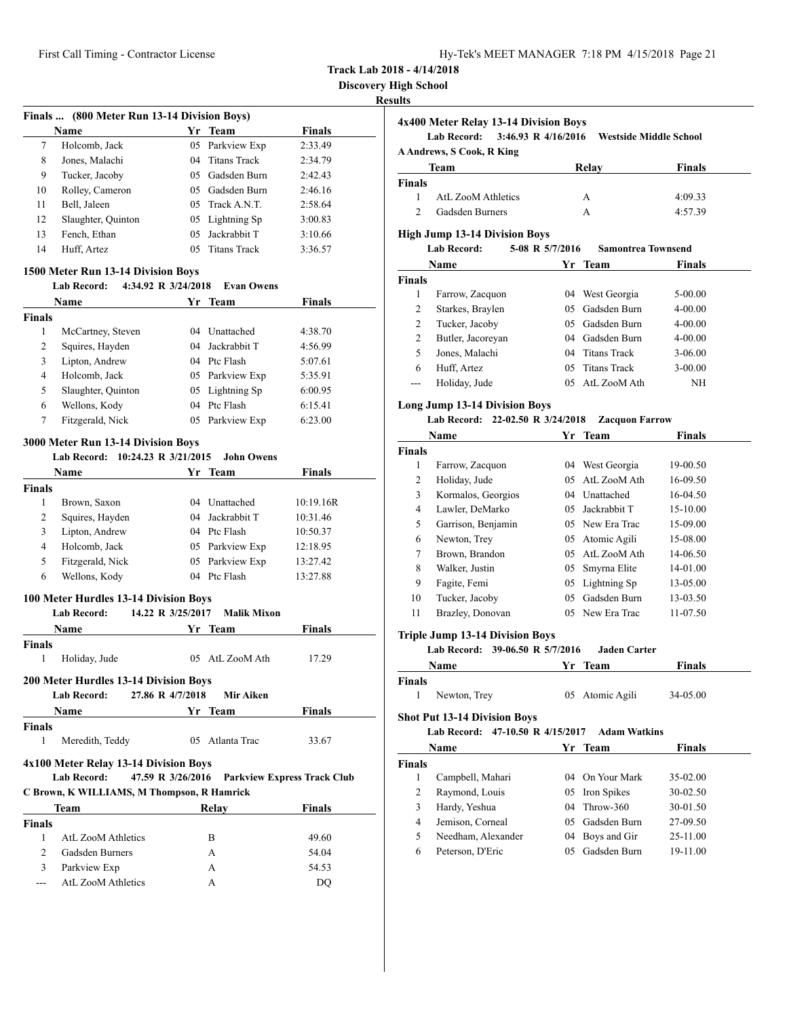| Hy-Tek's MEET MANAGER 7:18 PM 4/15/2018 Page 21 |  |  |
|-------------------------------------------------|--|--|
|                                                 |  |  |

**Discovery High School**

| 7                                        | Finals  (800 Meter Run 13-14 Division Boys)                                     |                   |                                     |                                    |
|------------------------------------------|---------------------------------------------------------------------------------|-------------------|-------------------------------------|------------------------------------|
|                                          | Name                                                                            |                   | Yr Team                             | Finals                             |
|                                          | Holcomb, Jack<br>Jones, Malachi                                                 | 05<br>04          | Parkview Exp<br><b>Titans Track</b> | 2:33.49                            |
| 8                                        |                                                                                 |                   | 05 Gadsden Burn                     | 2:34.79                            |
| 9                                        | Tucker, Jacoby                                                                  |                   |                                     | 2:42.43                            |
| 10                                       | Rolley, Cameron                                                                 |                   | 05 Gadsden Burn                     | 2:46.16                            |
| 11                                       | Bell, Jaleen                                                                    |                   | 05 Track A.N.T.                     | 2:58.64                            |
| 12                                       | Slaughter, Quinton                                                              |                   | 05 Lightning Sp                     | 3:00.83                            |
| 13                                       | Fench, Ethan                                                                    |                   | 05 Jackrabbit T                     | 3:10.66                            |
| 14                                       | Huff, Artez                                                                     |                   | 05 Titans Track                     | 3:36.57                            |
|                                          | 1500 Meter Run 13-14 Division Boys<br><b>Lab Record:</b><br>4:34.92 R 3/24/2018 |                   | <b>Evan Owens</b>                   |                                    |
|                                          | <b>Name</b>                                                                     |                   | Yr Team                             | Finals                             |
| <b>Finals</b>                            |                                                                                 |                   |                                     |                                    |
| 1                                        | McCartney, Steven                                                               |                   | 04 Unattached                       | 4:38.70                            |
| 2                                        | Squires, Hayden                                                                 |                   | 04 Jackrabbit T                     | 4:56.99                            |
| 3                                        | Lipton, Andrew                                                                  |                   | 04 Ptc Flash                        | 5:07.61                            |
| $\overline{4}$                           | Holcomb, Jack                                                                   |                   | 05 Parkview Exp                     |                                    |
|                                          | Slaughter, Quinton                                                              |                   | 05 Lightning Sp                     | 5:35.91                            |
| 5<br>6                                   |                                                                                 |                   | 04 Ptc Flash                        | 6:00.95<br>6:15.41                 |
|                                          | Wellons, Kody                                                                   |                   |                                     |                                    |
| 7                                        | Fitzgerald, Nick                                                                | 05                | Parkview Exp                        | 6:23.00                            |
|                                          | 3000 Meter Run 13-14 Division Boys<br>Lab Record: 10:24.23 R 3/21/2015          |                   | <b>John Owens</b>                   |                                    |
|                                          | <b>Name</b>                                                                     |                   | Yr Team                             | <b>Finals</b>                      |
| <b>Finals</b>                            |                                                                                 |                   |                                     |                                    |
| 1                                        | Brown, Saxon                                                                    |                   | 04 Unattached                       | 10:19.16R                          |
| 2                                        | Squires, Hayden                                                                 |                   | 04 Jackrabbit T                     | 10:31.46                           |
| 3                                        | Lipton, Andrew                                                                  |                   | 04 Ptc Flash                        | 10:50.37                           |
| $\overline{4}$                           | Holcomb, Jack                                                                   |                   | 05 Parkview Exp                     | 12:18.95                           |
| 5                                        | Fitzgerald, Nick                                                                |                   | 05 Parkview Exp                     | 13:27.42                           |
| 6                                        | Wellons, Kody                                                                   |                   | 04 Ptc Flash                        | 13:27.88                           |
|                                          |                                                                                 |                   |                                     |                                    |
|                                          | 100 Meter Hurdles 13-14 Division Boys<br><b>Lab Record:</b>                     | 14.22 R 3/25/2017 | <b>Malik Mixon</b>                  |                                    |
|                                          | Name                                                                            |                   | Yr Team                             | Finals                             |
| Finals                                   |                                                                                 |                   |                                     |                                    |
|                                          | Holiday, Jude                                                                   |                   | 05 AtL ZooM Ath                     | 17.29                              |
| 1                                        | 200 Meter Hurdles 13-14 Division Boys                                           |                   |                                     |                                    |
|                                          |                                                                                 |                   |                                     |                                    |
|                                          | <b>Lab Record:</b>                                                              | 27.86 R 4/7/2018  | Mir Aiken                           |                                    |
|                                          | <b>Name</b>                                                                     |                   | Yr Team                             | <b>Finals</b>                      |
|                                          |                                                                                 |                   |                                     |                                    |
| $\mathbf{1}$                             | Meredith, Teddy                                                                 |                   | 05 Atlanta Trac                     | 33.67                              |
|                                          | 4x100 Meter Relay 13-14 Division Boys                                           |                   |                                     |                                    |
|                                          | <b>Lab Record:</b>                                                              | 47.59 R 3/26/2016 |                                     | <b>Parkview Express Track Club</b> |
|                                          | C Brown, K WILLIAMS, M Thompson, R Hamrick                                      |                   |                                     |                                    |
|                                          | Team                                                                            |                   | <b>Relay</b>                        | <b>Finals</b>                      |
|                                          |                                                                                 |                   |                                     |                                    |
| 1                                        | AtL ZooM Athletics                                                              |                   | B                                   | 49.60                              |
| <b>Finals</b><br><b>Finals</b><br>2<br>3 | Gadsden Burners<br>Parkview Exp                                                 |                   | А<br>А                              | 54.04<br>54.53                     |

|                    | 4x400 Meter Relay 13-14 Division Boys<br>3:46.93 R 4/16/2016<br><b>Lab Record:</b> |    |                               |               |
|--------------------|------------------------------------------------------------------------------------|----|-------------------------------|---------------|
|                    | <b>A Andrews, S Cook, R King</b>                                                   |    | <b>Westside Middle School</b> |               |
|                    |                                                                                    |    |                               |               |
|                    | Team                                                                               |    | <b>Relay</b>                  | Finals        |
| <b>Finals</b><br>1 | AtL ZooM Athletics                                                                 |    | А                             | 4:09.33       |
| $\overline{c}$     | Gadsden Burners                                                                    |    |                               |               |
|                    |                                                                                    |    | A                             | 4:57.39       |
|                    | <b>High Jump 13-14 Division Boys</b>                                               |    |                               |               |
|                    | <b>Lab Record:</b><br>5-08 R 5/7/2016                                              |    | <b>Samontrea Townsend</b>     |               |
|                    | Name                                                                               |    | Yr Team                       | Finals        |
| <b>Finals</b>      |                                                                                    |    |                               |               |
| 1                  | Farrow, Zacquon                                                                    |    | 04 West Georgia               | 5-00.00       |
| 2                  | Starkes, Braylen                                                                   |    | 05 Gadsden Burn               | 4-00.00       |
| 2                  | Tucker, Jacoby                                                                     |    | 05 Gadsden Burn               | 4-00.00       |
| $\overline{2}$     | Butler, Jacoreyan                                                                  |    | 04 Gadsden Burn               | 4-00.00       |
| 5                  | Jones, Malachi                                                                     |    | 04 Titans Track               | $3-06.00$     |
| 6                  | Huff, Artez                                                                        |    | 05 Titans Track               | 3-00.00       |
| ---                | Holiday, Jude                                                                      |    | 05 AtL ZooM Ath               | ΝH            |
|                    |                                                                                    |    |                               |               |
|                    | <b>Long Jump 13-14 Division Boys</b>                                               |    |                               |               |
|                    | Lab Record: 22-02.50 R 3/24/2018                                                   |    | <b>Zacquon Farrow</b>         |               |
|                    | Name                                                                               | Yr | Team                          | Finals        |
| <b>Finals</b>      |                                                                                    |    |                               |               |
| 1                  | Farrow, Zacquon                                                                    |    | 04 West Georgia               | 19-00.50      |
| $\overline{2}$     | Holiday, Jude                                                                      |    | 05 AtL ZooM Ath               | 16-09.50      |
| 3                  | Kormalos, Georgios                                                                 |    | 04 Unattached                 | 16-04.50      |
| 4                  | Lawler, DeMarko                                                                    |    | 05 Jackrabbit T               | 15-10.00      |
| 5                  | Garrison, Benjamin                                                                 |    | 05 New Era Trac               | 15-09.00      |
| 6                  | Newton, Trey                                                                       |    | 05 Atomic Agili               | 15-08.00      |
| 7                  | Brown, Brandon                                                                     |    | 05 AtL ZooM Ath               | 14-06.50      |
| 8                  | Walker, Justin                                                                     |    | 05 Smyrna Elite               | 14-01.00      |
| 9                  | Fagite, Femi                                                                       |    | 05 Lightning Sp               | 13-05.00      |
| 10                 | Tucker, Jacoby                                                                     |    | 05 Gadsden Burn               | 13-03.50      |
| 11                 | Brazley, Donovan                                                                   |    | 05 New Era Trac               | 11-07.50      |
|                    |                                                                                    |    |                               |               |
|                    | <b>Triple Jump 13-14 Division Boys</b><br>Lab Record: 39-06.50 R 5/7/2016          |    | <b>Jaden Carter</b>           |               |
|                    |                                                                                    |    |                               |               |
|                    | Name                                                                               | Yr | <b>Team</b>                   | Finals        |
| <b>Finals</b>      |                                                                                    |    |                               |               |
| 1                  | Newton, Trey                                                                       |    | 05 Atomic Agili               | 34-05.00      |
|                    | <b>Shot Put 13-14 Division Boys</b>                                                |    |                               |               |
|                    | 47-10.50 R 4/15/2017<br><b>Lab Record:</b>                                         |    | <b>Adam Watkins</b>           |               |
|                    | Name                                                                               |    | Yr Team                       | <b>Finals</b> |
| <b>Finals</b>      |                                                                                    |    |                               |               |
| 1                  | Campbell, Mahari                                                                   | 04 | On Your Mark                  | 35-02.00      |
| $\overline{c}$     | Raymond, Louis                                                                     | 05 | Iron Spikes                   | 30-02.50      |
| 3                  | Hardy, Yeshua                                                                      | 04 | Throw-360                     | 30-01.50      |
| 4                  | Jemison, Corneal                                                                   | 05 | Gadsden Burn                  | 27-09.50      |
| 5                  | Needham, Alexander                                                                 | 04 | Boys and Gir                  | 25-11.00      |
| 6                  | Peterson, D'Eric                                                                   | 05 | Gadsden Burn                  | 19-11.00      |
|                    |                                                                                    |    |                               |               |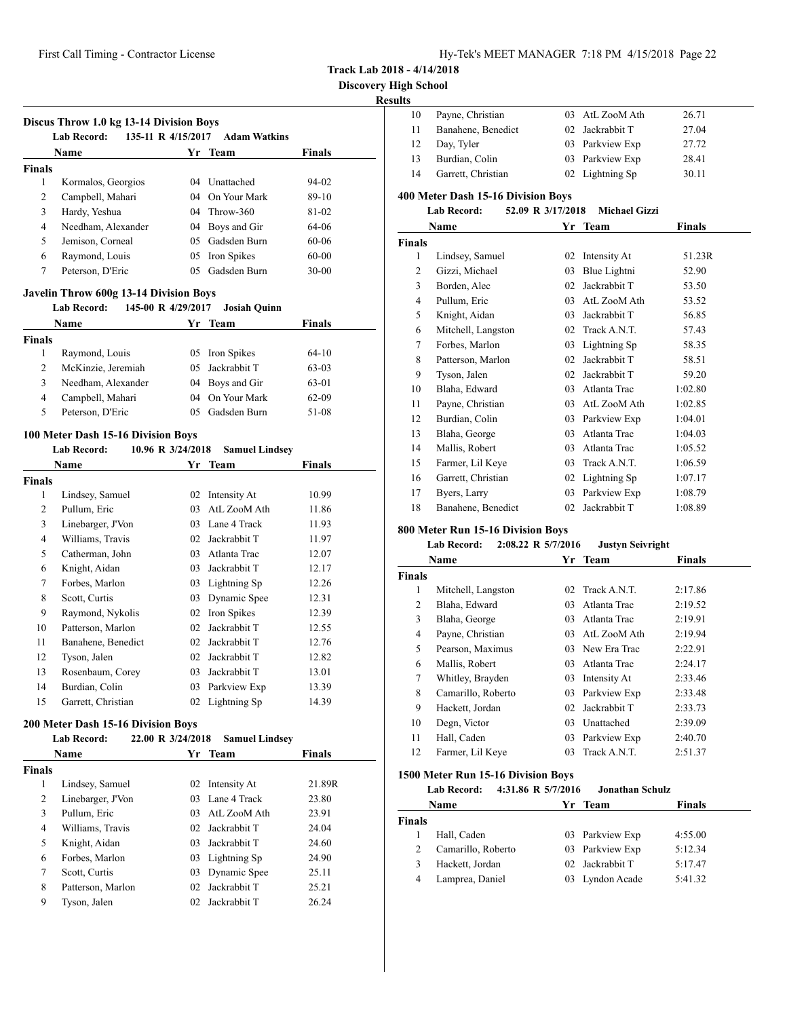**Track Lab 2018 - 4/14/2018**

# **Results**

|                          |                                               | 135-11 R 4/15/2017 | <b>Adam Watkins</b>   |               |
|--------------------------|-----------------------------------------------|--------------------|-----------------------|---------------|
|                          | Name                                          |                    | Yr Team               | Finals        |
| <b>Finals</b>            |                                               |                    |                       |               |
| 1                        | Kormalos, Georgios                            |                    | 04 Unattached         | 94-02         |
| $\overline{\mathcal{L}}$ | Campbell, Mahari                              |                    | 04 On Your Mark       | 89-10         |
| 3                        | Hardy, Yeshua                                 |                    | 04 Throw-360          | 81-02         |
| $\overline{4}$           | Needham, Alexander                            |                    | 04 Boys and Gir       | 64-06         |
| 5                        | Jemison, Corneal                              |                    | 05 Gadsden Burn       | 60-06         |
| 6                        | Raymond, Louis                                |                    | 05 Iron Spikes        | $60 - 00$     |
| $\overline{7}$           | Peterson, D'Eric                              |                    | 05 Gadsden Burn       | $30 - 00$     |
|                          | <b>Javelin Throw 600g 13-14 Division Boys</b> |                    |                       |               |
|                          | 145-00 R 4/29/2017<br><b>Lab Record:</b>      |                    | <b>Josiah Quinn</b>   |               |
|                          | <b>Name</b>                                   |                    | Yr Team               | Finals        |
| <b>Finals</b>            |                                               |                    |                       |               |
| 1                        | Raymond, Louis                                |                    | 05 Iron Spikes        | 64-10         |
| $\overline{2}$           | McKinzie, Jeremiah                            |                    | 05 Jackrabbit T       | 63-03         |
| 3                        | Needham, Alexander                            |                    | 04 Boys and Gir       | 63-01         |
| $\overline{4}$           | Campbell, Mahari                              |                    | 04 On Your Mark       | 62-09         |
| 5                        | Peterson, D'Eric                              |                    | 05 Gadsden Burn       | 51-08         |
|                          | 100 Meter Dash 15-16 Division Boys            |                    |                       |               |
|                          | <b>Lab Record:</b><br>10.96 R 3/24/2018       |                    | <b>Samuel Lindsey</b> |               |
|                          | Name                                          |                    | Yr Team               | <b>Finals</b> |
| <b>Finals</b>            |                                               |                    |                       |               |
| 1                        | Lindsey, Samuel                               |                    | 02 Intensity At       | 10.99         |
| 2                        | Pullum, Eric                                  |                    | 03 AtL ZooM Ath       | 11.86         |
|                          |                                               |                    |                       |               |
| 3                        | Linebarger, J'Von                             |                    | 03 Lane 4 Track       | 11.93         |
| 4                        | Williams, Travis                              |                    | 02 Jackrabbit T       | 11.97         |
| 5                        | Catherman, John                               |                    | 03 Atlanta Trac       | 12.07         |
| 6                        | Knight, Aidan                                 |                    | 03 Jackrabbit T       | 12.17         |
| 7                        | Forbes, Marlon                                |                    | 03 Lightning Sp       | 12.26         |
| 8                        | Scott, Curtis                                 |                    | 03 Dynamic Spee       | 12.31         |
| 9                        | Raymond, Nykolis                              |                    | 02 Iron Spikes        | 12.39         |
| 10                       | Patterson, Marlon                             |                    | 02 Jackrabbit T       | 12.55         |
| 11                       | Banahene, Benedict                            |                    | 02 Jackrabbit T       | 12.76         |
| 12                       | Tyson, Jalen                                  |                    | 02 Jackrabbit T       | 12.82         |
| 13                       | Rosenbaum, Corey                              |                    | 03 Jackrabbit T       | 13.01         |
| 14                       | Burdian, Colin                                |                    | 03 Parkview Exp       | 13.39         |
| 15                       | Garrett, Christian                            |                    | 02 Lightning Sp       | 14.39         |
|                          | 200 Meter Dash 15-16 Division Boys            |                    |                       |               |
|                          | 22.00 R 3/24/2018<br><b>Lab Record:</b>       |                    | <b>Samuel Lindsey</b> |               |

| `inals |                   |     |                 |        |
|--------|-------------------|-----|-----------------|--------|
| 1      | Lindsey, Samuel   |     | 02 Intensity At | 21.89R |
| 2      | Linebarger, J'Von |     | 03 Lane 4 Track | 23.80  |
| 3      | Pullum, Eric      | 03. | AtL ZooM Ath    | 23.91  |
| 4      | Williams, Travis  |     | 02 Jackrabbit T | 24.04  |
| 5      | Knight, Aidan     |     | 03 Jackrabbit T | 24.60  |
| 6      | Forbes, Marlon    |     | 03 Lightning Sp | 24.90  |
| 7      | Scott, Curtis     |     | 03 Dynamic Spee | 25.11  |
| 8      | Patterson, Marlon |     | 02 Jackrabbit T | 25.21  |
| 9      | Tyson, Jalen      |     | 02 Jackrabbit T | 26.24  |

| 10             | Payne, Christian                                                | 03 | AtL ZooM Ath | 26.71         |  |  |  |  |
|----------------|-----------------------------------------------------------------|----|--------------|---------------|--|--|--|--|
| 11             | Banahene, Benedict                                              | 02 | Jackrabbit T | 27.04         |  |  |  |  |
| 12             | Day, Tyler                                                      | 03 | Parkview Exp | 27.72         |  |  |  |  |
| 13             | Burdian, Colin                                                  | 03 | Parkview Exp | 28.41         |  |  |  |  |
| 14             | Garrett, Christian                                              | 02 | Lightning Sp | 30.11         |  |  |  |  |
|                | 400 Meter Dash 15-16 Division Boys                              |    |              |               |  |  |  |  |
|                | 52.09 R 3/17/2018<br><b>Lab Record:</b><br><b>Michael Gizzi</b> |    |              |               |  |  |  |  |
|                | Name                                                            | Yr | <b>Team</b>  | <b>Finals</b> |  |  |  |  |
| <b>Finals</b>  |                                                                 |    |              |               |  |  |  |  |
| 1              | Lindsey, Samuel                                                 | 02 | Intensity At | 51.23R        |  |  |  |  |
| 2              | Gizzi, Michael                                                  | 03 | Blue Lightni | 52.90         |  |  |  |  |
| 3              | Borden, Alec                                                    | 02 | Jackrabbit T | 53.50         |  |  |  |  |
| $\overline{4}$ | Pullum, Eric                                                    | 03 | AtL ZooM Ath | 53.52         |  |  |  |  |
| 5              | Knight, Aidan                                                   | 03 | Jackrabbit T | 56.85         |  |  |  |  |
| 6              | Mitchell, Langston                                              | 02 | Track A.N.T. | 57.43         |  |  |  |  |
| 7              | Forbes, Marlon                                                  | 03 | Lightning Sp | 58.35         |  |  |  |  |
| 8              | Patterson, Marlon                                               | 02 | Jackrabbit T | 58.51         |  |  |  |  |
| 9              | Tyson, Jalen                                                    | 02 | Jackrabbit T | 59.20         |  |  |  |  |
| 10             | Blaha, Edward                                                   | 03 | Atlanta Trac | 1:02.80       |  |  |  |  |
| 11             | Payne, Christian                                                | 03 | AtL ZooM Ath | 1:02.85       |  |  |  |  |
| 12             | Burdian, Colin                                                  | 03 | Parkview Exp | 1:04.01       |  |  |  |  |
| 13             | Blaha, George                                                   | 03 | Atlanta Trac | 1:04.03       |  |  |  |  |
| 14             | Mallis, Robert                                                  | 03 | Atlanta Trac | 1:05.52       |  |  |  |  |
| 15             | Farmer, Lil Keye                                                | 03 | Track A.N.T. | 1:06.59       |  |  |  |  |
| 16             | Garrett, Christian                                              | 02 | Lightning Sp | 1:07.17       |  |  |  |  |
| 17             | Byers, Larry                                                    | 03 | Parkview Exp | 1:08.79       |  |  |  |  |
| 18             | Banahene, Benedict                                              | 02 | Jackrabbit T | 1:08.89       |  |  |  |  |

# **800 Meter Run 15-16 Division Boys**

| <b>Lab Record:</b> | $2:08.22$ R $5/7/2016$ | <b>Justyn Seivright</b> |  |
|--------------------|------------------------|-------------------------|--|
|                    |                        |                         |  |

|               | Name               |    | Yr Team         | <b>Finals</b> |
|---------------|--------------------|----|-----------------|---------------|
| <b>Finals</b> |                    |    |                 |               |
| 1             | Mitchell, Langston |    | 02 Track A.N.T. | 2:17.86       |
| 2             | Blaha, Edward      | 03 | Atlanta Trac    | 2:19.52       |
| 3             | Blaha, George      | 03 | Atlanta Trac    | 2:19.91       |
| 4             | Payne, Christian   | 03 | AtL ZooM Ath    | 2:19.94       |
| 5.            | Pearson, Maximus   |    | 03 New Era Trac | 2:22.91       |
| 6             | Mallis, Robert     | 03 | Atlanta Trac    | 2:24.17       |
| 7             | Whitley, Brayden   | 03 | Intensity At    | 2:33.46       |
| 8             | Camarillo, Roberto | 03 | Parkview Exp    | 2:33.48       |
| 9             | Hackett, Jordan    | 02 | Jackrabbit T    | 2:33.73       |
| 10            | Degn, Victor       | 03 | Unattached      | 2:39.09       |
| 11            | Hall, Caden        | 03 | Parkview Exp    | 2:40.70       |
| 12            | Farmer, Lil Keye   | 03 | Track A.N.T.    | 2:51.37       |

## **1500 Meter Run 15-16 Division Boys**

**Lab Record: 4:31.86 R 5/7/2016 Jonathan Schulz**

|               | <b>Name</b>        | Yr Team         | <b>Finals</b> |  |
|---------------|--------------------|-----------------|---------------|--|
| <b>Finals</b> |                    |                 |               |  |
|               | Hall, Caden        | 03 Parkview Exp | 4:55.00       |  |
|               | Camarillo, Roberto | 03 Parkview Exp | 5:12.34       |  |
| 3             | Hackett, Jordan    | 02 Jackrabbit T | 5:17.47       |  |
| 4             | Lamprea, Daniel    | 03 Lyndon Acade | 5:41.32       |  |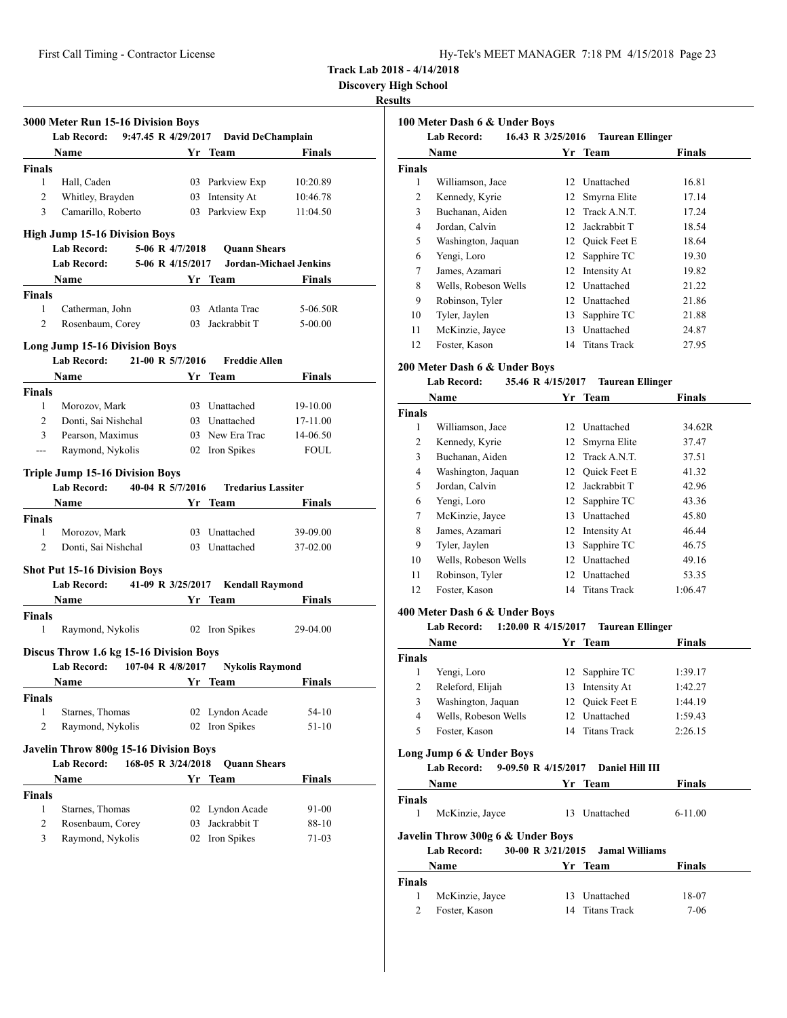**Discovery High School**

## **Results**

|                    | 3000 Meter Run 15-16 Division Boys<br>9:47.45 R 4/29/2017<br><b>Lab Record:</b> |                    | David DeChamplain         |                         |
|--------------------|---------------------------------------------------------------------------------|--------------------|---------------------------|-------------------------|
|                    | Name<br><b>Example 18 Yr</b> Team                                               |                    |                           | <b>Finals</b>           |
| Finals             |                                                                                 |                    |                           |                         |
| 1                  | Hall, Caden                                                                     |                    | 03 Parkview Exp           | 10:20.89                |
| 2                  | Whitley, Brayden                                                                |                    | 03 Intensity At           | 10:46.78                |
| 3                  | Camarillo, Roberto                                                              |                    | 03 Parkview Exp           | 11:04.50                |
|                    | <b>High Jump 15-16 Division Boys</b>                                            |                    |                           |                         |
|                    | <b>Lab Record:</b>                                                              | 5-06 R 4/7/2018    | <b>Quann Shears</b>       |                         |
|                    | <b>Lab Record:</b>                                                              | 5-06 R 4/15/2017   | Jordan-Michael Jenkins    |                         |
|                    | <b>Name</b>                                                                     |                    | Yr Team                   | Finals                  |
| Finals             |                                                                                 |                    |                           |                         |
| 1                  | Catherman, John                                                                 |                    | 03 Atlanta Trac           | 5-06.50R                |
| $\overline{2}$     | Rosenbaum, Corey                                                                |                    | 03 Jackrabbit T           | 5-00.00                 |
|                    |                                                                                 |                    |                           |                         |
|                    | <b>Long Jump 15-16 Division Boys</b><br><b>Lab Record:</b>                      | 21-00 R 5/7/2016   | <b>Freddie Allen</b>      |                         |
|                    |                                                                                 |                    |                           |                         |
|                    | <b>Name</b> Name                                                                |                    | Yr Team                   | <b>Finals</b>           |
| <b>Finals</b><br>1 |                                                                                 |                    | 03 Unattached             |                         |
| $\overline{2}$     | Morozov, Mark                                                                   |                    | 03 Unattached             | 19-10.00                |
| 3                  | Donti, Sai Nishchal                                                             |                    | 03 New Era Trac           | 17-11.00                |
| $---$              | Pearson, Maximus<br>Raymond, Nykolis                                            |                    | 02 Iron Spikes            | 14-06.50<br><b>FOUL</b> |
|                    |                                                                                 |                    |                           |                         |
|                    | <b>Triple Jump 15-16 Division Boys</b>                                          |                    |                           |                         |
|                    |                                                                                 |                    |                           |                         |
|                    | 40-04 R 5/7/2016<br><b>Lab Record:</b>                                          |                    | <b>Tredarius Lassiter</b> |                         |
|                    | <b>Name</b>                                                                     |                    | Yr Team                   | <b>Finals</b>           |
| <b>Finals</b>      |                                                                                 |                    |                           |                         |
| 1                  | Morozov, Mark                                                                   |                    | 03 Unattached             | 39-09.00                |
| 2                  | Donti, Sai Nishchal                                                             |                    | 03 Unattached             | 37-02.00                |
|                    |                                                                                 |                    |                           |                         |
|                    | <b>Shot Put 15-16 Division Boys</b><br>Lab Record: 41-09 R 3/25/2017            |                    | <b>Kendall Raymond</b>    |                         |
|                    |                                                                                 |                    |                           |                         |
| Finals             | Name Yr Team                                                                    |                    |                           | Finals                  |
| 1                  | Raymond, Nykolis                                                                |                    | 02 Iron Spikes            | 29-04.00                |
|                    |                                                                                 |                    |                           |                         |
|                    | Discus Throw 1.6 kg 15-16 Division Boys                                         |                    |                           |                         |
|                    | <b>Lab Record:</b>                                                              | 107-04 R 4/8/2017  | <b>Nykolis Raymond</b>    |                         |
|                    | Name                                                                            |                    | Yr Team                   | <b>Finals</b>           |
| <b>Finals</b>      |                                                                                 |                    |                           |                         |
| 1                  | Starnes, Thomas                                                                 |                    | 02 Lyndon Acade           | 54-10                   |
| 2                  | Raymond, Nykolis                                                                |                    | 02 Iron Spikes            | 51-10                   |
|                    | <b>Javelin Throw 800g 15-16 Division Boys</b>                                   |                    |                           |                         |
|                    | <b>Lab Record:</b>                                                              | 168-05 R 3/24/2018 | <b>Quann Shears</b>       |                         |
|                    | Name                                                                            |                    | Yr Team                   | <b>Finals</b>           |
| <b>Finals</b>      |                                                                                 |                    |                           |                         |
| 1                  | Starnes, Thomas                                                                 | 02                 | Lyndon Acade              | 91-00                   |
| 2                  | Rosenbaum, Corey                                                                | 03                 | Jackrabbit T              | 88-10                   |

|               | 100 Meter Dash 6 & Under Boys<br><b>Lab Record:</b><br>16.43 R 3/25/2016<br><b>Taurean Ellinger</b> |                 |                     |        |  |
|---------------|-----------------------------------------------------------------------------------------------------|-----------------|---------------------|--------|--|
|               | Name                                                                                                |                 | Yr Team             | Finals |  |
| <b>Finals</b> |                                                                                                     |                 |                     |        |  |
| 1             | Williamson, Jace                                                                                    |                 | 12 Unattached       | 16.81  |  |
| 2             | Kennedy, Kyrie                                                                                      | 12              | Smyrna Elite        | 17.14  |  |
| 3             | Buchanan, Aiden                                                                                     | 12 <sub>1</sub> | Track A.N.T.        | 17.24  |  |
| 4             | Jordan, Calvin                                                                                      | 12              | Jackrabbit T        | 18.54  |  |
| 5             | Washington, Jaquan                                                                                  |                 | 12 Ouick Feet E     | 18.64  |  |
| 6             | Yengi, Loro                                                                                         | 12              | Sapphire TC         | 19.30  |  |
| 7             | James, Azamari                                                                                      | 12              | Intensity At        | 19.82  |  |
| 8             | Wells, Robeson Wells                                                                                | 12 <sup>2</sup> | Unattached          | 21.22  |  |
| 9             | Robinson, Tyler                                                                                     | 12              | Unattached          | 21.86  |  |
| 10            | Tyler, Jaylen                                                                                       | 13              | Sapphire TC         | 21.88  |  |
| 11            | McKinzie, Jayce                                                                                     | 13              | Unattached          | 24.87  |  |
| 12            | Foster, Kason                                                                                       | 14              | <b>Titans Track</b> | 27.95  |  |

## **200 Meter Dash 6 & Under Boys**

# **Lab Record: 35.46 R 4/15/2017 Taurean Ellinger**

| Name          |                      | Yr              | Team                | <b>Finals</b> |  |
|---------------|----------------------|-----------------|---------------------|---------------|--|
| <b>Finals</b> |                      |                 |                     |               |  |
| 1             | Williamson, Jace     | 12 <sup>2</sup> | Unattached          | 34.62R        |  |
| 2             | Kennedy, Kyrie       |                 | 12 Smyrna Elite     | 37.47         |  |
| 3             | Buchanan, Aiden      |                 | 12 Track A.N.T.     | 37.51         |  |
| 4             | Washington, Jaquan   |                 | 12 Ouick Feet E     | 41.32         |  |
| 5             | Jordan, Calvin       | 12.             | Jackrabbit T        | 42.96         |  |
| 6             | Yengi, Loro          |                 | 12 Sapphire TC      | 43.36         |  |
| 7             | McKinzie, Jayce      | 13              | Unattached          | 45.80         |  |
| 8             | James, Azamari       | 12              | Intensity At        | 46.44         |  |
| 9             | Tyler, Jaylen        | 13              | Sapphire TC         | 46.75         |  |
| 10            | Wells, Robeson Wells | 12              | Unattached          | 49.16         |  |
| 11            | Robinson, Tyler      | 12              | Unattached          | 53.35         |  |
| 12            | Foster, Kason        | 14              | <b>Titans Track</b> | 1:06.47       |  |
|               |                      |                 |                     |               |  |

## **400 Meter Dash 6 & Under Boys**

### **Lab Record: 1:20.00 R 4/15/2017 Taurean Ellinger**

| $1.1 - 0.000 + 1.100 + 0.000 + 0.000$ |  |  |                                                                                                     |  |
|---------------------------------------|--|--|-----------------------------------------------------------------------------------------------------|--|
| <b>Name</b>                           |  |  | <b>Finals</b>                                                                                       |  |
|                                       |  |  |                                                                                                     |  |
| Yengi, Loro                           |  |  | 1:39.17                                                                                             |  |
| Releford, Elijah                      |  |  | 1:42.27                                                                                             |  |
| Washington, Jaquan                    |  |  | 1:44.19                                                                                             |  |
| Wells, Robeson Wells                  |  |  | 1:59.43                                                                                             |  |
| Foster, Kason                         |  |  | 2:26.15                                                                                             |  |
|                                       |  |  | Yr Team<br>12 Sapphire TC<br>13 Intensity At<br>12 Ouick Feet E<br>12 Unattached<br>14 Titans Track |  |

## **Long Jump 6 & Under Boys**

### **Lab Record: 9-09.50 R 4/15/2017 Daniel Hill III**

|               | Name                                                    |                   | Yr Team               | <b>Finals</b> |  |
|---------------|---------------------------------------------------------|-------------------|-----------------------|---------------|--|
| <b>Finals</b> |                                                         |                   |                       |               |  |
|               | McKinzie, Jayce                                         |                   | 13 Unattached         | $6-11.00$     |  |
|               | Javelin Throw 300g 6 & Under Boys<br><b>Lab Record:</b> | 30-00 R 3/21/2015 | <b>Jamal Williams</b> |               |  |
|               | Name                                                    |                   | Yr Team               | <b>Finals</b> |  |
| <b>Finals</b> |                                                         |                   |                       |               |  |
|               | McKinzie, Jayce                                         |                   | Unattached            | 18-07         |  |

2 Foster, Kason 14 Titans Track 7-06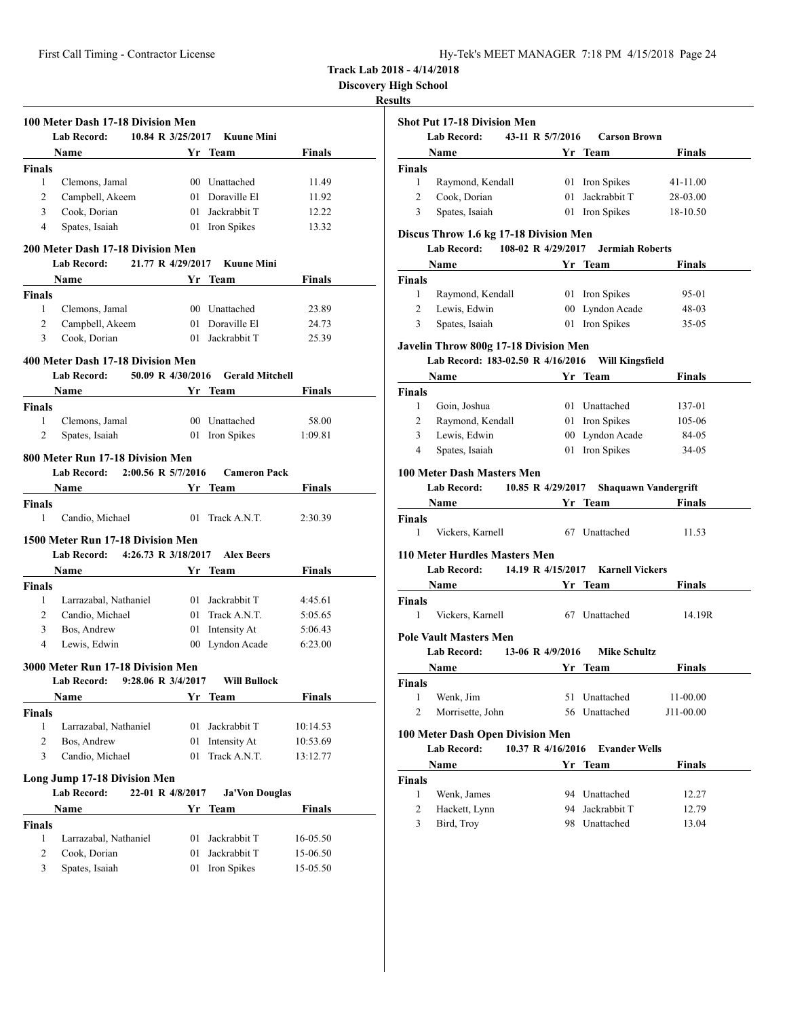| Hy-Tek's MEET MANAGER 7:18 PM 4/15/2018 Page 24 |  |  |  |
|-------------------------------------------------|--|--|--|
|-------------------------------------------------|--|--|--|

**Discovery High School**

## **Results**

|                    | 100 Meter Dash 17-18 Division Men<br><b>Lab Record:</b> | 10.84 R 3/25/2017                                                                                                                                                                                                                    | <b>Kuune Mini</b>              |               |
|--------------------|---------------------------------------------------------|--------------------------------------------------------------------------------------------------------------------------------------------------------------------------------------------------------------------------------------|--------------------------------|---------------|
|                    | Name                                                    |                                                                                                                                                                                                                                      | Yr Team                        | Finals        |
| <b>Finals</b>      |                                                         |                                                                                                                                                                                                                                      |                                |               |
| 1                  | Clemons, Jamal                                          |                                                                                                                                                                                                                                      | 00 Unattached                  | 11.49         |
| 2                  | Campbell, Akeem                                         |                                                                                                                                                                                                                                      | 01 Doraville El                | 11.92         |
| 3                  | Cook, Dorian                                            | 01                                                                                                                                                                                                                                   | Jackrabbit T                   | 12.22         |
| 4                  | Spates, Isaiah                                          |                                                                                                                                                                                                                                      | 01 Iron Spikes                 | 13.32         |
|                    |                                                         |                                                                                                                                                                                                                                      |                                |               |
|                    | 200 Meter Dash 17-18 Division Men                       |                                                                                                                                                                                                                                      |                                |               |
|                    | <b>Lab Record:</b>                                      | 21.77 R 4/29/2017                                                                                                                                                                                                                    | <b>Kuune Mini</b>              |               |
|                    | Name                                                    |                                                                                                                                                                                                                                      | Yr Team                        | Finals        |
| Finals             |                                                         |                                                                                                                                                                                                                                      |                                |               |
| 1                  | Clemons, Jamal                                          |                                                                                                                                                                                                                                      | 00 Unattached                  | 23.89         |
| 2                  | Campbell, Akeem                                         |                                                                                                                                                                                                                                      | 01 Doraville El                | 24.73         |
| 3                  | Cook, Dorian                                            |                                                                                                                                                                                                                                      | 01 Jackrabbit T                | 25.39         |
|                    | 400 Meter Dash 17-18 Division Men                       |                                                                                                                                                                                                                                      |                                |               |
|                    | <b>Lab Record:</b>                                      | 50.09 R 4/30/2016                                                                                                                                                                                                                    | <b>Gerald Mitchell</b>         |               |
|                    | <b>Name</b>                                             | <b>Solution String True String True String True String True String True String True String True String True String True String True String True String True String True String True String True String True String True String T</b> |                                | <b>Finals</b> |
| <b>Finals</b>      |                                                         |                                                                                                                                                                                                                                      |                                |               |
| 1                  | Clemons, Jamal                                          |                                                                                                                                                                                                                                      | 00 Unattached                  | 58.00         |
| 2                  | Spates, Isaiah                                          |                                                                                                                                                                                                                                      | 01 Iron Spikes                 | 1:09.81       |
|                    |                                                         |                                                                                                                                                                                                                                      |                                |               |
|                    | 800 Meter Run 17-18 Division Men                        |                                                                                                                                                                                                                                      |                                |               |
|                    | Lab Record: 2:00.56 R 5/7/2016                          |                                                                                                                                                                                                                                      | <b>Cameron Pack</b>            |               |
|                    | Name                                                    |                                                                                                                                                                                                                                      | Yr Team                        | Finals        |
| Finals             |                                                         |                                                                                                                                                                                                                                      |                                |               |
| 1                  | Candio, Michael                                         |                                                                                                                                                                                                                                      | 01 Track A.N.T.                | 2:30.39       |
|                    | 1500 Meter Run 17-18 Division Men                       |                                                                                                                                                                                                                                      |                                |               |
|                    | Lab Record: 4:26.73 R 3/18/2017                         |                                                                                                                                                                                                                                      | <b>Alex Beers</b>              |               |
|                    | Name                                                    |                                                                                                                                                                                                                                      | Yr Team                        | Finals        |
| Finals             |                                                         |                                                                                                                                                                                                                                      |                                |               |
| 1                  | Larrazabal, Nathaniel                                   |                                                                                                                                                                                                                                      | 01 Jackrabbit T                | 4:45.61       |
| 2                  | Candio, Michael                                         | 01                                                                                                                                                                                                                                   | Track A.N.T.                   | 5:05.65       |
| 3                  | Bos, Andrew                                             | 01                                                                                                                                                                                                                                   | Intensity At                   | 5:06.43       |
| 4                  | Lewis, Edwin                                            |                                                                                                                                                                                                                                      | 00 Lyndon Acade                | 6:23.00       |
|                    |                                                         |                                                                                                                                                                                                                                      |                                |               |
|                    | 3000 Meter Run 17-18 Division Men                       |                                                                                                                                                                                                                                      |                                |               |
|                    | Lab Record:                                             | 9:28.06 R 3/4/2017                                                                                                                                                                                                                   | <b>Will Bullock</b><br>Yr Team | <b>Finals</b> |
|                    | Name                                                    |                                                                                                                                                                                                                                      |                                |               |
| <b>Finals</b><br>1 |                                                         |                                                                                                                                                                                                                                      |                                |               |
|                    | Larrazabal, Nathaniel                                   | 01                                                                                                                                                                                                                                   | Jackrabbit T                   | 10:14.53      |
| 2<br>3             | Bos, Andrew<br>Candio, Michael                          | 01                                                                                                                                                                                                                                   | Intensity At<br>Track A.N.T.   | 10:53.69      |
|                    |                                                         | 01                                                                                                                                                                                                                                   |                                | 13:12.77      |
|                    | <b>Long Jump 17-18 Division Men</b>                     |                                                                                                                                                                                                                                      |                                |               |
|                    | <b>Lab Record:</b>                                      | 22-01 R 4/8/2017                                                                                                                                                                                                                     | <b>Ja'Von Douglas</b>          |               |
|                    | Name                                                    |                                                                                                                                                                                                                                      | Yr Team                        | <b>Finals</b> |
| <b>Finals</b>      |                                                         |                                                                                                                                                                                                                                      |                                |               |
| 1                  | Larrazabal, Nathaniel                                   | 01                                                                                                                                                                                                                                   | Jackrabbit T                   | 16-05.50      |
| 2                  | Cook, Dorian                                            | 01                                                                                                                                                                                                                                   | Jackrabbit T                   | 15-06.50      |
| 3                  | Spates, Isaiah                                          | 01                                                                                                                                                                                                                                   | Iron Spikes                    | 15-05.50      |
|                    |                                                         |                                                                                                                                                                                                                                      |                                |               |

|                         | <b>Lab Record:</b><br>43-11 R 5/7/2016                                             |                   | <b>Carson Brown</b>               |                |
|-------------------------|------------------------------------------------------------------------------------|-------------------|-----------------------------------|----------------|
|                         | Name                                                                               |                   | Yr Team                           | Finals         |
| <b>Finals</b>           |                                                                                    |                   |                                   |                |
| 1                       | Raymond, Kendall                                                                   |                   | 01 Iron Spikes                    | 41-11.00       |
| 2                       | Cook, Dorian                                                                       |                   | 01 Jackrabbit T                   | 28-03.00       |
| 3                       | Spates, Isaiah                                                                     |                   | 01 Iron Spikes                    | 18-10.50       |
|                         | Discus Throw 1.6 kg 17-18 Division Men<br>108-02 R 4/29/2017<br><b>Lab Record:</b> |                   | <b>Jermiah Roberts</b>            |                |
|                         | Name                                                                               |                   | Yr Team                           | <b>Finals</b>  |
| <b>Finals</b>           |                                                                                    |                   |                                   |                |
| 1                       | Raymond, Kendall                                                                   |                   | 01 Iron Spikes                    | 95-01          |
| 2                       | Lewis, Edwin                                                                       |                   | 00 Lyndon Acade                   | 48-03          |
| 3                       | Spates, Isaiah                                                                     |                   | 01 Iron Spikes                    | $35 - 05$      |
|                         | Javelin Throw 800g 17-18 Division Men                                              |                   |                                   |                |
|                         | Lab Record: 183-02.50 R 4/16/2016                                                  |                   | <b>Will Kingsfield</b>            |                |
|                         | Name                                                                               |                   | Yr Team                           | <b>Finals</b>  |
| <b>Finals</b>           |                                                                                    |                   |                                   |                |
| 1                       | Goin, Joshua                                                                       |                   | 01 Unattached                     | 137-01         |
| 2                       | Raymond, Kendall                                                                   |                   | 01 Iron Spikes                    | 105-06         |
| 3                       | Lewis, Edwin                                                                       |                   | 00 Lyndon Acade                   | 84-05          |
| 4                       | Spates, Isaiah                                                                     |                   | 01 Iron Spikes                    | 34-05          |
|                         | <b>100 Meter Dash Masters Men</b>                                                  |                   |                                   |                |
|                         | 10.85 R 4/29/2017<br>Lab Record:                                                   |                   | <b>Shaquawn Vandergrift</b>       |                |
|                         | Name                                                                               |                   | Yr Team                           | Finals         |
| <b>Finals</b><br>1      | Vickers, Karnell                                                                   |                   | 67 Unattached                     | 11.53          |
|                         | 110 Meter Hurdles Masters Men                                                      |                   |                                   |                |
|                         |                                                                                    |                   |                                   |                |
|                         | <b>Lab Record:</b>                                                                 |                   | 14.19 R 4/15/2017 Karnell Vickers |                |
|                         | Name                                                                               |                   | Yr Team                           | Finals         |
|                         |                                                                                    |                   |                                   |                |
| 1                       | Vickers, Karnell                                                                   |                   | 67 Unattached                     | 14.19R         |
|                         | <b>Pole Vault Masters Men</b>                                                      |                   |                                   |                |
|                         | Lab Record:                                                                        | 13-06 R 4/9/2016  | <b>Mike Schultz</b>               |                |
|                         | Name                                                                               |                   | Yr Team                           | Finals         |
|                         |                                                                                    |                   |                                   |                |
| 1                       | Wenk, Jim                                                                          | 51                | Unattached                        | 11-00.00       |
| 2                       | Morrisette, John                                                                   |                   | 56 Unattached                     | J11-00.00      |
|                         |                                                                                    |                   |                                   |                |
|                         | 100 Meter Dash Open Division Men                                                   | 10.37 R 4/16/2016 | <b>Evander Wells</b>              |                |
| <b>Finals</b><br>Finals | <b>Lab Record:</b>                                                                 |                   |                                   |                |
|                         | Name                                                                               |                   | Yr Team                           | Finals         |
| Finals                  |                                                                                    |                   |                                   |                |
| 1<br>2                  | Wenk, James<br>Hackett, Lynn                                                       |                   | 94 Unattached<br>94 Jackrabbit T  | 12.27<br>12.79 |

3 Bird, Troy 98 Unattached 13.04